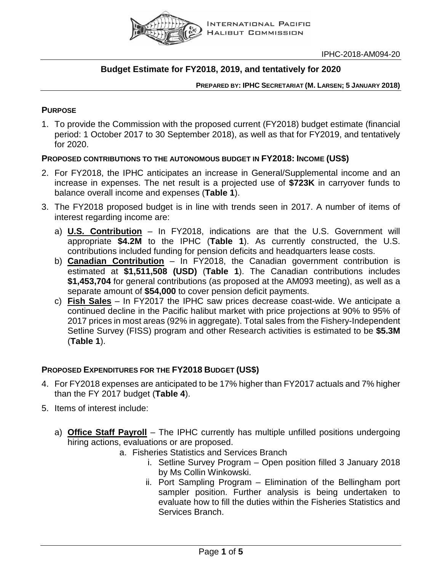

# **Budget Estimate for FY2018, 2019, and tentatively for 2020**

### **PREPARED BY: IPHC SECRETARIAT (M. LARSEN; 5 JANUARY 2018)**

# **PURPOSE**

1. To provide the Commission with the proposed current (FY2018) budget estimate (financial period: 1 October 2017 to 30 September 2018), as well as that for FY2019, and tentatively for 2020.

# **PROPOSED CONTRIBUTIONS TO THE AUTONOMOUS BUDGET IN FY2018: INCOME (US\$)**

- 2. For FY2018, the IPHC anticipates an increase in General/Supplemental income and an increase in expenses. The net result is a projected use of **\$723K** in carryover funds to balance overall income and expenses (**Table 1**).
- 3. The FY2018 proposed budget is in line with trends seen in 2017. A number of items of interest regarding income are:
	- a) **U.S. Contribution** In FY2018, indications are that the U.S. Government will appropriate **\$4.2M** to the IPHC (**Table 1**). As currently constructed, the U.S. contributions included funding for pension deficits and headquarters lease costs.
	- b) **Canadian Contribution** In FY2018, the Canadian government contribution is estimated at **\$1,511,508 (USD)** (**Table 1**). The Canadian contributions includes **\$1,453,704** for general contributions (as proposed at the AM093 meeting), as well as a separate amount of **\$54,000** to cover pension deficit payments.
	- c) **Fish Sales** In FY2017 the IPHC saw prices decrease coast-wide. We anticipate a continued decline in the Pacific halibut market with price projections at 90% to 95% of 2017 prices in most areas (92% in aggregate). Total sales from the Fishery-Independent Setline Survey (FISS) program and other Research activities is estimated to be **\$5.3M** (**Table 1**).

# **PROPOSED EXPENDITURES FOR THE FY2018 BUDGET (US\$)**

- 4. For FY2018 expenses are anticipated to be 17% higher than FY2017 actuals and 7% higher than the FY 2017 budget (**Table 4**).
- 5. Items of interest include:
	- a) **Office Staff Payroll** The IPHC currently has multiple unfilled positions undergoing hiring actions, evaluations or are proposed.
		- a. Fisheries Statistics and Services Branch
			- i. Setline Survey Program Open position filled 3 January 2018 by Ms Collin Winkowski.
			- ii. Port Sampling Program Elimination of the Bellingham port sampler position. Further analysis is being undertaken to evaluate how to fill the duties within the Fisheries Statistics and Services Branch.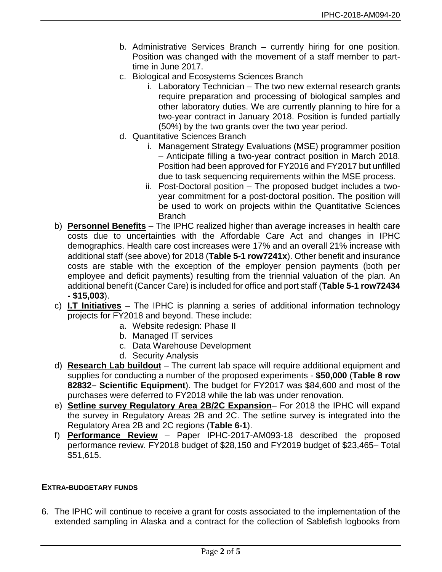- b. Administrative Services Branch currently hiring for one position. Position was changed with the movement of a staff member to parttime in June 2017.
- c. Biological and Ecosystems Sciences Branch
	- i. Laboratory Technician The two new external research grants require preparation and processing of biological samples and other laboratory duties. We are currently planning to hire for a two-year contract in January 2018. Position is funded partially (50%) by the two grants over the two year period.
- d. Quantitative Sciences Branch
	- i. Management Strategy Evaluations (MSE) programmer position – Anticipate filling a two-year contract position in March 2018. Position had been approved for FY2016 and FY2017 but unfilled due to task sequencing requirements within the MSE process.
	- ii. Post-Doctoral position The proposed budget includes a twoyear commitment for a post-doctoral position. The position will be used to work on projects within the Quantitative Sciences Branch
- b) **Personnel Benefits** The IPHC realized higher than average increases in health care costs due to uncertainties with the Affordable Care Act and changes in IPHC demographics. Health care cost increases were 17% and an overall 21% increase with additional staff (see above) for 2018 (**Table 5-1 row7241x**). Other benefit and insurance costs are stable with the exception of the employer pension payments (both per employee and deficit payments) resulting from the triennial valuation of the plan. An additional benefit (Cancer Care) is included for office and port staff (**Table 5-1 row72434 - \$15,003**).
- c) **I.T Initiatives** The IPHC is planning a series of additional information technology projects for FY2018 and beyond. These include:
	- a. Website redesign: Phase II
	- b. Managed IT services
	- c. Data Warehouse Development
	- d. Security Analysis
- d) **Research Lab buildout** The current lab space will require additional equipment and supplies for conducting a number of the proposed experiments - **\$50,000** (**Table 8 row 82832– Scientific Equipment**). The budget for FY2017 was \$84,600 and most of the purchases were deferred to FY2018 while the lab was under renovation.
- e) **Setline survey Regulatory Area 2B/2C Expansion** For 2018 the IPHC will expand the survey in Regulatory Areas 2B and 2C. The setline survey is integrated into the Regulatory Area 2B and 2C regions (**Table 6-1**).
- f) **Performance Review** Paper IPHC-2017-AM093-18 described the proposed performance review. FY2018 budget of \$28,150 and FY2019 budget of \$23,465– Total \$51,615.

### **EXTRA-BUDGETARY FUNDS**

6. The IPHC will continue to receive a grant for costs associated to the implementation of the extended sampling in Alaska and a contract for the collection of Sablefish logbooks from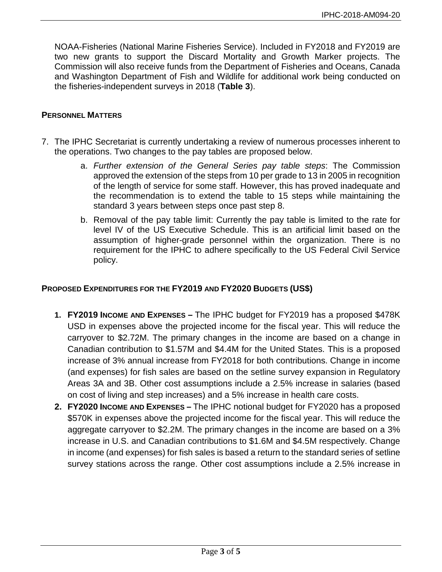NOAA-Fisheries (National Marine Fisheries Service). Included in FY2018 and FY2019 are two new grants to support the Discard Mortality and Growth Marker projects. The Commission will also receive funds from the Department of Fisheries and Oceans, Canada and Washington Department of Fish and Wildlife for additional work being conducted on the fisheries-independent surveys in 2018 (**Table 3**).

## **PERSONNEL MATTERS**

- 7. The IPHC Secretariat is currently undertaking a review of numerous processes inherent to the operations. Two changes to the pay tables are proposed below.
	- a. *Further extension of the General Series pay table steps*: The Commission approved the extension of the steps from 10 per grade to 13 in 2005 in recognition of the length of service for some staff. However, this has proved inadequate and the recommendation is to extend the table to 15 steps while maintaining the standard 3 years between steps once past step 8.
	- b. Removal of the pay table limit: Currently the pay table is limited to the rate for level IV of the US Executive Schedule. This is an artificial limit based on the assumption of higher-grade personnel within the organization. There is no requirement for the IPHC to adhere specifically to the US Federal Civil Service policy.

## **PROPOSED EXPENDITURES FOR THE FY2019 AND FY2020 BUDGETS (US\$)**

- **1. FY2019 INCOME AND EXPENSES –** The IPHC budget for FY2019 has a proposed \$478K USD in expenses above the projected income for the fiscal year. This will reduce the carryover to \$2.72M. The primary changes in the income are based on a change in Canadian contribution to \$1.57M and \$4.4M for the United States. This is a proposed increase of 3% annual increase from FY2018 for both contributions. Change in income (and expenses) for fish sales are based on the setline survey expansion in Regulatory Areas 3A and 3B. Other cost assumptions include a 2.5% increase in salaries (based on cost of living and step increases) and a 5% increase in health care costs.
- **2. FY2020 INCOME AND EXPENSES –** The IPHC notional budget for FY2020 has a proposed \$570K in expenses above the projected income for the fiscal year. This will reduce the aggregate carryover to \$2.2M. The primary changes in the income are based on a 3% increase in U.S. and Canadian contributions to \$1.6M and \$4.5M respectively. Change in income (and expenses) for fish sales is based a return to the standard series of setline survey stations across the range. Other cost assumptions include a 2.5% increase in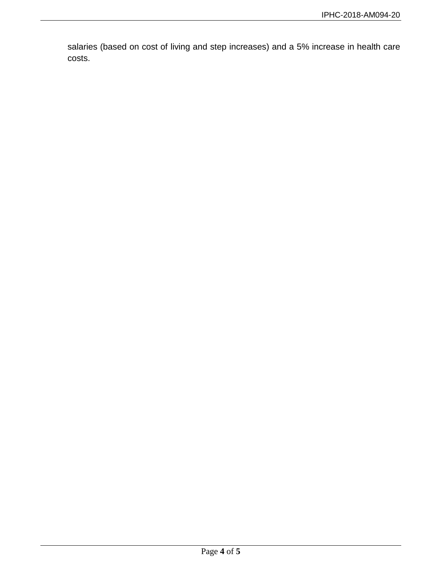salaries (based on cost of living and step increases) and a 5% increase in health care costs.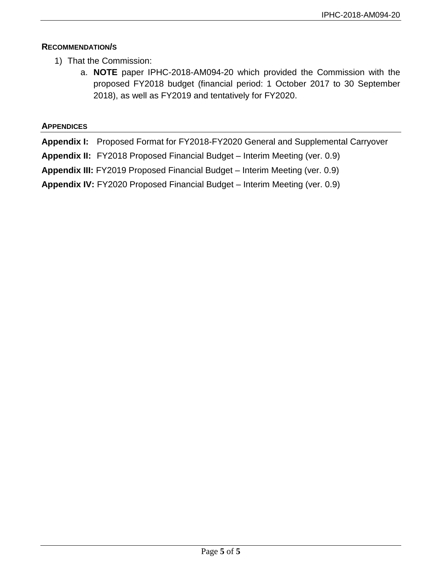# **RECOMMENDATION/S**

- 1) That the Commission:
	- a. **NOTE** paper IPHC-2018-AM094-20 which provided the Commission with the proposed FY2018 budget (financial period: 1 October 2017 to 30 September 2018), as well as FY2019 and tentatively for FY2020.

# **APPENDICES**

**Appendix I:** Proposed Format for FY2018-FY2020 General and Supplemental Carryover

**Appendix II:** FY2018 Proposed Financial Budget – Interim Meeting (ver. 0.9)

**Appendix III:** FY2019 Proposed Financial Budget – Interim Meeting (ver. 0.9)

**Appendix IV:** FY2020 Proposed Financial Budget – Interim Meeting (ver. 0.9)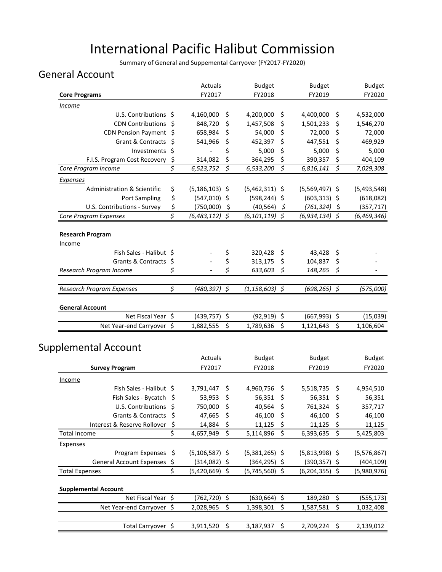# International Pacific Halibut Commission

Summary of General and Suppemental Carryover (FY2017-FY2020)

# General Account

|                                                 |    | Actuals                        |           | <b>Budget</b>      | <b>Budget</b>    |          | <b>Budget</b> |
|-------------------------------------------------|----|--------------------------------|-----------|--------------------|------------------|----------|---------------|
| <b>Core Programs</b>                            |    | FY2017                         |           | FY2018             | FY2019           |          | FY2020        |
| <b>Income</b>                                   |    |                                |           |                    |                  |          |               |
| U.S. Contributions \$                           |    | 4,160,000<br>Ş                 | 4,200,000 | \$                 | 4,400,000        | \$       | 4,532,000     |
| <b>CDN Contributions</b>                        | \$ | 848,720<br>\$                  | 1,457,508 | \$                 | 1,501,233        | Ş        | 1,546,270     |
| CDN Pension Payment \$                          |    | \$<br>658,984                  |           | \$<br>54,000       | 72,000           | \$       | 72,000        |
| Grant & Contracts \$                            |    | \$<br>541,966                  |           | \$<br>452,397      | 447,551          | \$       | 469,929       |
| Investments \$                                  |    | \$<br>$\overline{\phantom{a}}$ |           | \$<br>5,000        | 5,000            | \$       | 5,000         |
| F.I.S. Program Cost Recovery                    | \$ | \$<br>314,082                  |           | \$<br>364,295      | 390,357          | \$       | 404,109       |
| Core Program Income                             | \$ | $\zeta$<br>6,523,752           | 6,533,200 | $\zeta$            | 6,816,141        | \$       | 7,029,308     |
| <b>Expenses</b>                                 |    |                                |           |                    |                  |          |               |
| Administration & Scientific                     | \$ | $(5, 186, 103)$ \$             |           | $(5,462,311)$ \$   | $(5,569,497)$ \$ |          | (5,493,548)   |
| <b>Port Sampling</b>                            | \$ | $(547,010)$ \$                 |           | $(598, 244)$ \$    | $(603, 313)$ \$  |          | (618,082)     |
| U.S. Contributions - Survey                     | \$ | - \$<br>(750,000)              |           | (40, 564)<br>-\$   | $(761, 324)$ \$  |          | (357, 717)    |
| Core Program Expenses                           | \$ | $(6,483,112)$ \$               |           | $(6, 101, 119)$ \$ | $(6,934,134)$ \$ |          | (6, 469, 346) |
|                                                 |    |                                |           |                    |                  |          |               |
| <b>Research Program</b>                         |    |                                |           |                    |                  |          |               |
| <b>Income</b>                                   |    |                                |           |                    |                  |          |               |
| Fish Sales - Halibut \$                         |    | \$                             |           | 320,428<br>\$      | 43,428           | \$       |               |
| Grants & Contracts \$                           |    | \$                             |           | 313,175<br>\$      | 104,837          | \$       |               |
| Research Program Income                         | \$ | \$                             |           | 633,603 \$         | 148,265          | $\zeta$  |               |
| Research Program Expenses                       | \$ | $(480, 397)$ \$                |           | $(1, 158, 603)$ \$ | $(698, 265)$ \$  |          | (575,000)     |
|                                                 |    |                                |           |                    |                  |          |               |
| <b>General Account</b>                          |    |                                |           |                    |                  |          |               |
| Net Fiscal Year \$                              |    | $(439, 757)$ \$                |           | $(92, 919)$ \$     | (667, 993)       | \$       | (15,039)      |
| Net Year-end Carryover \$                       |    | \$<br>1,882,555                | 1,789,636 | \$                 | 1,121,643        | \$       | 1,106,604     |
|                                                 |    |                                |           |                    |                  |          |               |
| <b>Supplemental Account</b>                     |    |                                |           |                    |                  |          |               |
|                                                 |    | Actuals                        |           | <b>Budget</b>      | <b>Budget</b>    |          | <b>Budget</b> |
| <b>Survey Program</b>                           |    | FY2017                         |           | FY2018             | FY2019           |          | FY2020        |
| <b>Income</b>                                   |    |                                |           |                    |                  |          |               |
| Fish Sales - Halibut \$                         |    | 3,791,447<br>\$                | 4,960,756 | \$                 | 5,518,735        | -\$      | 4,954,510     |
| Fish Sales - Bycatch \$                         |    | \$<br>53,953                   |           | \$<br>56,351       | 56,351           | -\$      | 56,351        |
| U.S. Contributions \$                           |    | 750,000 \$                     |           | 40,564 \$          | 761,324 \$       |          | 357,717       |
| Grants & Contracts                              | S  | 47,665<br>\$                   |           | 46,100<br>\$       | 46,100           | \$       | 46,100        |
| Interest & Reserve Rollover                     | \$ | 14,884<br>Ş                    |           | 11,125<br>\$,      | 11,125           | Ş        | 11,125        |
| <b>Total Income</b>                             | \$ | \$<br>4,657,949                | 5,114,896 | \$                 | 6,393,635        | \$       | 5,425,803     |
| Expenses                                        |    |                                |           |                    |                  |          |               |
| Program Expenses                                | \$ | $(5, 106, 587)$ \$             |           | $(5,381,265)$ \$   | $(5,813,998)$ \$ |          | (5,576,867)   |
| <b>General Account Expenses</b>                 | \$ | $(314,082)$ \$                 |           | $(364, 295)$ \$    | $(390, 357)$ \$  |          | (404, 109)    |
| <b>Total Expenses</b>                           | \$ | $(5,420,669)$ \$               |           | $(5,745,560)$ \$   | $(6,204,355)$ \$ |          | (5,980,976)   |
|                                                 |    |                                |           |                    |                  |          |               |
| <b>Supplemental Account</b>                     |    |                                |           |                    |                  |          |               |
| Net Fiscal Year \$<br>Net Year-end Carryover \$ |    | $(762, 720)$ \$<br>\$          |           | $(630, 664)$ \$    | 189,280          | \$<br>\$ | (555, 173)    |
|                                                 |    | 2,028,965                      | 1,398,301 | \$                 | 1,587,581        |          | 1,032,408     |
| Total Carryover \$                              |    | 3,911,520<br>-\$               |           | \$<br>3,187,937    | 2,709,224        | \$       | 2,139,012     |
|                                                 |    |                                |           |                    |                  |          |               |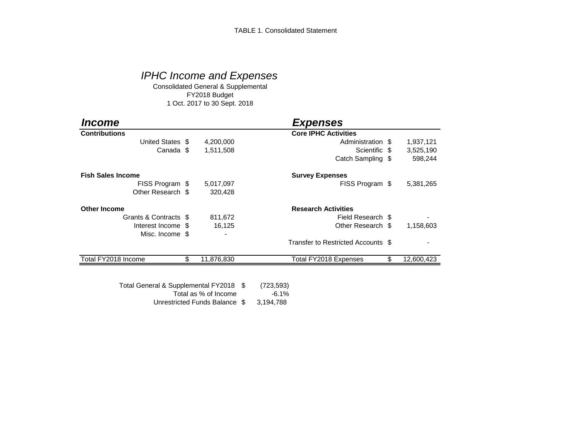# *IPHC Income and Expenses*

Consolidated General & Supplemental FY2018 Budget 1 Oct. 2017 to 30 Sept. 2018

| <i><b>Income</b></i>     |                  | <b>Expenses</b>                    |                  |
|--------------------------|------------------|------------------------------------|------------------|
| <b>Contributions</b>     |                  | <b>Core IPHC Activities</b>        |                  |
| United States \$         | 4,200,000        | Administration \$                  | 1,937,121        |
| Canada \$                | 1,511,508        | Scientific \$                      | 3,525,190        |
|                          |                  | Catch Sampling \$                  | 598,244          |
| <b>Fish Sales Income</b> |                  | <b>Survey Expenses</b>             |                  |
| FISS Program \$          | 5,017,097        | FISS Program \$                    | 5,381,265        |
| Other Research \$        | 320,428          |                                    |                  |
| <b>Other Income</b>      |                  | <b>Research Activities</b>         |                  |
| Grants & Contracts \$    | 811,672          | Field Research \$                  |                  |
| Interest Income \$       | 16,125           | Other Research \$                  | 1,158,603        |
| Misc. Income \$          |                  |                                    |                  |
|                          |                  | Transfer to Restricted Accounts \$ |                  |
| Total FY2018 Income      | \$<br>11,876,830 | Total FY2018 Expenses              | \$<br>12,600,423 |

Unrestricted Funds Balance \$ 3,194,788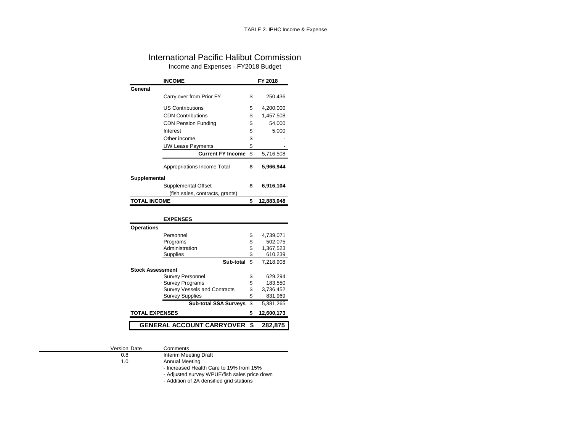### International Pacific Halibut Commission Income and Expenses - FY2018 Budget

|                   | <b>INCOME</b>                   | FY 2018          |
|-------------------|---------------------------------|------------------|
| General           |                                 |                  |
|                   | Carry over from Prior FY        | \$<br>250,436    |
|                   | <b>US Contributions</b>         | \$<br>4,200,000  |
|                   | <b>CDN Contributions</b>        | \$<br>1,457,508  |
|                   | <b>CDN Pension Funding</b>      | \$<br>54,000     |
|                   | Interest                        | \$<br>5,000      |
|                   | Other income                    | \$               |
|                   | <b>UW Lease Payments</b>        | \$               |
|                   | <b>Current FY Income</b>        | \$<br>5,716,508  |
|                   | Appropriations Income Total     | \$<br>5,966,944  |
| Supplemental      |                                 |                  |
|                   | Supplemental Offset             | \$<br>6,916,104  |
|                   | (fish sales, contracts, grants) |                  |
| TOTAL INCOME      |                                 | \$<br>12,883,048 |
|                   |                                 |                  |
|                   | <b>EXPENSES</b>                 |                  |
| <b>Operations</b> |                                 |                  |
|                   | Personnel                       | \$<br>4,739,071  |
|                   | Programs                        | \$<br>502,075    |
|                   | Administration                  | \$<br>1,367,523  |
|                   | <b>Supplies</b>                 | \$<br>610,239    |
|                   | Sub-total                       | \$<br>7.218.908  |

| GENERAL ACCOUNT CARRYOVER \$282,875 |  |
|-------------------------------------|--|
|                                     |  |
|                                     |  |

Version Date Comments<br>0.8 Interim Mee

**Stock Assessment**

0.8 Interim Meeting Draft<br>1.0 Annual Meeting Annual Meeting

- Increased Health Care to 19% from 15%

- Adjusted survey WPUE/fish sales price down

Survey Personnel  $$629,294$ <br>Survey Programs  $$629,550$ Survey Programs \$ 183,550<br>Survey Vessels and Contracts \$ 3,736,452 Survey Vessels and Contracts  $\begin{array}{r} 1,3,736,452 \text{ S} \\ \text{Stively, Supplies} \\ \text{Stab} \\ \text{Stab} \\ \text{Stab} \\ \text{Stab} \\ \text{Stab} \\ \text{Stab} \\ \text{Stab} \\ \text{Stab} \\ \text{Stab} \\ \text{Stab} \\ \text{Stab} \\ \text{Stab} \\ \text{Stab} \\ \text{Stab} \\ \text{Stab} \\ \text{Stab} \\ \text{Stab} \\ \text{Stab} \\ \text{Stab} \\ \text{Stab} \\ \text{Stab} \\ \text{Stab} \\ \text{$ Survey Supplies \$ 831,969<br>Sub-total SSA Surveys \$ 5,381,265 **Sub-total SSA Surveys** \$

- Addition of 2A densified grid stations

**TOTAL EXPENSES \$ 12,600,173**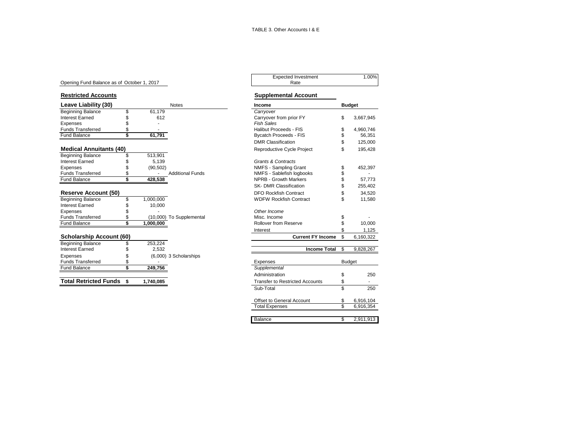#### Opening Fund Balance as of October 1, 2017

| <b>Beginning Balance</b><br>61,179<br>\$<br>Carryover<br>Interest Earned<br>612<br>Carryover from prior FY<br>\$<br>3,667,945<br><b>Fish Sales</b><br>Expenses<br><b>Funds Transferred</b><br>Halibut Proceeds - FIS<br>4,960,746<br>\$<br>\$<br>61,791<br>Fund Balance<br><b>Bycatch Proceeds - FIS</b><br>56,351<br><b>DMR Classification</b><br>125,000<br><b>Medical Annuitants (40)</b><br>195,428<br>Reproductive Cycle Project<br>\$<br>513,901<br><b>Beginning Balance</b><br>Interest Earned<br>5,139<br><b>Grants &amp; Contracts</b><br>NMFS - Sampling Grant<br>(90, 502)<br>452,397<br>Expenses<br>\$<br><b>Funds Transferred</b><br><b>Additional Funds</b><br>NMFS - Sablefish logbooks<br>\$<br>\$<br><b>NPRB - Growth Markers</b><br><b>Fund Balance</b><br>57,773<br>428,538<br><b>SK-DMR Classification</b><br>255,402<br><b>Reserve Account (50)</b><br><b>DFO Rockfish Contract</b><br>34,520<br>\$<br><b>Beginning Balance</b><br>1,000,000<br><b>WDFW Rockfish Contract</b><br>\$<br>\$<br>11.580<br>Interest Earned<br>10.000<br>Other Income<br>Expenses<br><b>Funds Transferred</b><br>Misc. Income<br>\$<br>(10,000) To Supplemental<br>S<br>Rollover from Reserve<br>1,000,000<br>10.000<br><b>Fund Balance</b><br>1,125<br>Interest<br><b>Scholarship Account (60)</b><br><b>Current FY Income</b><br>\$<br>6,160,322<br>253,224<br><b>Beginning Balance</b><br><b>Interest Earned</b><br><b>Income Total</b><br>9,828,267<br>2.532<br>\$.<br>(6,000) 3 Scholarships<br>Expenses<br><b>Funds Transferred</b><br>Budget<br>Expenses<br><b>Fund Balance</b><br>\$<br>249.756<br>Supplemental | Leave Liability (30) |  | <b>Notes</b><br>Income | <b>Budget</b> |
|-------------------------------------------------------------------------------------------------------------------------------------------------------------------------------------------------------------------------------------------------------------------------------------------------------------------------------------------------------------------------------------------------------------------------------------------------------------------------------------------------------------------------------------------------------------------------------------------------------------------------------------------------------------------------------------------------------------------------------------------------------------------------------------------------------------------------------------------------------------------------------------------------------------------------------------------------------------------------------------------------------------------------------------------------------------------------------------------------------------------------------------------------------------------------------------------------------------------------------------------------------------------------------------------------------------------------------------------------------------------------------------------------------------------------------------------------------------------------------------------------------------------------------------------------------------------------------------------------------------------------|----------------------|--|------------------------|---------------|
|                                                                                                                                                                                                                                                                                                                                                                                                                                                                                                                                                                                                                                                                                                                                                                                                                                                                                                                                                                                                                                                                                                                                                                                                                                                                                                                                                                                                                                                                                                                                                                                                                         |                      |  |                        |               |
|                                                                                                                                                                                                                                                                                                                                                                                                                                                                                                                                                                                                                                                                                                                                                                                                                                                                                                                                                                                                                                                                                                                                                                                                                                                                                                                                                                                                                                                                                                                                                                                                                         |                      |  |                        |               |
|                                                                                                                                                                                                                                                                                                                                                                                                                                                                                                                                                                                                                                                                                                                                                                                                                                                                                                                                                                                                                                                                                                                                                                                                                                                                                                                                                                                                                                                                                                                                                                                                                         |                      |  |                        |               |
|                                                                                                                                                                                                                                                                                                                                                                                                                                                                                                                                                                                                                                                                                                                                                                                                                                                                                                                                                                                                                                                                                                                                                                                                                                                                                                                                                                                                                                                                                                                                                                                                                         |                      |  |                        |               |
|                                                                                                                                                                                                                                                                                                                                                                                                                                                                                                                                                                                                                                                                                                                                                                                                                                                                                                                                                                                                                                                                                                                                                                                                                                                                                                                                                                                                                                                                                                                                                                                                                         |                      |  |                        |               |
|                                                                                                                                                                                                                                                                                                                                                                                                                                                                                                                                                                                                                                                                                                                                                                                                                                                                                                                                                                                                                                                                                                                                                                                                                                                                                                                                                                                                                                                                                                                                                                                                                         |                      |  |                        |               |
|                                                                                                                                                                                                                                                                                                                                                                                                                                                                                                                                                                                                                                                                                                                                                                                                                                                                                                                                                                                                                                                                                                                                                                                                                                                                                                                                                                                                                                                                                                                                                                                                                         |                      |  |                        |               |
|                                                                                                                                                                                                                                                                                                                                                                                                                                                                                                                                                                                                                                                                                                                                                                                                                                                                                                                                                                                                                                                                                                                                                                                                                                                                                                                                                                                                                                                                                                                                                                                                                         |                      |  |                        |               |
|                                                                                                                                                                                                                                                                                                                                                                                                                                                                                                                                                                                                                                                                                                                                                                                                                                                                                                                                                                                                                                                                                                                                                                                                                                                                                                                                                                                                                                                                                                                                                                                                                         |                      |  |                        |               |
|                                                                                                                                                                                                                                                                                                                                                                                                                                                                                                                                                                                                                                                                                                                                                                                                                                                                                                                                                                                                                                                                                                                                                                                                                                                                                                                                                                                                                                                                                                                                                                                                                         |                      |  |                        |               |
|                                                                                                                                                                                                                                                                                                                                                                                                                                                                                                                                                                                                                                                                                                                                                                                                                                                                                                                                                                                                                                                                                                                                                                                                                                                                                                                                                                                                                                                                                                                                                                                                                         |                      |  |                        |               |
|                                                                                                                                                                                                                                                                                                                                                                                                                                                                                                                                                                                                                                                                                                                                                                                                                                                                                                                                                                                                                                                                                                                                                                                                                                                                                                                                                                                                                                                                                                                                                                                                                         |                      |  |                        |               |
|                                                                                                                                                                                                                                                                                                                                                                                                                                                                                                                                                                                                                                                                                                                                                                                                                                                                                                                                                                                                                                                                                                                                                                                                                                                                                                                                                                                                                                                                                                                                                                                                                         |                      |  |                        |               |
|                                                                                                                                                                                                                                                                                                                                                                                                                                                                                                                                                                                                                                                                                                                                                                                                                                                                                                                                                                                                                                                                                                                                                                                                                                                                                                                                                                                                                                                                                                                                                                                                                         |                      |  |                        |               |
|                                                                                                                                                                                                                                                                                                                                                                                                                                                                                                                                                                                                                                                                                                                                                                                                                                                                                                                                                                                                                                                                                                                                                                                                                                                                                                                                                                                                                                                                                                                                                                                                                         |                      |  |                        |               |
|                                                                                                                                                                                                                                                                                                                                                                                                                                                                                                                                                                                                                                                                                                                                                                                                                                                                                                                                                                                                                                                                                                                                                                                                                                                                                                                                                                                                                                                                                                                                                                                                                         |                      |  |                        |               |
|                                                                                                                                                                                                                                                                                                                                                                                                                                                                                                                                                                                                                                                                                                                                                                                                                                                                                                                                                                                                                                                                                                                                                                                                                                                                                                                                                                                                                                                                                                                                                                                                                         |                      |  |                        |               |
|                                                                                                                                                                                                                                                                                                                                                                                                                                                                                                                                                                                                                                                                                                                                                                                                                                                                                                                                                                                                                                                                                                                                                                                                                                                                                                                                                                                                                                                                                                                                                                                                                         |                      |  |                        |               |
|                                                                                                                                                                                                                                                                                                                                                                                                                                                                                                                                                                                                                                                                                                                                                                                                                                                                                                                                                                                                                                                                                                                                                                                                                                                                                                                                                                                                                                                                                                                                                                                                                         |                      |  |                        |               |
|                                                                                                                                                                                                                                                                                                                                                                                                                                                                                                                                                                                                                                                                                                                                                                                                                                                                                                                                                                                                                                                                                                                                                                                                                                                                                                                                                                                                                                                                                                                                                                                                                         |                      |  |                        |               |
|                                                                                                                                                                                                                                                                                                                                                                                                                                                                                                                                                                                                                                                                                                                                                                                                                                                                                                                                                                                                                                                                                                                                                                                                                                                                                                                                                                                                                                                                                                                                                                                                                         |                      |  |                        |               |
|                                                                                                                                                                                                                                                                                                                                                                                                                                                                                                                                                                                                                                                                                                                                                                                                                                                                                                                                                                                                                                                                                                                                                                                                                                                                                                                                                                                                                                                                                                                                                                                                                         |                      |  |                        |               |
|                                                                                                                                                                                                                                                                                                                                                                                                                                                                                                                                                                                                                                                                                                                                                                                                                                                                                                                                                                                                                                                                                                                                                                                                                                                                                                                                                                                                                                                                                                                                                                                                                         |                      |  |                        |               |
|                                                                                                                                                                                                                                                                                                                                                                                                                                                                                                                                                                                                                                                                                                                                                                                                                                                                                                                                                                                                                                                                                                                                                                                                                                                                                                                                                                                                                                                                                                                                                                                                                         |                      |  |                        |               |
|                                                                                                                                                                                                                                                                                                                                                                                                                                                                                                                                                                                                                                                                                                                                                                                                                                                                                                                                                                                                                                                                                                                                                                                                                                                                                                                                                                                                                                                                                                                                                                                                                         |                      |  |                        |               |
|                                                                                                                                                                                                                                                                                                                                                                                                                                                                                                                                                                                                                                                                                                                                                                                                                                                                                                                                                                                                                                                                                                                                                                                                                                                                                                                                                                                                                                                                                                                                                                                                                         |                      |  |                        |               |

**Total Retricted Funds \$ 1,740,085** 

# Expected Investment 1.00%<br>Rate

#### **Restricted Accounts Supplemental Account**

| Income                                 | <b>Budget</b>   |
|----------------------------------------|-----------------|
| Carryover                              |                 |
| Carryover from prior FY                | \$<br>3,667,945 |
| <b>Fish Sales</b>                      |                 |
| Halibut Proceeds - FIS                 | \$<br>4,960,746 |
| <b>Bycatch Proceeds - FIS</b>          | \$<br>56,351    |
| <b>DMR Classification</b>              | \$<br>125,000   |
| Reproductive Cycle Project             | \$<br>195,428   |
| <b>Grants &amp; Contracts</b>          |                 |
| <b>NMFS - Sampling Grant</b>           | \$<br>452,397   |
| NMFS - Sablefish logbooks              | \$              |
| <b>NPRB - Growth Markers</b>           | \$<br>57,773    |
| <b>SK- DMR Classification</b>          | \$<br>255,402   |
| <b>DFO Rockfish Contract</b>           | \$<br>34.520    |
| <b>WDFW Rockfish Contract</b>          | \$<br>11,580    |
| Other Income                           |                 |
| Misc. Income                           | \$              |
| Rollover from Reserve                  | \$<br>10,000    |
| Interest                               | \$<br>1,125     |
| <b>Current FY Income</b>               | \$<br>6,160,322 |
| <b>Income Total</b>                    | \$<br>9,828,267 |
| Expenses                               | <b>Budget</b>   |
| Supplemental                           |                 |
| Administration                         | \$<br>250       |
| <b>Transfer to Restricted Accounts</b> | \$              |
| Sub-Total                              | \$<br>250       |
| Offset to General Account              | \$<br>6,916,104 |
| <b>Total Expenses</b>                  | \$<br>6,916,354 |
|                                        |                 |
| Balance                                | \$<br>2,911,913 |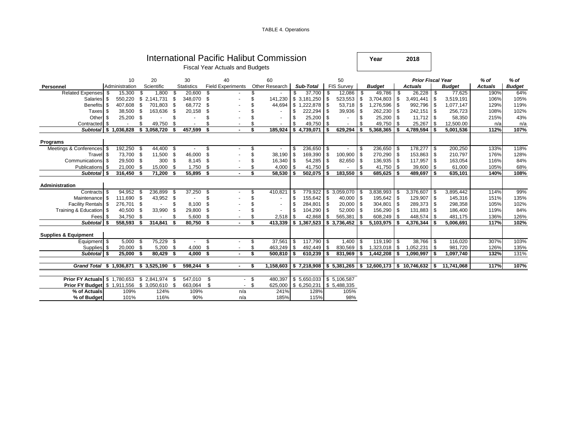TABLE 4. Operations

|                                                     |                                                                                             |                |      |                      |      |                   |      | International Pacific Halibut Commission |    |                |    |                      |                    |                          |      | Year                                                                           |          | 2018                     |      |               |                |               |
|-----------------------------------------------------|---------------------------------------------------------------------------------------------|----------------|------|----------------------|------|-------------------|------|------------------------------------------|----|----------------|----|----------------------|--------------------|--------------------------|------|--------------------------------------------------------------------------------|----------|--------------------------|------|---------------|----------------|---------------|
|                                                     |                                                                                             |                |      |                      |      |                   |      | <b>Fiscal Year Actuals and Budgets</b>   |    |                |    |                      |                    |                          |      |                                                                                |          |                          |      |               |                |               |
|                                                     |                                                                                             |                |      |                      |      |                   |      |                                          |    |                |    |                      |                    |                          |      |                                                                                |          |                          |      |               |                |               |
|                                                     |                                                                                             | 10             |      | 20                   |      | 30                |      | 40                                       |    | 60             |    |                      |                    | 50                       |      |                                                                                |          | <b>Prior Fiscal Year</b> |      |               | % of           | $%$ of        |
| Personnel                                           |                                                                                             | Administration |      | Scientific           |      | <b>Statistics</b> |      | <b>Field Experiments</b>                 |    | Other Research |    | Sub-Total            |                    | <b>FIS Survey</b>        |      | <b>Budget</b>                                                                  |          | <b>Actuals</b>           |      | <b>Budget</b> | <b>Actuals</b> | <b>Budget</b> |
| <b>Related Expenses</b>                             | - \$                                                                                        | 15,300         |      | 1,800                | \$.  | 20,600            | \$   |                                          |    |                | \$ | 37,700               | - \$               | 12,086                   | - \$ | 49,786                                                                         | \$       | 26,228                   | \$   | 77,625        | 190%           | 64%           |
| Salaries \$                                         |                                                                                             |                |      | 550,220 \$ 2,141,731 | -\$  | 348,070           | \$   |                                          |    | 141,230        |    | \$3,181,250          | \$                 | 523,553                  | \$   | 3,704,803                                                                      | \$       | 3,491,441                | \$   | 3,519,191     | 106%           | 105%          |
| Benefits \$                                         |                                                                                             | 407,608        | -\$  | 701,803              | - \$ | 68,772            | S.   |                                          |    | 44,694         |    | \$1,222,878          | l \$               | $53,718$ \$              |      | 1,276,596                                                                      | \$       | 992,796                  | \$   | 1,077,147     | 129%           | 119%          |
| Taxes                                               | \$                                                                                          | 38,500 \$      |      | 163,636              | \$   | 20,158            | \$   |                                          |    |                | \$ | 222,294              | \$                 | 39,936                   | \$   | 262,230                                                                        | \$       | 242,151                  | \$   | 256,723       | 108%           | 102%          |
| Other                                               | -\$                                                                                         | 25,200 \$      |      | ٠                    | \$   |                   | \$   |                                          |    |                | \$ | 25,200               | -\$                |                          | \$   | 25,200                                                                         | \$       | 11,712                   | \$   | 58,350        | 215%           | 43%           |
| Contracted \$                                       |                                                                                             |                | \$   | 49,750               | \$.  |                   |      |                                          |    | $\sim$         | \$ | 49,750               | - \$               | $\overline{\phantom{a}}$ |      | 49,750                                                                         | \$       | 25,267                   | \$   | 12,500.00     | n/a            | n/a           |
| Subtotal   \$ 1,036,828 \$ 3,058,720                |                                                                                             |                |      |                      | - \$ | 457,599           | - \$ |                                          | \$ | 185.924        |    | \$4,739,071          | \$                 | 629,294                  | \$   | 5,368,365                                                                      | \$       | 4,789,594                | \$   | 5,001,536     | 112%           | 107%          |
| Programs                                            |                                                                                             |                |      |                      |      |                   |      |                                          |    |                |    |                      |                    |                          |      |                                                                                |          |                          |      |               |                |               |
| Meetings & Conferences \$                           | 192,250 \$<br>44,400 \$<br>236,650<br>-\$<br>S<br>-\$<br>$\sim$                             |                |      |                      |      |                   |      |                                          |    |                |    |                      |                    |                          | - \$ | 236,650 \$                                                                     |          | 178,277 \$               |      | 200,250       | 133%           | 118%          |
| Travel \$                                           |                                                                                             | 73,700 \$      |      | 11,500 \$            |      | 46,000            | \$   |                                          |    | 38,190         | \$ | 169,390              | -\$                | 100,900                  | l \$ | 270,290                                                                        | -\$      | 153,863 \$               |      | 210,797       | 176%           | 128%          |
| Communications \$                                   |                                                                                             | 29,500 \$      |      | 300 <sup>5</sup>     |      | 8,145             | - \$ |                                          | \$ | 16,340         | \$ | 54,285               | \$                 | $82,650$ \$              |      | 136,935                                                                        | \$       | 117,957 \$               |      | 163,054       | 116%           | 84%           |
|                                                     | \$<br>21,000 \$<br>15,000<br>1,750<br>4,000<br>41,750<br>Publications \$<br>-\$<br>\$<br>\$ |                |      |                      |      |                   |      |                                          |    |                |    |                      |                    |                          | -S   | 41,750                                                                         | <b>S</b> | 39,600                   | \$   | 61,000        | 105%           | 68%           |
| Subtotal S                                          |                                                                                             | 316.450        | - \$ | 71.200               |      | 55,895 \$         |      |                                          |    | 58.530         | \$ | 502,075              | $\sqrt{3}$<br>∣ \$ | 183.550                  | -\$  | 685.625                                                                        | l \$     | 489.697 \$               |      | 635,101       | 140%           | 108%          |
|                                                     |                                                                                             |                |      |                      |      |                   |      |                                          |    |                |    |                      |                    |                          |      |                                                                                |          |                          |      |               |                |               |
| Administration                                      |                                                                                             |                |      |                      |      |                   |      |                                          |    |                |    |                      |                    |                          |      |                                                                                |          |                          |      |               |                |               |
| Contracts \$                                        |                                                                                             | 94,952 \$      |      | 236,899              |      | 37,250            | - \$ |                                          |    | 410,821        | \$ | 779,922              |                    | \$3,059,070              | -\$  | 3,838,993                                                                      |          | 3,376,607                | - \$ | 3,895,442     | 114%           | 99%           |
| Maintenance \$                                      |                                                                                             | 111,690 \$     |      | 43,952 \$            |      |                   | \$   |                                          |    |                | \$ | $155,642$ \$         |                    | $40,000$ \$              |      | 195,642                                                                        | -\$      | 129,907                  | \$   | 145,316       | 151%           | 135%          |
| Facility Rentals \$                                 |                                                                                             | 276,701 \$     |      | $\sim$               |      | 8,100             | \$   |                                          |    |                | \$ | 284,801              | $\sqrt{3}$         | $20,000$ \$              |      | 304,801                                                                        | \$       | 289,373 \$               |      | 298,358       | 105%           | 102%          |
| Training & Education \$                             |                                                                                             | 40,500 \$      |      | 33,990               | \$   | 29,800            | S.   |                                          |    |                | \$ | 104,290              | -\$                | $52,000$ \$              |      | 156,290                                                                        | l \$     | 131,883 \$               |      | 186,400       | 119%           | 84%           |
| Fees \$                                             |                                                                                             | 34,750 \$      |      |                      |      | 5,600             | \$   |                                          |    | 2,518          | \$ | 42,868               | - \$               | 565,381                  | l \$ | 608,249                                                                        | -\$      | 448,574                  | \$   | 481,175       | 136%           | 126%          |
| Subtotal \$                                         |                                                                                             | 558,593        | Ŝ.   | 314,841              |      | 80,750 \$         |      |                                          | \$ | 413.339        |    | \$1,367,523          | - \$               | 3,736,452                | Ŝ.   | 5,103,975                                                                      |          | 4,376,344                | Ŝ.   | 5,006,691     | 117%           | 102%          |
| <b>Supplies &amp; Equipment</b>                     |                                                                                             |                |      |                      |      |                   |      |                                          |    |                |    |                      |                    |                          |      |                                                                                |          |                          |      |               |                |               |
| Equipment \$                                        |                                                                                             | $5,000$ \$     |      | 75,229 \$            |      |                   | \$   |                                          |    | 37,561         | \$ | 117,790 \$           |                    | $1,400$ \$               |      | $119,190$ \$                                                                   |          | 38,766 \$                |      | 116,020       | 307%           | 103%          |
| Supplies \$                                         |                                                                                             | 20,000 \$      |      | 5,200                | - \$ | 4,000             | S.   |                                          |    | 463,249        | \$ | 492,449              | <b>\$</b>          | 830,569 \$               |      | 1,323,018                                                                      | <b>S</b> | 1,052,231                | \$   | 981,720       | 126%           | 135%          |
| Subtotal \$                                         |                                                                                             | 25.000         | - \$ | 80.429               |      | 4.000             | -\$  |                                          | \$ | 500,810        | \$ | 610,239              | -\$                | 831,969                  | Ŝ.   | 1.442.208                                                                      | \$       | 1.090.997                | Ŝ.   | 1,097,740     | 132%           | 131%          |
|                                                     |                                                                                             |                |      |                      |      |                   |      |                                          |    |                |    |                      |                    |                          |      |                                                                                |          |                          |      |               |                |               |
| Grand Total \$ 1,936,871                            |                                                                                             |                |      | \$3,525,190          |      | 598.244 \$        |      |                                          |    | 1.158.603      |    |                      |                    |                          |      | $\frac{1}{2}$ \$ 7,218,908 \ \$ 5,381,265 \ \$ 12,600,173 \ \$ 10,746,632 \ \$ |          |                          |      | 11.741.068    | 117%           | 107%          |
|                                                     |                                                                                             |                |      |                      |      |                   |      |                                          |    |                |    |                      |                    |                          |      |                                                                                |          |                          |      |               |                |               |
| <b>Prior FY Actuals \$ 1,780,653 \$ 2,841,974</b>   |                                                                                             |                |      |                      |      | 547,010           | \$   | $-$ \$                                   |    |                |    | 480,397 \$ 5,650,033 |                    | \$5,106,587              |      |                                                                                |          |                          |      |               |                |               |
| <b>Prior FY Budget \$ 1,911,556 \$ 3,050,610 \$</b> |                                                                                             |                |      |                      |      | 663,064           | \$.  |                                          |    | 625,000        |    | \$6,250,231          |                    | \$5,488,335              |      |                                                                                |          |                          |      |               |                |               |
| % of Actuals                                        |                                                                                             | 109%           |      | 124%                 |      | 109%              |      | n/a                                      |    | 241%           |    | 128%                 |                    | 105%                     |      |                                                                                |          |                          |      |               |                |               |
| % of Budget                                         |                                                                                             | 101%           |      | 116%                 |      | 90%               |      | n/a                                      |    | 185%           |    | 115%                 |                    | 98%                      |      |                                                                                |          |                          |      |               |                |               |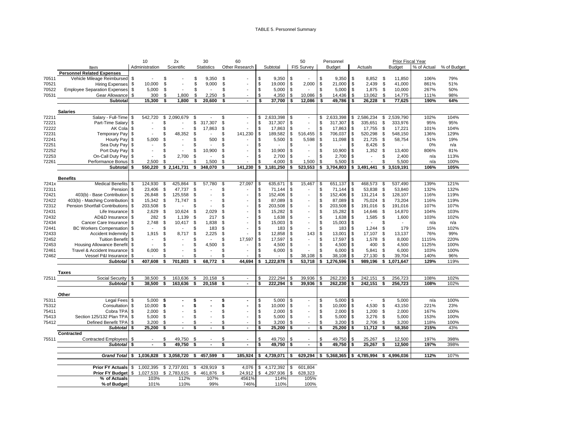#### TABLE 5. Personnel Summary

|                |                                                         |          | 10                       | 2x                                   |          | 30                       |          | 60                       |                |                       |          | 50                       |             | Personnel                               |            |                                   |           | Prior Fiscal Year       |              |             |
|----------------|---------------------------------------------------------|----------|--------------------------|--------------------------------------|----------|--------------------------|----------|--------------------------|----------------|-----------------------|----------|--------------------------|-------------|-----------------------------------------|------------|-----------------------------------|-----------|-------------------------|--------------|-------------|
|                | Item                                                    |          | Administration           | Scientific                           |          | <b>Statistics</b>        |          | Other Research           |                | Subtotal              |          | <b>FIS Survey</b>        |             | <b>Budget</b>                           |            | Actuals                           |           | <b>Budget</b>           | % of Actual  | % of Budget |
|                | <b>Personnel Related Expenses</b>                       |          |                          |                                      |          |                          |          |                          |                |                       |          |                          |             |                                         |            |                                   |           |                         |              |             |
| 70511          | Vehicle Mileage Reimbursed                              | \$       |                          | \$<br>$\blacksquare$                 |          | \$<br>9,350              | \$       |                          | \$             | 9,350                 | \$       |                          | \$          | 9,350                                   | \$         | 8,852 \$                          |           | 11,850                  | 106%         | 79%         |
| 70521          | <b>Hiring Expenses</b>                                  | \$       | 10,000                   | \$<br>$\blacksquare$                 |          | 9,000<br>\$              | \$       |                          | \$             | 19,000                | \$       | 2,000                    | \$          | 21,000                                  | \$         | 2,439                             | -\$       | 41,000                  | 861%         | 51%         |
| 70522          | <b>Employee Separation Expenses</b>                     | \$       | 5,000                    | \$                                   |          | \$                       | \$       |                          | \$             | 5,000                 | \$       |                          | \$          | 5,000                                   | \$         | 1,875                             | - \$      | 10,000                  | 267%         | 50%         |
| 70531          | Gear Allowance                                          | \$       | 300                      | \$<br>1,800                          |          | \$<br>2,250              | \$       |                          | $\mathfrak{R}$ | 4,350                 | \$       | 10,086                   | <b>S</b>    | 14,436                                  | \$         | 13,062                            | Ŝ.        | 14,775                  | 111%         | 98%         |
|                | Subtotal                                                |          | 15,300                   | \$<br>1,800                          |          | \$<br>20,600             | Ŝ        | $\blacksquare$           | \$             | 37,700                | \$       | 12,086                   |             | 49,786                                  | \$         | 26,228                            | \$        | 77,625                  | 190%         | 64%         |
|                |                                                         |          |                          |                                      |          |                          |          |                          |                |                       |          |                          |             |                                         |            |                                   |           |                         |              |             |
|                | <b>Salaries</b>                                         |          |                          |                                      |          |                          |          |                          |                |                       |          |                          |             |                                         |            |                                   |           |                         |              |             |
| 72211          | Salary - Full-Time                                      | \$       | 542.720                  | \$2,090,679                          | \$       |                          | \$       |                          | \$             | 2,633,398             | \$       |                          | \$          | 2,633,398                               |            | \$2,586,234                       | \$        | 2.539.790               | 102%         | 104%        |
| 72221          | Part-Time Salary                                        | \$       | $\overline{\phantom{a}}$ | \$                                   |          | \$<br>317,307            | \$       |                          | \$             | 317,307               | \$       |                          | \$          | 317,307                                 | \$         | 335,651                           | \$        | 333,976                 | 95%          | 95%         |
| 72222          | AK Cola                                                 | \$       |                          | \$                                   | \$       | 17,863                   | \$       |                          | \$             | 17,863                | \$       |                          | \$          | 17,863                                  | \$         | 17,755                            | \$        | 17,221                  | 101%         | 104%        |
| 72231          | <b>Temporary Pay</b>                                    | \$       |                          | 48,352<br>\$                         | \$       |                          | \$       | 141,230                  | \$             | 189,582               | \$       | 516,455                  | \$          | 706,037                                 | \$         | 520,298                           | \$        | 548,150                 | 136%         | 129%        |
| 72241          | Hourly Pay                                              | \$       | 5,000                    | \$<br>$\blacksquare$                 | \$       | 500                      | \$       |                          | \$             | 5,500                 | \$       | 5,598                    | \$          | 11,098                                  | \$         | 21,725                            | \$        | 58,754                  | 51%          | 19%         |
| 72251          | Sea Duty Pay                                            | \$       | $\overline{\phantom{a}}$ | \$                                   | \$       |                          | \$       |                          | \$             |                       | \$       |                          | \$          |                                         | \$         | 8,426                             | \$        |                         | 0%           | n/a         |
| 72252          | Port Duty Pay                                           | \$       |                          | \$.<br>$\overline{a}$                | \$       | 10,900                   | \$       |                          | \$             | 10,900                | \$       |                          | \$          | 10,900                                  | \$         | 1,352                             | \$        | 13,400                  | 806%         | 81%         |
| 72253          | On-Call Duty Pay                                        | \$       |                          | 2,700<br>\$                          | \$       |                          | \$       |                          | \$             | 2,700                 | \$       |                          | \$          | 2,700                                   | \$         | $\overline{\phantom{a}}$          | \$        | 2,400                   | n/a          | 113%        |
| 72261          | Performance Bonus                                       | \$       | 2,500                    | \$.                                  | \$       | 1,500                    | \$       |                          | \$             | 4,000                 | \$       | 1,500                    | \$          | 5,500                                   | \$         |                                   | \$        | 5,500                   | n/a          | 100%        |
|                | <b>Subtotal</b>                                         | \$       | 550,220                  | \$2,141,731                          | \$       | 348,070                  | \$       | 141.230                  | \$             | 3,181,250             | \$       | 523,553                  | \$          | 3,704,803                               | \$         | 3,491,441                         | \$        | 3,519,191               | 106%         | 105%        |
|                |                                                         |          |                          |                                      |          |                          |          |                          |                |                       |          |                          |             |                                         |            |                                   |           |                         |              |             |
|                | <b>Benefits</b>                                         |          |                          |                                      |          |                          |          |                          |                |                       |          |                          |             |                                         |            |                                   |           |                         |              |             |
| 7241x          | <b>Medical Benefits</b>                                 | \$       | 124,930                  | \$<br>425,864                        | \$       | 57,780                   | \$       | 27,097                   | \$             | 635,671               | \$       | 15,467                   | \$          | 651,137                                 | \$         | 468,573                           | \$        | 537,490                 | 139%         | 121%        |
| 72311          | Pension                                                 | \$       | 23,406                   | \$<br>47,737                         | \$       | $\overline{\phantom{a}}$ | \$       |                          | \$             | 71,144                | \$       | $\overline{\phantom{a}}$ | \$<br>\$    | 71,144                                  | \$         | 53,838                            | \$        | 53,840                  | 132%         | 132%        |
| 72421          | 403(b) - Base Contribution                              | \$       | 26,848                   | \$<br>125,558                        | \$       | ÷,                       | \$       |                          | \$             | 152,406               | \$       |                          |             | 152,406                                 | \$         | 131,214                           | \$        | 128,107                 | 116%         | 119%        |
| 72422          | 403(b) - Matching Contribution                          | \$       | 15,342                   | \$<br>71,747<br>$\overline{a}$       | \$       |                          | \$       |                          | \$             | 87,089                | \$       |                          | $\mathbb S$ | 87,089                                  | \$         | 75,024                            | \$        | 73,204                  | 116%         | 119%        |
| 72312          | <b>Pension Shortfall Contributions</b>                  | \$       | 203,508                  | \$                                   | \$       |                          | \$       |                          | \$             | 203,508               | \$       |                          | \$          | 203,508                                 | \$         | 191,016                           | \$        | 191,016                 | 107%         | 107%        |
| 72431<br>72432 | Life Insurance                                          | \$       | 2,629<br>282             | 10,624<br>\$                         | \$       | 2,029<br>217             | \$<br>\$ |                          | \$<br>\$       | 15,282                | \$<br>\$ |                          | \$<br>\$    | 15,282                                  | \$<br>Ŝ.   | 14,646                            | -\$<br>\$ | 14,870                  | 104%<br>103% | 103%        |
|                | AD&D Insurance                                          | \$       |                          | \$<br>1,139                          | \$       |                          | \$       |                          | \$             | 1,638                 |          |                          | \$          | 1,638                                   |            | 1,585<br>$\overline{\phantom{a}}$ | \$        | 1,600<br>$\blacksquare$ |              | 102%        |
| 72434<br>72441 | Cancer Care Insurance<br><b>BC Workers Compensation</b> | \$<br>\$ | 2,748<br>$\blacksquare$  | \$<br>10,417<br>\$<br>$\overline{a}$ | \$<br>\$ | 1,838<br>183             | \$       |                          | \$             | 15,003<br>183         | \$<br>\$ |                          | \$          | 15,003<br>183                           | \$<br>- \$ | 1,244                             | -\$       | 179                     | n/a<br>15%   | n/a<br>102% |
| 72433          | Accident Indemnity                                      | \$       | 1,915                    | \$<br>8,717                          | \$       | 2,225                    | \$       |                          | \$             | 12,858                | \$       | 143                      | \$          | 13,001                                  | \$         | 17,107                            | \$        | 13,137                  | 76%          | 99%         |
| 72452          | <b>Tuition Benefit</b>                                  | \$       |                          | S                                    | \$       |                          | \$       | 17,597                   | \$             | 17,597                | \$       |                          | \$          | 17,597                                  | Ŝ.         | 1,578                             | -\$       | 8,000                   | 1115%        | 220%        |
| 72453          | <b>Housing Allowance Benefit</b>                        | \$       | $\blacksquare$           | \$.                                  | \$       | 4,500                    | \$       |                          | \$             | 4,500                 | \$       |                          | \$          | 4,500                                   | \$         | 400 \$                            |           | 4,500                   | 1125%        | 100%        |
| 72461          | Travel & Accident Insurance                             | \$       | 6,000                    | \$<br>$\blacksquare$                 | \$       | $\overline{a}$           | \$       |                          | \$             | 6,000                 | -\$      |                          | \$          | 6,000                                   | \$         | $5,841$ \$                        |           | 6,000                   | 103%         | 100%        |
| 72462          | Vessel P&I Insurance                                    |          |                          | ፍ                                    | \$       |                          | \$       |                          | \$             |                       | \$       | 38,108                   | \$          | 38,108                                  | \$         | 27,130                            | \$        | 39,704                  | 140%         | 96%         |
|                | <b>Subtotal</b>                                         | \$       | 407.608                  | \$<br>701.803                        | \$       | 68.772                   | \$       | 44.694                   | s.             | 1,222,878             | \$       | 53,718                   | \$          | 1,276,596                               | \$         | 989,196                           |           | \$1,071,647             | 129%         | 119%        |
|                |                                                         |          |                          |                                      |          |                          |          |                          |                |                       |          |                          |             |                                         |            |                                   |           |                         |              |             |
|                | Taxes                                                   |          |                          |                                      |          |                          |          |                          |                |                       |          |                          |             |                                         |            |                                   |           |                         |              |             |
| 72511          | Social Security                                         | \$       | 38,500                   | \$<br>163,636                        | \$       | 20,158                   | \$       | $\overline{\phantom{a}}$ | \$             | 222,294               | \$       | 39,936                   | S           | 262,230                                 |            | 242,151                           | \$        | 256,723                 | 108%         | 102%        |
|                | <b>Subtotal</b>                                         | \$       | 38,500                   | \$<br>163,636                        | \$       | 20,158                   | \$       | $\blacksquare$           | \$             | 222,294               | \$       | 39,936                   | \$          | 262,230                                 |            | 242,151                           | \$        | 256,723                 | 108%         | 102%        |
|                |                                                         |          |                          |                                      |          |                          |          |                          |                |                       |          |                          |             |                                         |            |                                   |           |                         |              |             |
| 75311          | Other<br><b>Legal Fees</b>                              | \$       | 5,000                    | \$                                   | \$       |                          | \$       |                          | \$             | 5,000                 | \$       |                          | \$          | 5,000                                   | \$         | $\overline{\phantom{a}}$          | \$        | 5,000                   | n/a          | 100%        |
| 75312          | Consultation                                            | \$       | 10,000                   | \$                                   | \$       |                          | \$       |                          | \$             | 10,000                | \$       |                          | \$          | 10,000                                  | \$         | 4,530                             | \$        | 43,150                  | 221%         | 23%         |
| 75411          | Cobra TPA                                               | \$       | 2,000                    | \$                                   | \$       |                          | \$       |                          | \$             | 2,000                 | \$       | $\overline{\phantom{a}}$ | \$          | 2,000                                   | \$         | $1,200$ \$                        |           | 2,000                   | 167%         | 100%        |
| 75413          | Section 125/132 Plan TPA                                | \$       | 5,000                    | \$<br>÷,                             | \$       | ÷,                       | \$       |                          | \$             | 5,000                 | \$       | $\sim$                   | \$          | 5,000                                   | \$         | $3,276$ \$                        |           | 5,000                   | 153%         | 100%        |
| 75412          | Defined Benefit TPA                                     | \$       | 3,200                    | \$                                   | \$       |                          | \$       |                          | \$             | 3,200                 | \$       | $\overline{a}$           | \$          | 3,200                                   | \$         | 2,706                             | \$        | 3,200                   | 118%         | 100%        |
|                | <b>Subtotal</b>                                         | S.       | 25,200                   | \$<br>$\blacksquare$                 | \$       |                          | \$       | $\blacksquare$           | \$             | 25,200                | \$       | $\blacksquare$           | \$          | 25,200                                  | \$         | 11,712                            | \$        | 58,350                  | 215%         | 43%         |
|                | Contracted                                              |          |                          |                                      |          |                          |          |                          |                |                       |          |                          |             |                                         |            |                                   |           |                         |              |             |
| 75511          | <b>Contracted Employees</b>                             | \$       |                          | 49,750<br>\$.                        | \$       |                          | \$       |                          | \$             | 49,750                | \$       |                          | \$          | 49,750                                  | S.         | 25,267                            | -\$       | 12,500                  | 197%         | 398%        |
|                | <b>Subtotal</b>                                         | \$       | $\blacksquare$           | \$<br>49,750                         | \$       |                          | \$       | $\blacksquare$           | \$             | 49,750                | \$       | $\sim$                   | \$          | 49,750                                  | \$         | 25,267                            | -\$       | 12,500                  | 197%         | 398%        |
|                |                                                         |          |                          |                                      |          |                          |          |                          |                |                       |          |                          |             |                                         |            |                                   |           |                         |              |             |
|                | Grand Total \$                                          |          | 1,036,828                | \$3,058,720                          | \$       | 457,599                  | -S       |                          |                | 185,924   \$4,739,071 | -\$      |                          |             | $629,294$   \$ 5,368,365   \$ 4,785,994 |            |                                   |           | \$4,996,036             | 112%         | 107%        |
|                |                                                         | \$       | 1,002,395                | \$2,737,001                          | \$       | 428,919                  | - \$     | 4,076                    |                | \$4,172,392           | \$       | 601,804                  |             |                                         |            |                                   |           |                         |              |             |
|                | <b>Prior FY Actuals</b><br><b>Prior FY Budget</b>       |          | 1,027,533                | \$2,783,615                          |          | \$<br>461,876            | \$       | 24,912                   | \$             | 4,297,936             | \$       | 628,323                  |             |                                         |            |                                   |           |                         |              |             |
|                | % of Actuals                                            | \$       | 103%                     | 112%                                 |          | 107%                     |          | 4561%                    |                | 114%                  |          | 105%                     |             |                                         |            |                                   |           |                         |              |             |
|                | % of Budget                                             |          | 101%                     | 110%                                 |          | 99%                      |          | 746%                     |                | 110%                  |          | 100%                     |             |                                         |            |                                   |           |                         |              |             |
|                |                                                         |          |                          |                                      |          |                          |          |                          |                |                       |          |                          |             |                                         |            |                                   |           |                         |              |             |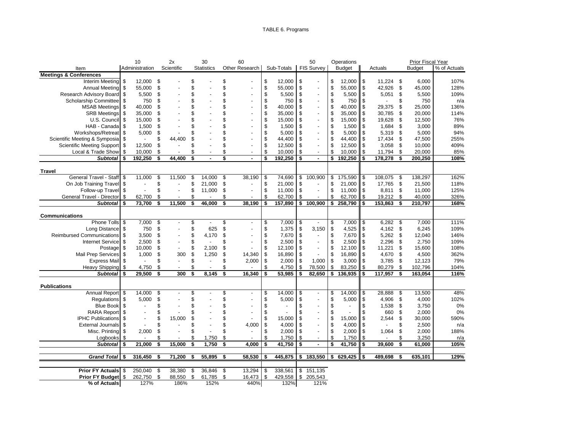### TABLE 6. Programs

|                                   |     | 10             | 2x                   | 30                             |      | 60                       |                           |            |             | 50                       | Operations    |               |           |     | Prior Fiscal Year |              |
|-----------------------------------|-----|----------------|----------------------|--------------------------------|------|--------------------------|---------------------------|------------|-------------|--------------------------|---------------|---------------|-----------|-----|-------------------|--------------|
| Item                              |     | Administration | Scientific           | <b>Statistics</b>              |      | Other Research           |                           | Sub-Totals |             | <b>FIS Survey</b>        | <b>Budget</b> |               | Actuals   |     | <b>Budget</b>     | % of Actuals |
| <b>Meetings &amp; Conferences</b> |     |                |                      |                                |      |                          |                           |            |             |                          |               |               |           |     |                   |              |
| Interim Meeting                   | \$  | 12,000         | \$                   | \$                             | \$   |                          | \$                        | 12,000     | \$          |                          | \$<br>12,000  | \$            | 11,224    | \$  | 6,000             | 107%         |
| <b>Annual Meeting</b>             | \$  | 55,000         | \$                   | \$                             | \$   | $\overline{a}$           | $\ddot{\$}$               | 55,000     | \$          | $\overline{a}$           | \$<br>55,000  | $\sqrt[6]{3}$ | 42,926    | \$  | 45,000            | 128%         |
| Research Advisory Board           | \$  | 5,500          | \$                   | \$                             | \$   |                          | \$                        | 5,500      | \$          | $\overline{a}$           | \$<br>5,500   | $\mathfrak s$ | 5,051     | \$  | 5,500             | 109%         |
| Scholarship Committee             | \$  | 750            | \$                   | \$                             | \$   |                          | \$                        | 750        | \$          | $\overline{\phantom{a}}$ | \$<br>750     | \$            |           | \$  | 750               | n/a          |
| <b>MSAB Meetings</b>              | \$  | 40,000         | \$                   | \$                             | \$   |                          | \$                        | 40,000     | \$          | $\overline{a}$           | \$<br>40,000  | \$            | 29,375    | \$  | 25,000            | 136%         |
| <b>SRB Meetings</b>               | \$  | 35,000         | \$                   | \$                             | \$   |                          | \$                        | 35,000     | \$          |                          | \$<br>35,000  | \$            | 30,785    | \$  | 20,000            | 114%         |
| U.S. Council                      | \$  | 15,000         | \$                   | \$                             | \$   |                          | \$                        | 15,000     | \$          |                          | \$<br>15,000  | \$            | 19,628    | \$  | 12,500            | 76%          |
| HAB - Canada                      | \$  | 1,500          | \$                   | \$                             | \$   | $\overline{a}$           | \$                        | 1,500      | \$          | $\overline{a}$           | \$<br>1,500   | \$            | 1,684     | \$  | 3,000             | 89%          |
| Workshops/Retreat                 | \$  | 5,000          | \$                   | \$                             | \$   |                          | \$                        | 5,000      | \$          | $\blacksquare$           | \$<br>5,000   | \$            | 5,319     | \$  | 5,000             | 94%          |
| Scientific Meeting & Symposia     | \$  |                | \$<br>44,400         | \$                             | \$   |                          | \$                        | 44,400     | \$          | $\overline{a}$           | \$<br>44,400  | \$            | 17,434    | \$  | 47,500            | 255%         |
| <b>Scientific Meeting Support</b> | \$  | 12,500         | \$                   | \$                             | \$   |                          | $\boldsymbol{\mathsf{S}}$ | 12,500     | \$          | $\overline{a}$           | \$<br>12,500  | \$            | 3,058     | \$  | 10,000            | 409%         |
| Local & Trade Show                | \$  | 10,000         | \$                   | \$<br>÷,                       | \$   |                          | \$                        | 10,000     | \$          | $\blacksquare$           | \$<br>10,000  | \$            | 11,794    | \$  | 20,000            | 85%          |
| <b>Subtotal</b>                   | \$  | 192,250        | \$<br>44.400         | \$<br>$\blacksquare$           | \$   | ÷.                       | \$                        | 192,250    | \$          | $\blacksquare$           | \$<br>192,250 | \$            | 178,278   | \$  | 200,250           | 108%         |
|                                   |     |                |                      |                                |      |                          |                           |            |             |                          |               |               |           |     |                   |              |
| <b>Travel</b>                     |     |                |                      |                                |      |                          |                           |            |             |                          |               |               |           |     |                   |              |
| General Travel - Staff \$         |     | 11,000         | \$<br>11,500         | \$<br>14,000                   | \$   | 38,190                   | \$                        | 74,690     | \$          | 100,900                  | \$<br>175,590 | \$            | 108,075   | \$  | 138,297           | 162%         |
| On Job Training Travel            | -\$ | $\blacksquare$ | \$<br>÷,             | \$<br>21,000                   | \$   | $\overline{a}$           | \$                        | 21,000     | \$          |                          | \$<br>21,000  | \$            | 17,765    | -\$ | 21,500            | 118%         |
| Follow-up Travel \$               |     |                | \$                   | \$<br>11,000                   | \$   |                          | \$                        | 11,000     | \$          |                          | \$<br>11,000  | $\sqrt{3}$    | 8,811     | -\$ | 11,000            | 125%         |
| General Travel - Director         | \$  | 62,700         | \$                   | \$                             | \$   |                          | $\mathsf{\$}$             | 62,700     | \$          |                          | \$<br>62,700  | \$            | 19,212 \$ |     | 40,000            | 326%         |
| Subtotal                          | S.  | 73,700         | \$<br>11,500         | \$<br>46,000                   | \$   | 38.190                   | \$                        | 157,890    | \$          | 100,900                  | \$<br>258,790 | \$            | 153,863   | \$  | 210,797           | 168%         |
|                                   |     |                |                      |                                |      |                          |                           |            |             |                          |               |               |           |     |                   |              |
| Communications                    |     |                |                      |                                |      |                          |                           |            |             |                          |               |               |           |     |                   |              |
| Phone Tolls                       | \$  | 7,000          | \$                   | \$<br>$\overline{a}$           | \$   |                          | \$                        | 7,000      | \$          |                          | \$<br>7,000   | \$            | 6,282     | \$  | 7,000             | 111%         |
| Long Distance                     | \$  | 750            | \$                   | \$<br>625                      | \$   |                          | \$                        | 1,375      | \$          | 3.150                    | \$<br>4,525   | \$            | 4,162     | \$  | 6,245             | 109%         |
| <b>Reimbursed Communications</b>  | \$  | 3,500          | \$<br>$\blacksquare$ | \$<br>4,170                    | \$   |                          | \$                        | 7,670      | \$          | $\blacksquare$           | \$<br>7,670   | $\sqrt{3}$    | 5,262     | -\$ | 12,040            | 146%         |
| <b>Internet Service</b>           | \$  | 2.500          | \$<br>$\blacksquare$ | \$<br>÷,                       | \$   |                          | \$                        | 2,500      | \$          | $\blacksquare$           | \$<br>2,500   | \$            | 2.296     | \$  | 2,750             | 109%         |
| Postage                           | \$  | 10,000         | \$<br>$\blacksquare$ | \$<br>2,100                    | \$   |                          | \$                        | 12,100     | \$          | $\overline{a}$           | \$<br>12,100  | \$            | 11,221    | \$  | 15,600            | 108%         |
| <b>Mail Prep Services</b>         | \$  | 1,000          | \$<br>300            | \$<br>1,250                    | \$   | 14,340                   | \$                        | 16,890     | \$          |                          | \$<br>16,890  | \$            | 4,670     | \$  | 4,500             | 362%         |
| <b>Express Mail</b>               | \$  |                | \$                   | \$<br>L,                       | \$   | 2,000                    | $\sqrt[6]{\frac{1}{2}}$   | 2,000      | \$          | 1,000                    | \$<br>3,000   | \$            | 3,785     | -\$ | 12,123            | 79%          |
| <b>Heavy Shipping</b>             | \$  | 4,750          | \$                   | \$<br>÷,                       | \$   |                          | $\mathbb{S}$              | 4,750      | \$          | 78,500                   | \$<br>83,250  | \$            | 80,279    | \$  | 102,796           | 104%         |
| <b>Subtotal</b>                   | -S  | 29,500         | \$<br>300            | \$<br>8,145                    | \$   | 16.340                   | \$                        | 53,985     | \$          | 82,650                   | \$<br>136,935 | \$            | 117,957   | \$  | 163,054           | 116%         |
|                                   |     |                |                      |                                |      |                          |                           |            |             |                          |               |               |           |     |                   |              |
| <b>Publications</b>               |     |                |                      |                                |      |                          |                           |            |             |                          |               |               |           |     |                   |              |
| Annual Report                     | -\$ | 14,000         | \$                   | \$                             | \$   | $\overline{\phantom{a}}$ | \$                        | 14,000     | \$          |                          | \$<br>14,000  | \$            | 28,888    | \$  | 13,500            | 48%          |
| Regulations                       | \$  | 5,000          | \$                   | \$                             | \$   |                          | \$                        | 5,000      | \$          |                          | \$<br>5,000   | \$            | 4,906     | \$  | 4,000             | 102%         |
| <b>Blue Book</b>                  | \$  |                | \$                   | \$                             | \$   |                          | \$                        |            | \$          |                          | \$            | \$            | 1,538     | \$  | 3,750             | 0%           |
| <b>RARA Report</b>                | \$  | $\blacksquare$ | \$                   | \$                             | \$   |                          | \$                        |            | \$          | $\overline{a}$           | \$            | \$            | 660       | \$  | 2,000             | 0%           |
| <b>IPHC Publications</b>          | \$  | $\overline{a}$ | \$<br>15,000         | \$                             | \$   |                          | \$                        | 15,000     | \$          | $\overline{a}$           | \$<br>15,000  | \$            | 2,544     | \$  | 30,000            | 590%         |
| <b>External Journals</b>          | \$  |                | \$                   | \$<br>$\overline{\phantom{a}}$ | \$   | 4,000                    | \$                        | 4,000      | \$          | $\overline{a}$           | \$<br>4,000   | \$            |           | \$  | 2,500             | n/a          |
| Misc. Printing                    | \$  | 2,000          | \$                   | \$                             | \$   |                          | \$                        | 2,000      | \$          | $\blacksquare$           | \$<br>2,000   | \$            | 1,064     | \$  | 2,000             | 188%         |
| Logbooks                          | \$  |                | \$                   | \$<br>1,750                    | \$   |                          | \$                        | 1,750      | \$          | $\overline{\phantom{a}}$ | \$<br>1,750   | \$            |           | \$  | 3,250             | n/a          |
| <b>Subtotal</b>                   | S.  | 21,000         | \$<br>15,000         | \$<br>1,750                    | \$   | 4.000                    | \$                        | 41,750     | \$          |                          | \$<br>41,750  | \$            | 39,600    | \$  | 61,000            | 105%         |
|                                   |     |                |                      |                                |      |                          |                           |            |             |                          |               |               |           |     |                   |              |
| Grand Total \ \$                  |     | 316,450        | \$<br>71,200         | \$<br>55,895                   | -\$  | 58,530                   | \$                        | 445,875    | \$          | 183,550                  | \$<br>629,425 | \$            | 489,698   | \$  | 635,101           | 129%         |
|                                   |     |                |                      |                                |      |                          |                           |            |             |                          |               |               |           |     |                   |              |
| Prior FY Actuals \$               |     | 250,040        | \$<br>38,380         | \$<br>36,846                   | - \$ | 13,294                   | \$                        | 338,561    | $\mathbb S$ | 151,135                  |               |               |           |     |                   |              |
| Prior FY Budget \$                |     | 262,750 \$     | 88,550               | \$<br>61,785                   | -\$  | 16,473                   | \$                        | 429,558    |             | \$ 205,543               |               |               |           |     |                   |              |
| % of Actuals                      |     | 127%           | 186%                 | 152%                           |      | 440%                     |                           | 132%       |             | 121%                     |               |               |           |     |                   |              |
|                                   |     |                |                      |                                |      |                          |                           |            |             |                          |               |               |           |     |                   |              |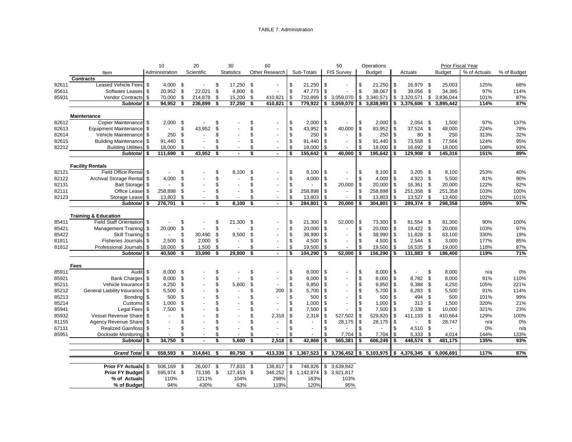#### TABLE 7. Administration

|                |                                                   | 10                |          | 20         |      | 30                |      | 60                       |          |                      |          | 50                                    |          | Operations        |          |                           |          | Prior Fiscal Year |              |             |
|----------------|---------------------------------------------------|-------------------|----------|------------|------|-------------------|------|--------------------------|----------|----------------------|----------|---------------------------------------|----------|-------------------|----------|---------------------------|----------|-------------------|--------------|-------------|
|                | Item                                              | Administration    |          | Scientific |      | <b>Statistics</b> |      | Other Research           |          | Sub-Totals           |          | <b>FIS Survey</b>                     |          | <b>Budget</b>     |          | Actuals                   |          | Budget            | % of Actuals | % of Budget |
|                | <b>Contracts</b>                                  |                   |          |            |      |                   |      |                          |          |                      |          |                                       |          |                   |          |                           |          |                   |              |             |
| 82611          | Leased Vehicle Fees \$                            | 4,000 \$          |          | $\sim$     | \$   | 17,250 \$         |      | $\sim$                   | \$       | 21,250               | \$       |                                       | \$       | 21,250            | \$       | 16,979 \$                 |          | 25,003            | 125%         | 68%         |
| 85611          | Software Leases \$                                | 20,952 \$         |          | 22,021 \$  |      | 4,800             | \$   | $\tilde{\phantom{a}}$    | \$       | 47,773               | \$       |                                       | \$       | 38,067            | \$       | 39,056                    | \$       | 34,395            | 97%          | 114%        |
| 85931          | Vendor Contracts \$                               | 70,000            | \$       | 214,878    | - \$ | 15,200            | - \$ | 410,821                  | \$       | 710,899              | \$       | 3,059,070                             | \$       | 3,340,571         | \$       | 3,320,571                 |          | \$3,836,044       | 101%         | 87%         |
|                | Subtotal \$                                       | 94,952 \$         |          | 236,899    | - \$ | 37,250            | \$   | $410,821$ \$             |          | 779,922              |          | \$3,059,070                           | \$       | 3,838,993         | \$       | 3,376,606                 |          | \$3,895,442       | 114%         | 87%         |
|                |                                                   |                   |          |            |      |                   |      |                          |          |                      |          |                                       |          |                   |          |                           |          |                   |              |             |
|                | <b>Maintenance</b>                                |                   |          |            |      |                   |      |                          |          |                      |          |                                       |          |                   |          |                           |          |                   |              |             |
| 82612          | Copier Maintenance \$                             | 2,000             | - \$     |            |      |                   |      |                          | \$       | 2,000                | \$       |                                       | \$       | 2,000             | \$       | $2,054$ \$                |          | 1,500             | 97%          | 137%        |
| 82613          | Equipment Maintenance \$                          | $\sim$            | \$       | 43,952     |      |                   |      |                          | \$       | 43,952               | \$       | 40,000                                | \$       | 83,952            | \$       | 37,524 \$                 |          | 48,000            | 224%         | 78%         |
| 82614          | Vehicle Maintenance \$                            | 250               | \$       |            | \$.  |                   |      |                          | \$       | 250                  | \$       | $\sim$                                | \$       | 250               | \$       | 80                        | -\$      | 250               | 313%         | 32%         |
| 82615          | Building Maintenance \$                           | 91,440 \$         |          |            | \$   |                   | \$   | $\sim$                   | \$       | 91,440               | \$       |                                       | \$       | 91,440            | \$       | 73,558                    | \$       | 77,566            | 124%         | 95%         |
| 82212          | <b>Building Utilities</b> \$                      | 18,000 \$         |          |            |      |                   | \$   | $\sim$                   | \$       | 18,000               | \$       |                                       | \$       | 18,000            | \$       | 16,692                    | - \$     | 18,000            | 108%         | 93%         |
|                | Subtotal \$                                       | 111,690           | -\$      | 43,952     | -\$  |                   | \$   | $\overline{\phantom{a}}$ | \$       | 155,642              | \$       | 40,000                                | -\$      | 195,642           |          | 129,908                   | \$       | 145,316           | 151%         | 89%         |
|                |                                                   |                   |          |            |      |                   |      |                          |          |                      |          |                                       |          |                   |          |                           |          |                   |              |             |
| 82121          | <b>Facility Rentals</b><br>Field Office Rental \$ |                   | \$       |            |      |                   | \$   |                          | \$       |                      |          |                                       | \$       |                   |          |                           |          |                   | 253%         |             |
|                |                                                   |                   |          |            |      | 8.100             | \$   |                          |          | 8,100                | \$       |                                       | \$       | 8,100             | \$       | $3,205$ \$                |          | 8,100             |              | 40%         |
| 82122<br>82131 | Archival Storage Rental \$<br>Bait Storage \$     | 4,000             | \$<br>\$ |            |      |                   | \$   | $\ddot{\phantom{a}}$     | \$<br>\$ | 4,000                | \$<br>\$ | $\overline{\phantom{a}}$              | \$       | 4,000             | \$<br>\$ | 4,923<br>16,361           | \$<br>\$ | 5,500             | 81%<br>122%  | 90%<br>82%  |
|                | Office Lease \$                                   |                   |          |            | \$   |                   | \$   | $\sim$                   |          |                      |          | 20,000<br>$\omega$                    |          | 20,000            |          |                           |          | 20,000            |              |             |
| 82111          | Storage Lease \$                                  | 258,898<br>13,803 | \$       |            | S    |                   | \$   |                          | \$<br>\$ | 258,898<br>13,803    | \$<br>\$ |                                       | \$<br>\$ | 258,898<br>13,803 | \$<br>\$ | 251,358<br>13,527         | \$<br>\$ | 251,358           | 103%<br>102% | 100%        |
| 82123          | Subtotal \ \$                                     | 276,701 \$        | - \$     |            | \$   | 8,100             | \$   | $\blacksquare$           | \$       | 284,801              | \$       | 20,000                                | -\$      | 304,801           |          | 289,374                   | \$       | 13,400<br>298,358 | 105%         | 101%<br>97% |
|                |                                                   |                   |          |            |      |                   |      |                          |          |                      |          |                                       |          |                   |          |                           |          |                   |              |             |
|                | <b>Training &amp; Education</b>                   |                   |          |            |      |                   |      |                          |          |                      |          |                                       |          |                   |          |                           |          |                   |              |             |
| 85411          | Field Staff Orientation \$                        |                   | \$       |            |      | 21,300            | \$   |                          | \$       | 21,300               | \$       | 52,000                                | -\$      | 73,300            | \$       | 81,554 \$                 |          | 81,300            | 90%          | 100%        |
| 85421          | Management Training \$                            | 20,000            | \$       |            | \$   |                   |      |                          | \$       | 20,000               | \$       |                                       | \$       | 20,000            | \$       | 19,422 \$                 |          | 20,000            | 103%         | 97%         |
| 85422          | Skill Training \$                                 | $\sim$            | \$       | 30,490 \$  |      | 8,500             | \$.  | $\ddot{\phantom{a}}$     | \$       | 38,990               | \$       | $\blacksquare$                        | \$       | 38,990            | \$       | 11,828 \$                 |          | 63,100            | 330%         | 19%         |
| 81811          | Fisheries Journals \$                             | 2,500             | \$       | $2,000$ \$ |      | $\sim$            | \$.  | $\sim$                   | \$       | 4,500                | \$       | $\overline{\phantom{a}}$              | \$       | 4,500             | \$       | 2,544                     | \$       | 3,000             | 177%         | 85%         |
| 81812          | Professional Journals \$                          | 18,000 \$         |          | 1,500 \$   |      |                   | \$   | $\sim$                   | \$       | 19,500               | \$.      |                                       | \$       | 19,500            | \$       | 16,535                    | <b>S</b> | 19,000            | 118%         | 87%         |
|                | Subtotal \$                                       | 40,500            | \$       | 33,990     | \$   | 29.800            | \$   | $\overline{a}$           | \$       | 104.290              | \$       | 52,000                                | \$       | 156.290           |          | 131,883                   | Ŝ.       | 186,400           | 119%         | 71%         |
|                |                                                   |                   |          |            |      |                   |      |                          |          |                      |          |                                       |          |                   |          |                           |          |                   |              |             |
|                | Fees                                              |                   |          |            |      |                   |      |                          |          |                      |          |                                       |          |                   |          |                           |          |                   |              |             |
| 85911          | Audit \$                                          | $8,000$ \$        |          |            |      |                   |      |                          | \$       | 8,000                | \$       |                                       | \$       | 8,000             | \$       |                           | \$       | 8,000             | n/a          | 0%          |
| 85921          | Bank Charges \$                                   | 8,000             | -\$      |            |      |                   | \$   | $\sim$                   | \$       | 8,000                | \$       | $\overline{\phantom{a}}$              | \$       | 8,000             | \$       | 8,782                     | - \$     | 8,000             | 91%          | 110%        |
| 85211          | Vehicle Insurance \$                              | 4,250             | \$       |            | \$   | 5,600             | \$   | ÷,                       | \$       | 9,850                | \$       |                                       | \$       | 9,850             | \$       | 9,388                     | -\$      | 4,250             | 105%         | 221%        |
| 85212          | General Liability Insurance \$                    | 5,500             | -\$      |            |      |                   | \$   | 200                      | \$       | 5,700                | \$       |                                       | \$       | 5,700             | \$       | 6,283                     | -\$      | 5,500             | 91%          | 114%        |
| 85213          | Bonding \$                                        | 500               | \$       |            |      |                   |      | $\sim$                   | \$       | 500                  | \$       |                                       | \$       | 500               | \$       | 494                       | -\$      | 500               | 101%         | 99%         |
| 85214          | Customs \$                                        | 1,000             | \$       |            |      |                   |      | $\overline{\phantom{a}}$ | \$       | 1,000                | \$       |                                       | \$       | 1,000             | \$       | 313                       | - \$     | 1,500             | 320%         | 21%         |
| 85941          | Legal Fees \$                                     | 7,500             | £.       |            |      |                   |      |                          | \$       | 7,500                | \$       |                                       | \$       | 7,500             | \$       | 2,338                     | \$       | 10,000            | 321%         | 23%         |
| 85932          | Vessel Revenue Share \$                           |                   |          |            |      |                   |      | 2,318                    | \$       | 2,318                | \$       | 527,502                               | \$       | 529,820           | \$       | 411,133                   | \$       | 410,664           | 129%         | 100%        |
| 81155          | Agency Revenue Share \$                           |                   | \$       |            |      |                   |      | $\overline{\phantom{a}}$ | \$       |                      | \$       | 28,175                                | \$       | 28,175            | \$       | $\mathbf{r}$              | \$       | 28,747            | n/a          | 0%          |
| 67111          | Realized Gain/loss \$                             |                   | £.       |            | \$   |                   | \$   | $\blacksquare$           | \$       |                      | \$       |                                       | \$       |                   | \$       | 4,510                     | \$       |                   | 0%           | n/a         |
| 85951          | Dockside Monitoring \$                            |                   | \$       |            | \$   |                   | \$   |                          | \$       |                      | \$       | 7,704                                 | \$       | 7,704             | \$       | 5,333                     | -\$      | 4,014             | 144%         | 133%        |
|                | Subtotal \$                                       | 34,750            | \$       |            |      | 5,600             | \$   | 2,518                    | \$       | 42,868               | \$       | 565,381                               |          | 606,249           |          | 448,574                   | \$       | 481,175           | 135%         | 93%         |
|                | Grand Total \$                                    | 558,593           | - \$     | 314,841    | - \$ | 80,750            | -\$  | $413,339$ \$             |          |                      |          | $1,367,523$ \$ 3,736,452 \$ 5,103,975 |          |                   |          | $$4,376,345$ $$5,006,691$ |          |                   | 117%         | 87%         |
|                |                                                   |                   |          |            |      |                   |      |                          |          |                      |          |                                       |          |                   |          |                           |          |                   |              |             |
|                | <b>Prior FY Actuals \$</b>                        | 506,169           | - \$     | 26,007 \$  |      | 77,833 \$         |      | 138,817 \$               |          | 748,826              | \$       | 3,639,842                             |          |                   |          |                           |          |                   |              |             |
|                | Prior FY Budget \$                                | 595,974 \$        |          | 73,195 \$  |      | 127,453 \$        |      |                          |          | 346,252 \$ 1,142,874 |          | \$3,921,817                           |          |                   |          |                           |          |                   |              |             |
|                | % of Actuals                                      | 110%              |          | 1211%      |      | 104%              |      | 298%                     |          | 183%                 |          | 103%                                  |          |                   |          |                           |          |                   |              |             |
|                | % of Budget                                       | 94%               |          | 430%       |      | 63%               |      | 119%                     |          | 120%                 |          | 95%                                   |          |                   |          |                           |          |                   |              |             |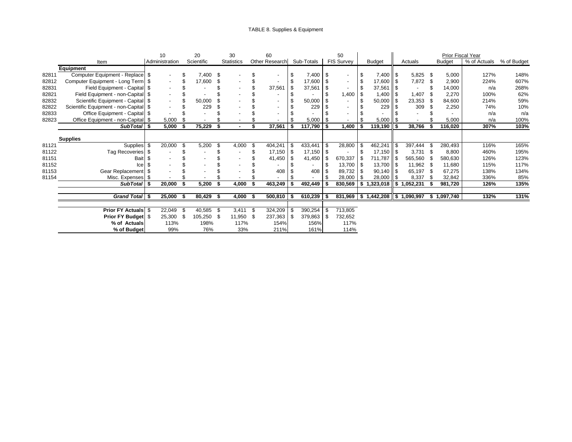|       |                                         |      | 10             |      | 20         |      | 30                       |     | 60                       |                          |              |      | 50                |     |                                       |                 |                          |      | Prior Fiscal Year |              |             |
|-------|-----------------------------------------|------|----------------|------|------------|------|--------------------------|-----|--------------------------|--------------------------|--------------|------|-------------------|-----|---------------------------------------|-----------------|--------------------------|------|-------------------|--------------|-------------|
|       | Item                                    |      | Administration |      | Scientific |      | <b>Statistics</b>        |     | Other Research           |                          | Sub-Totals   |      | <b>FIS Survey</b> |     | <b>Budget</b>                         |                 | Actuals                  |      | <b>Budget</b>     | % of Actuals | % of Budget |
|       | Equipment                               |      |                |      |            |      |                          |     |                          |                          |              |      |                   |     |                                       |                 |                          |      |                   |              |             |
| 82811 | Computer Equipment - Replace \$         |      |                |      | 7,400      | \$   |                          |     | $\overline{\phantom{a}}$ |                          | 7,400        | - \$ |                   |     |                                       |                 | $5,825$ \$               |      | 5,000             | 127%         | 148%        |
| 82812 | Computer Equipment - Long Term \$       |      |                |      | 17,600     | \$.  |                          |     |                          | -\$                      | 17,600       | - \$ |                   |     | $17,600$   \$                         |                 | 7,872                    | - \$ | 2,900             | 224%         | 607%        |
| 82831 | Field Equipment - Capital \$            |      |                |      |            |      |                          |     | 37,561                   |                          | 37,561       |      |                   |     | $37,561$ \$                           |                 | $\overline{\phantom{a}}$ |      | 14,000            | n/a          | 268%        |
| 82821 | Field Equipment - non-Capital \$        |      |                |      |            |      |                          |     |                          |                          |              |      | 1,400             |     |                                       |                 | 1,407                    |      | 2,270             | 100%         | 62%         |
| 82832 | Scientific Equipment - Capital \$       |      |                |      | 50,000     |      |                          |     | $\overline{\phantom{a}}$ |                          | 50,000       |      |                   |     | $50,000$ \$                           |                 | 23,353                   |      | 84,600            | 214%         | 59%         |
| 82822 | Scientific Equipment - non-Capital   \$ |      |                |      | 229        |      |                          |     | $\overline{\phantom{a}}$ |                          | 229          |      |                   |     | 229                                   |                 | 309                      |      | 2,250             | 74%          | 10%         |
| 82833 | Office Equipment - Capital \$           |      |                |      |            |      |                          |     | $\overline{\phantom{a}}$ |                          |              |      |                   |     |                                       |                 |                          |      |                   | n/a          | n/a         |
| 82823 | Office Equipment - non-Capital \$       |      | 5,000          |      |            |      |                          |     |                          |                          | 5,000        | - \$ |                   |     | $5,000$   \$                          |                 |                          |      | 5,000             | n/a          | 100%        |
|       | SubTotal S                              |      | 5,000          |      | 75,229     | £.   |                          |     | 37,561                   |                          | 117,790      |      | 1,400             |     | 119,190 ┃\$                           |                 | 38,766                   |      | 116,020           | 307%         | 103%        |
|       |                                         |      |                |      |            |      |                          |     |                          |                          |              |      |                   |     |                                       |                 |                          |      |                   |              |             |
|       | <b>Supplies</b>                         |      |                |      |            |      |                          |     |                          |                          |              |      |                   |     |                                       |                 |                          |      |                   |              |             |
| 81121 | Supplies \$                             |      | 20,000         | \$.  | 5,200      | \$   | 4,000                    | -\$ | 404,241                  | $\overline{\phantom{a}}$ | 433,441      |      | 28,800            | \$  | $462,241$ \$                          |                 | 397,444                  |      | 280,493           | 116%         | 165%        |
| 81122 | Tag Recoveries \$                       |      |                |      |            |      |                          |     | $17.150$ \ \$            |                          | $17,150$ \$  |      |                   |     |                                       |                 | $3,731$ \$               |      | 8,800             | 460%         | 195%        |
| 81151 | Bait \$                                 |      |                |      |            |      | $\overline{\phantom{0}}$ |     | 41,450                   | -\$                      | 41,450       | - \$ | 670,337           | \$  | 711,787 \$                            |                 | 565,560                  |      | 580,630           | 126%         | 123%        |
| 81152 | Icel                                    | - \$ |                |      |            |      |                          |     |                          |                          |              |      | 13,700            |     | $13,700$ \ \$                         |                 | 11,962 \$                |      | 11,680            | 115%         | 117%        |
| 81153 | Gear Replacement \$                     |      |                |      |            |      |                          |     | 408                      |                          | 408          |      | 89,732            |     | $90.140$ \\$                          |                 | 65,197 \$                |      | 67,275            | 138%         | 134%        |
| 81154 | Misc. Expenses \$                       |      |                |      |            |      |                          |     |                          |                          |              |      | 28,000            | \$. | $28,000$   \$                         |                 | 8,337                    |      | 32,842            | 336%         | 85%         |
|       | SubTotal S                              |      | 20,000         |      | 5,200      | S    | 4,000                    |     | 463,249                  |                          | 492,449      |      | 830,569           | \$  | ,323,018                              | 15 <sup>2</sup> | 1,052,231                |      | 981,720           | 126%         | 135%        |
|       |                                         |      |                |      |            |      |                          |     |                          |                          |              |      |                   |     |                                       |                 |                          |      |                   |              |             |
|       | Grand Total \$                          |      | 25,000         | - \$ | 80,429     | - \$ | $4,000$ \$               |     | $500,810$ \$             |                          | $610,239$ \$ |      |                   |     | $831,969$   \$1,442,208   \$1,090,997 |                 |                          |      | \$1,097,740       | 132%         | 131%        |
|       |                                         |      |                |      |            |      |                          |     |                          |                          |              |      |                   |     |                                       |                 |                          |      |                   |              |             |
|       | <b>Prior FY Actuals \$</b>              |      | 22,049         | -S   | 40,585     | - \$ | $3,411$ \$               |     | 324,209                  | -\$                      | 390,254      | -\$  | 713,805           |     |                                       |                 |                          |      |                   |              |             |
|       | Prior FY Budget \$                      |      | 25,300         | - \$ | 105,250    | - \$ | 11,950 \$                |     | 237,363 \$               |                          | 379,863      | - \$ | 732,652           |     |                                       |                 |                          |      |                   |              |             |
|       | % of Actuals                            |      | 113%           |      | 198%       |      | 117%                     |     | 154%                     |                          | 156%         |      | 117%              |     |                                       |                 |                          |      |                   |              |             |
|       | % of Budget                             |      | 99%            |      | 76%        |      | 33%                      |     | 211%                     |                          | 161%         |      | 114%              |     |                                       |                 |                          |      |                   |              |             |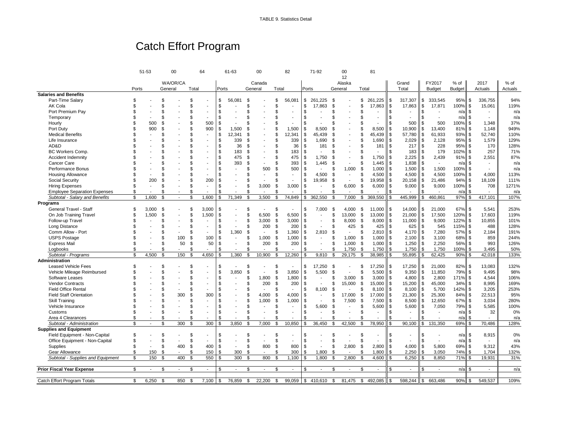# Catch Effort Program

|                                     |       | 51-53        |         | 00           |       | 64             |                | 61-63                    |                | 00                       |              | 82                       |            | 71-92          |         | 00                       | 81                             |                |                          |               |               |               |    |                          |         |
|-------------------------------------|-------|--------------|---------|--------------|-------|----------------|----------------|--------------------------|----------------|--------------------------|--------------|--------------------------|------------|----------------|---------|--------------------------|--------------------------------|----------------|--------------------------|---------------|---------------|---------------|----|--------------------------|---------|
|                                     |       |              |         |              |       |                |                |                          |                |                          |              |                          |            |                |         | 12                       |                                |                |                          |               |               |               |    |                          |         |
|                                     |       |              |         | WA/OR/CA     |       |                |                |                          |                | Canada                   |              |                          |            |                |         | Alaska                   |                                |                | Grand                    |               | FY2017        | % of          |    | 2017                     | % of    |
|                                     | Ports |              | General |              | Total |                | Ports          |                          |                | General                  | Total        |                          |            | Ports          | General |                          | Total                          |                | Total                    |               | <b>Budget</b> | <b>Budget</b> |    | Actuals                  | Actuals |
| <b>Salaries and Benefits</b>        |       |              |         |              |       |                |                |                          |                |                          |              |                          |            |                |         |                          |                                |                |                          |               |               |               |    |                          |         |
| Part-Time Salary                    | \$    |              | \$      |              | \$    |                | \$             | 56,081                   | \$             |                          | \$.          | 56,081                   | \$         | 261,225        | - \$    |                          | 261,225<br>\$                  | \$             | 317,307                  | \$            | 333,545       | $95%$ \$      |    | 336,755                  | 94%     |
| AK Cola                             | \$    |              | \$.     |              | \$    |                | \$             |                          | \$             |                          | £.           |                          | \$         | 17.863         | . ፍ     |                          | 17,863<br>\$                   | \$             | 17,863                   | \$            | 17,871        | 100% \$       |    | 15,061                   | 119%    |
| Port Premium Pay                    | \$    |              | \$      |              | \$    | ٠              | \$             |                          | \$             |                          | \$.          |                          | \$         |                |         |                          | £.                             | \$             |                          | \$            |               | $n/a$ \$      |    |                          | n/a     |
| Temporary                           |       |              | \$      |              | \$    |                |                |                          | \$             |                          | \$           |                          | \$         | $\overline{a}$ |         |                          |                                | $\mathfrak{s}$ | $\overline{\phantom{a}}$ | \$            | $\sim$        | $n/a$ \$      |    |                          | n/a     |
| Hourly                              | \$    | 500          | \$      |              | \$    | 500            | - \$           |                          | ዳ              |                          | \$           |                          | \$         |                |         |                          | ዳ                              | \$             | 500                      | \$            | 500           | 100%          | \$ | 1,348                    | 37%     |
| Port Duty                           | \$    | 900          | \$      |              | \$    | 900            | \$             | 1,500                    | £.             |                          | \$           | 1,500                    | \$         | 8,500          |         |                          | 8,500<br>£.                    | \$             | 10,900                   | \$            | 13,400        | 81% \$        |    | 1,148                    | 949%    |
| <b>Medical Benefits</b>             | \$    |              | \$      |              | \$    | ÷,             | \$             | 12.341                   | \$             |                          | \$           | 12,341                   | \$         | 45,439         |         |                          | 45,439<br>\$                   | \$             | 57,780                   | \$            | 61,933        | 93% \$        |    | 52,740                   | 110%    |
| Life Insurance                      |       |              | \$      |              | \$    |                | - \$           | 339                      | \$             |                          | £.           | 339                      | \$         | 1.690          |         |                          | 1,690                          | \$             | 2,029                    | \$            | 2,128         | 95% \$        |    | 1,579                    | 129%    |
| AD&D                                |       |              | \$      |              | \$    |                |                | 36                       | \$             |                          | \$           | 36                       | \$         | 181            |         |                          | 181<br>£.                      | \$             | 217                      | \$            | 228           | 95%           | \$ | 170                      | 128%    |
| <b>BC Workers Comp</b>              |       |              | \$      |              | \$    | $\overline{a}$ | \$.            | 183                      | £              |                          | \$           | 183                      | \$         |                |         |                          | £.                             | $\mathfrak{s}$ | 183                      | <b>S</b>      | 179           | 102% \$       |    | 257                      | 71%     |
| Accident Indemnity                  |       |              | \$      |              | \$    |                | \$.            | 475                      | $\mathfrak{s}$ |                          | \$           | 475                      | \$         | 1.750          |         |                          | 1,750                          | \$             | 2,225                    | \$            | 2,439         | $91\%$ \$     |    | 2,551                    | 87%     |
| Cancer Care                         |       |              | £.      |              | \$    |                |                | 393                      | \$             |                          | \$           | 393                      | \$         | 1,445          |         |                          | £.<br>1,445                    | \$             | 1,838                    | <sup>\$</sup> | $\sim$        | n/a           | S  | $\overline{\phantom{a}}$ | n/a     |
| Performance Bonus                   |       |              | £.      |              | \$    | L.             |                |                          | \$             | 500                      | \$.          | 500                      | \$.        | $\overline{a}$ |         | 1,000                    | 1,000<br>-9                    | \$             | 1,500                    | \$            | 1,500         | 100%          | \$ |                          | n/a     |
| <b>Housing Allowance</b>            | S     |              | S       |              | S     |                | \$             |                          | \$             |                          | \$           |                          | \$         | 4.500          | Я.      |                          | 4,500<br>S                     | \$             | 4,500                    | \$            | 4,500         | 100% \$       |    | 4,000                    | 113%    |
| Social Security                     | \$    | 200          | \$      |              | \$    | 200            | \$             |                          | \$             | $\overline{a}$           | \$           |                          | \$         | 19,958         | \$      |                          | \$<br>19,958                   | \$             | 20,158                   | \$            | 21,486        | 94%           | \$ | 18,109                   | 111%    |
| <b>Hiring Expenses</b>              | \$    |              | \$      |              | \$    | ÷,             | -S             |                          | \$             | 3,000                    | \$           | 3,000                    | \$         | $\overline{a}$ | .ፍ      | 6,000                    | \$<br>6,000                    | \$             | 9,000                    | \$            | 9,000         | 100%          | \$ | 708                      | 1271%   |
| <b>Employee Separation Expenses</b> | \$    |              | \$      |              | \$    |                | \$             |                          | \$             |                          | \$.          |                          | \$         |                |         |                          | £                              | \$             |                          |               |               | n/a           |    |                          | n/a     |
| Subtotal - Salary and Benefits      | \$    | 1,600        | \$      | $\mathbf{r}$ | \$    | 1,600          | $\mathfrak{L}$ | 71,349                   | $\mathfrak{s}$ | 3,500                    | $\mathbf{s}$ | 74,849                   | \$         | 362,550        |         | 7,000                    | \$<br>369,550                  |                | 445,999                  | \$            | 460,861       | 97%           | \$ | 417,101                  | 107%    |
| Programs                            |       |              |         |              |       |                |                |                          |                |                          |              |                          |            |                |         |                          |                                |                |                          |               |               |               |    |                          |         |
| General Travel - Staff              | \$    | 3,000        | - \$    |              | S     | 3,000          | \$             |                          | \$             |                          | \$           |                          | \$         | 7,000          | - \$    | 4,000                    | 11,000<br>-\$                  | \$             | 14,000                   | \$            | 21,000        | 67% \$        |    | 5,541                    | 253%    |
| On Job Training Travel              | \$    | 1,500        | \$      |              | \$    | 1,500          |                |                          | \$             | 6.500                    | \$           | 6,500                    | \$         | $\overline{a}$ | \$      | 13,000                   | \$<br>13,000                   | \$             | 21,000                   | \$            | 17,500        | 120%          | \$ | 17,603                   | 119%    |
| Follow-up Travel                    |       |              | \$      |              | \$    |                | £.             |                          | \$             | 3.000                    | \$           | 3,000                    | \$.        |                | .ፍ      | 8,000                    | - \$<br>8,000                  | l \$           | 11.000                   | l \$          | 9,000         | 122% \$       |    | 10.855                   | 101%    |
| Long Distance                       |       |              | \$      |              | \$    |                | \$             |                          | \$             | 200                      | \$           | 200                      | \$         |                | \$      | 425                      | -\$<br>425                     | \$             | 625                      | \$            | 545           | 115%          | \$ | 488                      | 128%    |
| Comm Allow - Port                   |       |              | \$      |              | \$    |                | \$             | 1,360                    | $\mathfrak{s}$ | $\mathbf{r}$             | \$           | 1,360                    | \$         | 2,810          |         |                          | \$<br>2.810                    | \$             | 4,170                    | \$            | 7,280         | 57%           | \$ | 2,184                    | 191%    |
| <b>USPS Postage</b>                 |       |              | \$      | 100          | \$    | 100            | \$             | $\overline{\phantom{a}}$ | \$             | 1,000                    | \$           | 1,000                    | \$         | $\blacksquare$ |         | 1,000                    | - \$<br>1.000                  | \$             | 2,100                    | Ŝ.            | 3,100         | 68%           | Ŝ. | 859                      | 244%    |
| <b>Express Mail</b>                 |       |              | \$      | 50           | \$    | 50             | Ŝ.             | $\overline{\phantom{a}}$ | \$             | 200                      | \$           | 200                      | \$         | $\blacksquare$ | \$      | 1,000                    | \$<br>1,000                    | \$             | 1,250                    | \$            | 2,250         | 56%           | Ŝ. | 993                      | 126%    |
| Logbooks                            | \$    |              | \$      |              | \$    |                |                |                          | \$             | $\overline{a}$           | £.           |                          |            |                | \$.     | 1,750                    | 1,750<br>\$                    | \$             | 1,750                    | \$.           | 1,750         | 100%          | \$ | 3.495                    | 50%     |
| Subtotal - Programs                 | \$    | 4,500        | \$      | 150          | Ŝ.    | 4,650          | Ŝ.             | 1,360                    | \$             | 10,900                   | \$           | 12,260                   | \$         | 9,810          | \$      | 29,175                   | 38,985<br>\$                   |                | 55,895                   |               | 62,425        | 90%           | \$ | 42,018                   | 133%    |
| Administration                      |       |              |         |              |       |                |                |                          |                |                          |              |                          |            |                |         |                          |                                |                |                          |               |               |               |    |                          |         |
| <b>Leased Vehicle Fees</b>          | \$    |              | \$      |              | \$    |                | \$             |                          | \$             |                          | \$.          |                          | \$         | 17.250         | - \$    |                          | 17,250<br>\$.                  | \$             | 17,250                   | \$            | 21,000        | 82% \$        |    | 13,083                   | 132%    |
| Vehicle Mileage Reimbursed          | \$    |              | \$      |              | \$    |                | $\mathfrak{s}$ | 3,850                    | \$             |                          | \$           | 3,850                    | \$         | 5,500          | . ፍ     |                          | 5,500<br>\$                    | \$             | 9,350                    | \$            | 11,850        | 79%           | \$ | 9,495                    | 98%     |
| Software Leases                     | \$    |              | \$      |              | \$    | $\overline{a}$ | \$             |                          | \$             | 1,800                    | \$           | 1,800                    | \$         | $\sim$         | \$      | 3,000                    | 3,000<br>-\$                   | \$             | 4,800                    | \$            | 2,800         | 171% \$       |    | 4,544                    | 106%    |
| <b>Vendor Contracts</b>             |       |              | \$      |              | \$    |                | \$             |                          | \$             | 200                      | \$.          | 200                      | \$         |                |         | 15,000                   | -\$<br>15,000                  | \$             | 15,200                   | l \$          | 45,000        | $34\%$ \$     |    | 8.995                    | 169%    |
| <b>Field Office Rental</b>          |       |              | \$      |              | \$    |                | \$.            |                          | \$             | $\overline{\phantom{a}}$ | \$.          | $\sim$                   | \$         | 8,100          | Ŝ.      |                          | \$<br>8,100                    | \$             | 8,100                    | \$            | 5,700         | 142%          | \$ | 3,205                    | 253%    |
| <b>Field Staff Orientation</b>      |       |              |         | 300          | \$    | 300            | \$             |                          | \$             | 4,000                    | \$           | 4,000                    | \$         | $\blacksquare$ |         | 17.000                   | 17,000<br>- \$                 | \$             | 21,300                   | <b>S</b>      | 25,300        | 84%           | \$ | 22,513                   | 95%     |
| <b>Skill Training</b>               |       |              | \$      |              | S     |                | \$.            |                          | \$             | 1,000                    | \$           | 1,000                    | \$         | $\sim$         |         | 7,500                    | \$<br>7,500                    | \$             | 8,500                    | \$            | 12,650        | 67% \$        |    | 3,034                    | 280%    |
| Vehicle Insurance                   |       |              | \$      |              | \$    |                |                |                          | \$             | $\blacksquare$           | \$           | $\overline{\phantom{a}}$ | \$         | 5,600          | \$      |                          | \$<br>5,600                    | \$             | 5,600                    | \$            | 7,050         | 79% \$        |    | 5,585                    | 100%    |
| Customs                             | ٩     |              | £.      |              | \$    |                | \$             |                          | \$             |                          | \$           |                          | \$         | $\blacksquare$ | . ፍ     |                          | \$<br>$\overline{\phantom{a}}$ | \$             | $\blacksquare$           |               |               | n/a           | \$ | 32                       | 0%      |
| Area 4 Clearances                   | \$    |              | \$      |              | \$    |                | -S             |                          | \$             |                          | \$           |                          | \$         |                |         |                          | £                              | \$             |                          |               |               | n/a           | \$ |                          | n/a     |
| Subtotal - Administration           | Ś.    | $\sim$       | \$      | 300          | \$    | 300            | $\mathfrak{L}$ | 3,850                    | s,             | 7,000                    | \$           | 10,850                   | \$         | 36,450         | £.      | 42,500                   | \$<br>78,950                   | \$             | 90,100                   | \$            | 131,350       | 69%           | \$ | 70,486                   | 128%    |
| <b>Supplies and Equipment</b>       |       |              |         |              |       |                |                |                          |                |                          |              |                          |            |                |         |                          |                                |                |                          |               |               |               |    |                          |         |
| Field Equipment - Non-Capital       | \$    |              | S       |              | S     |                | \$             |                          | \$             |                          | \$           |                          | \$         |                | \$      |                          | S                              | \$             |                          | \$            |               | n/a           | \$ | 8,915                    | 0%      |
| Office Equipment - Non-Capital      | \$    |              | \$      |              | \$    | $\overline{a}$ | \$             |                          | \$             |                          | \$           |                          | \$         |                | \$.     |                          | \$                             | \$             |                          | \$            |               | $n/a$ \$      |    |                          | n/a     |
| Supplies                            | \$    | ٠            | \$      | 400          | \$    | 400            | l \$           |                          | \$             | 800                      | \$           | 800                      | \$         | $\overline{a}$ | £.      | 2,800                    | \$<br>2,800                    | \$             | 4,000                    | Ŝ.            | 5,800         | 69% \$        |    | 9.312                    | 43%     |
| Gear Allowance                      | \$    | 150          | \$      |              | \$    | 150            | \$             | 300                      | $\mathfrak{s}$ | $\blacksquare$           | \$.          | 300                      | \$         | 1,800          | \$.     |                          | 1,800<br>\$                    | \$             | 2,250                    | \$            | 3,050         | 74%           | \$ | 1,704                    | 132%    |
| Subtotal - Supplies and Equipment   | \$    | 150          | \$      | 400          | \$    | 550            | \$             | 300                      | \$             | 800                      | \$.          | 1,100                    | \$         | 1,800          |         | 2,800                    | 4,600<br>\$                    | \$             | 6,250                    |               | 8,850         | 71%           | \$ | 19,931                   | 31%     |
|                                     |       |              |         |              |       |                |                |                          |                |                          |              |                          |            |                |         |                          |                                |                |                          |               |               |               |    |                          |         |
| <b>Prior Fiscal Year Expense</b>    | \$    | $\mathbf{r}$ | \$      | $\sim$       | \$    | $\blacksquare$ |                | $\sim$                   | \$             | $\blacksquare$           | \$.          | $\sim$                   | \$         | $\mathbf{r}$   |         | $\overline{\phantom{a}}$ | \$<br>$\mathbf{r}$             | \$             | $\mathbf{r}$             |               | $\mathbf{r}$  | n/a           | S  | $\sim$                   | n/a     |
|                                     |       |              |         |              |       |                |                |                          |                |                          |              |                          |            |                |         |                          |                                |                |                          |               |               |               |    |                          |         |
| Catch Effort Program Totals         | \$    | 6,250        | S.      | 850          | - \$  | 7,100          | l \$           | 76,859                   | \$             | 22,200                   | \$           | 99,059                   | $\sqrt{3}$ | 410,610        | \$      | 81,475                   | \$<br>492,085                  | - \$           | 598,244                  | \$            | 663,486       | 90%           | Ŝ. | 549,537                  | 109%    |
|                                     |       |              |         |              |       |                |                |                          |                |                          |              |                          |            |                |         |                          |                                |                |                          |               |               |               |    |                          |         |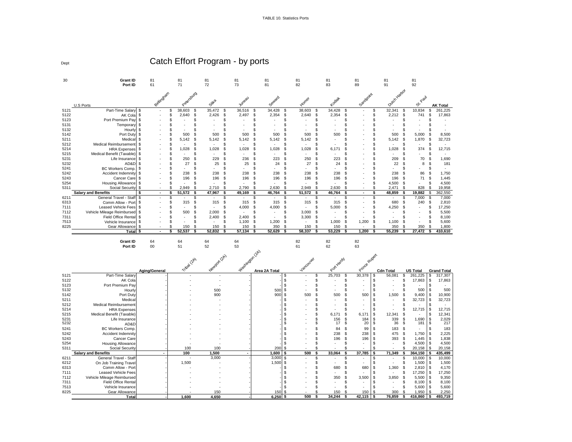TABLE 10. Statistics Ports

Dept

Catch Effort Program - by ports

| 30           | Grant ID<br>Port ID                               | 81<br>61      | 81<br>71                | 81<br>72                                | 81<br>73        | 81<br>81                         | 81<br>82         | 81<br>83                   | 81<br>89                 | 81<br>91                         | 81<br>92         |                                 |
|--------------|---------------------------------------------------|---------------|-------------------------|-----------------------------------------|-----------------|----------------------------------|------------------|----------------------------|--------------------------|----------------------------------|------------------|---------------------------------|
|              |                                                   |               |                         |                                         |                 |                                  |                  |                            |                          |                                  |                  |                                 |
|              |                                                   | Bellingtam    | Petersburg              |                                         |                 |                                  |                  |                            | Sandpoint                | Duch Hatoot                      |                  |                                 |
|              |                                                   |               |                         | Sitta                                   | Juneau          | Seward                           | Homer            | Kodiał                     |                          |                                  | Paul<br>త        |                                 |
| 5121         | U.S Ports<br>Part-Time Salary                     |               | 38,603<br>\$            | 35,472<br>\$<br>\$                      | 36,516          | 34,428<br>S<br>S                 | 38,603<br>S      | 34,428<br>Ŝ                |                          | 32,341<br>\$                     | 10,834           | <b>AK Total</b><br>261,225<br>S |
| 5122         | AK Cola                                           | \$.           | 2,640<br>\$             | $\mathfrak{s}$<br>2,426<br>\$           | 2,497           | \$<br>2,354<br>\$                | 2,640<br>\$      | 2,354<br>£                 |                          | 2,212<br>\$.<br>\$               | 741              | \$<br>17,863                    |
| 5123         | Port Premium Pay                                  |               | \$                      | \$<br>\$                                |                 | S<br>9                           | S                | S                          |                          | \$                               |                  | S                               |
| 5131         | Temporar                                          |               | \$                      | \$<br>\$                                |                 | S                                | S                | \$                         |                          | \$<br>s                          |                  | S                               |
| 5132         | Hourl                                             |               | \$.<br>ä,               | \$<br>\$                                |                 | S                                | S                | S                          |                          | \$<br>S.                         |                  | S                               |
| 5142         | Port Duty                                         |               | 500<br>\$               | \$<br>500<br>\$                         | 500             | 500<br>£.<br>9                   | 500<br>£.        | 500<br>ş                   |                          | 500<br>\$.<br>\$                 | 5,000            | 8,500<br>\$                     |
| 5211         | Medica                                            |               | 5,142<br>\$             | \$<br>\$<br>5,142                       | 5,142           | ş.<br>£.<br>5,142                | 5,142<br>£.      |                            |                          | \$<br>S.<br>5.142                | 1,870            | 32,723<br>\$                    |
| 5212         | Medical Reimbursemen                              |               | £.                      | \$<br>\$                                |                 | S                                | S                | S                          |                          | \$<br>\$                         |                  | S                               |
| 5214<br>5215 | <b>HRA Expenses</b><br>Medical Benefit (Taxable)  |               | 1,028<br>\$.<br>\$<br>٠ | \$<br>1,028<br>\$<br>\$<br>\$           | 1,028           | 1,028<br>ş.<br>£.<br>S<br>9<br>× | 1,028<br>£.<br>S | 6,171<br>9                 |                          | 1,028<br>\$.<br>S.<br>\$         | 374              | 12,715<br>\$<br>\$<br>$\sim$    |
| 5231         | Life Insurance                                    |               | \$<br>250               | -S<br>229<br>\$                         | 236             | 223<br>£.<br>s                   | 250<br>£.        | 223<br>£.                  |                          | \$<br>209<br>£.                  | 70               | S<br>1.690                      |
| 5232         | AD&C                                              |               | 27<br>\$                | \$<br>25<br>\$                          | 25              | 24<br>S<br>9                     | 27<br>\$         | 24<br>\$                   |                          | 22<br>\$<br>S.                   | 8                | 181<br>\$                       |
| 5241         | <b>BC Workers Comp</b>                            |               | £.                      | \$<br>\$                                |                 | S                                | S                | S.                         |                          | \$<br>S.                         |                  | \$                              |
| 5242         | Accident Indemnity                                |               | 238<br>\$               | \$<br>238<br>\$                         | 238             | 238<br>S<br>9                    | 238<br>S         | 238<br>£                   |                          | 238<br>\$<br>\$                  | 86               | 1,750<br>\$                     |
| 5243         | Cancer Care                                       |               | 196<br>\$.              | 196<br>\$.<br>\$                        | 196             | \$.<br>196<br>£.                 | 196<br>£.        | 196<br>£.                  |                          | 196<br>\$                        | 71               | 1.445<br>\$                     |
| 5254         | <b>Housing Allowance</b>                          | \$            | \$                      | \$<br>\$                                |                 | £.<br>9<br>×.                    | S                | S<br>÷.                    |                          | 4,500<br>\$<br>\$                | $\sim$           | 4,500<br>S                      |
| 5311         | Social Security                                   |               | \$<br>2.949             | \$<br>2,710<br>\$                       | 2,790           | 2,630<br>\$<br>\$                | 2,949<br>\$      | 2,630<br>£.                |                          | 2,471<br>\$<br>\$                | 828              | \$<br>19,958                    |
|              | <b>Salary and Benefits</b>                        | $\sim$        | 51,572                  | 47,967<br>\$<br>\$                      | 49,169          | 46,764<br>S                      | 51,572<br>S      | 46,764<br>Ś                | $\sim$                   | 48,859<br>\$                     | 19,882           | 362,550                         |
| 6211         | General Travel - Staf                             |               |                         | \$<br>S                                 |                 | S                                | S                |                            |                          | \$                               | 7,000            | 7,000<br>S                      |
| 6313         | Comm Allow - Por                                  | \$            | 315<br>\$<br>£.         | \$<br>\$<br>315<br>\$<br>\$             | 315             | 315<br>S.<br>£.<br>\$.<br>S      | 315<br>£.<br>S   | 315<br>£.<br>S             |                          | 680<br>\$.<br>\$<br>\$.<br>\$    | 240              | \$<br>2,810<br>\$               |
| 7111<br>7112 | Leased Vehicle Fees<br>Vehicle Mileage Reimbursed | \$            | 500                     | \$<br>\$<br>2,000                       | 4,000           | 4,000<br>S                       | S<br>3,000       | 5,000<br>S                 |                          | 4,250                            |                  | 17,250<br>5,500<br>S            |
| 7311         | Field Office Renta                                |               |                         | 2,400<br>\$<br>\$                       | 2,400           | \$<br>s                          | 3,300<br>S       | \$                         |                          | S                                |                  | 8,100<br>S                      |
| 7513         | Vehicle Insurance                                 |               | £.                      | \$<br>\$                                | 1,100           | \$.<br>1,200<br>\$               | \$               | 1,000<br>£.                | 1,200                    | \$<br>1.100<br>S.                |                  | 5,600<br>£.                     |
| 8225         | Gear Allowance                                    |               | 150                     | $\mathfrak{S}$<br>150<br>$\mathfrak{L}$ | 150             | s<br>350<br>¢                    | \$.<br>150       | 150<br>£.                  |                          | \$<br>350<br>¢                   | 350              | 1,800                           |
|              | Total                                             |               | 52,537                  | 52,832                                  | 57,134          | 52,629                           | 58,337           | 53,229                     | 1,200                    | 55,239                           | 27,472           | 410,610                         |
|              |                                                   |               |                         |                                         |                 |                                  |                  |                            |                          |                                  |                  |                                 |
|              |                                                   |               |                         |                                         |                 |                                  |                  |                            |                          |                                  |                  |                                 |
|              | <b>Grant ID</b>                                   | 64            | 64                      | 64                                      | 64              |                                  | 82               | 82                         | 82                       |                                  |                  |                                 |
|              | Port ID                                           | 00            | 51                      | 52                                      | 53              |                                  | 61               | 62                         | 63                       |                                  |                  |                                 |
|              |                                                   |               |                         |                                         |                 |                                  |                  |                            |                          |                                  |                  |                                 |
|              |                                                   |               |                         |                                         |                 |                                  |                  |                            |                          |                                  |                  |                                 |
|              |                                                   |               |                         |                                         |                 |                                  |                  |                            |                          |                                  |                  |                                 |
|              |                                                   | Aging/General |                         |                                         |                 | Area 2A Total                    |                  |                            |                          | <b>Cdn Total</b>                 | <b>US Total</b>  | <b>Grand Total</b>              |
| 5121         | Part-Time Salar                                   |               | Tribat (2A)             | Newport (2A)                            | Washington (2A) | \$                               | Vancouver<br>\$  | Port Hardy<br>25,703<br>\$ | Prince Ruper<br>30,378   | \$<br>56,081<br>\$               | 261,225          | \$<br>317,307                   |
| 5122         | AK Cola                                           |               |                         |                                         |                 | \$                               | S                | £                          |                          | \$<br>\$.                        | 17,863           | 17,863<br>\$                    |
| 5123         | Port Premium Pay                                  |               |                         |                                         |                 | \$                               | S                | \$                         |                          | \$<br>S                          |                  | £.                              |
| 5132         | Hourly                                            |               |                         | 500                                     |                 | \$<br>500                        | S                | S                          | $\overline{\phantom{a}}$ | \$<br>\$.                        | 500              | 500<br>\$                       |
| 5142         | Port Duty                                         |               |                         | 900                                     |                 | \$<br>900                        | 500<br>\$        | 500<br>S                   | 500                      | \$<br>1,500<br>\$                | 9,400            | 10,900<br>\$                    |
| 5211         | Medica                                            |               |                         |                                         |                 | S                                | S                | S                          |                          | \$.<br>S                         | 32,723           | \$<br>32,723                    |
| 5212         | Medical Reimbursemen                              |               |                         |                                         |                 | S                                | S                | S                          |                          | \$<br>\$                         |                  | S                               |
| 5214         | <b>HRA Expenses</b>                               |               |                         |                                         |                 | S                                | \$               | S                          |                          | \$<br>\$                         | 12,715           | <b>S</b><br>12,715              |
| 5215<br>5231 | Medical Benefit (Taxable)<br>Life Insurance       |               |                         |                                         |                 | S                                | S<br>S           | Ŝ<br>6,171                 | 6,171                    | \$<br>12,341<br>\$               |                  | 12,341<br>\$<br>\$              |
| 5232         | AD&D                                              |               |                         |                                         |                 | S<br>S                           | S                | 156<br>€<br>17             | 184<br>20                | $\frac{3}{5}$<br>339<br>\$<br>36 | 1,690<br>181     | 2,029<br>217<br>£.              |
| 5241         | <b>BC Workers Comp</b>                            |               |                         |                                         |                 | \$                               | S                | 84<br>£.                   | 99                       | \$<br>183<br>\$                  |                  | 183<br>£.                       |
| 5242         | Accident Indemnity                                |               |                         |                                         |                 | \$                               | S                | 238<br>£                   | 238                      | \$<br>475<br>\$                  | 1,750            | 2,225<br>\$                     |
| 5243         | Cancer Care                                       |               |                         |                                         |                 | \$                               | S                | 196<br>-\$                 | 196                      | \$<br>393<br>-S                  | 1,445            | 1,838<br>S                      |
| 5254         | Housing Allowance                                 |               |                         |                                         |                 | \$                               | S                | £.<br>×,                   | ÷.                       | \$<br>\$                         | 4,500            | 4,500<br>\$                     |
| 5311         | Social Security                                   |               | 100                     | 100                                     |                 | S<br>200                         | S                | \$                         |                          | $\mathfrak{S}$<br>\$             | 20,158           | 20,158                          |
|              | <b>Salary and Benefits</b>                        | $\mathbf{r}$  | 100                     | 1,500                                   | $\blacksquare$  | 1,600<br>£.                      | 500<br>S         | 33,064<br>\$               | 37,785                   | 71,349<br>\$                     | 364,150          | 435,499                         |
| 6211         | General Travel - Staf                             |               |                         | 3,000                                   |                 | 3,000<br>S                       | S<br>\$          | S<br>\$<br>ä,              |                          | \$<br>\$                         | 10,000           | 10,000                          |
| 6212         | On Job Training Trave                             |               | 1,500                   |                                         |                 | 1,500<br>\$                      | S                | £                          |                          | \$                               | 1,500            | 1,500<br>S                      |
| 6313<br>7111 | Comm Allow - Port<br>Leased Vehicle Fees          |               |                         |                                         |                 | \$<br>\$                         | S                | 680<br>S                   | 680                      | \$<br>1,360<br>\$<br>\$<br>\$    | 2,810            | 4,170<br>\$<br>\$               |
| 7112         | Vehicle Mileage Reimbursed                        |               |                         |                                         |                 | S                                | S                | 350<br>S                   | 3,500                    | 3,850<br>\$<br>\$                | 17,250<br>5,500  | 17,250<br>9,350<br>\$           |
| 7311         | Field Office Renta                                |               |                         |                                         |                 | \$                               | £.               | \$                         |                          | $\mathfrak{S}$<br>\$             | 8,100            | 8,100<br>S                      |
| 7513         | Vehicle Insurance                                 |               |                         |                                         |                 | \$                               | S                | S                          |                          | \$<br>\$                         | 5,600            | 5,600<br>\$                     |
| 8225         | Gear Allowance<br>Total                           |               | 1.600                   | 150<br>4.650                            |                 | S<br>150<br>6.250<br>\$          | S<br>500<br>s    | 150<br>£.<br>34,244<br>\$  | 150<br>42,115            | \$<br>300<br>\$<br>76,859<br>\$  | 1,950<br>416,860 | 2,250<br>S<br>493,719           |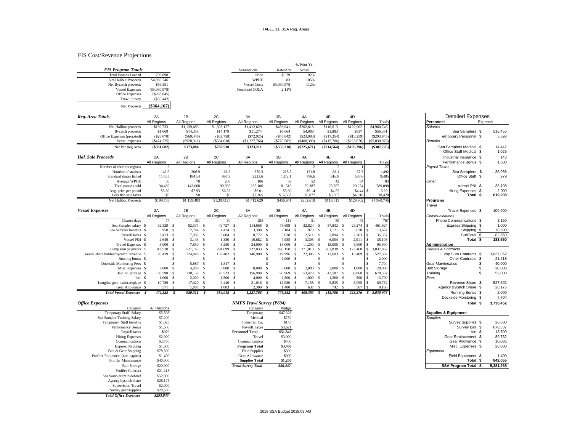#### FIS Cost/Revenue Projections

|                           |                 |                     |             | % Prior Yr. |
|---------------------------|-----------------|---------------------|-------------|-------------|
| <b>FIS Program Totals</b> |                 | Assumptions         | Rate/Amt    | Actual      |
| Total Pounds Landed       | 789,098         | Price               | \$6.29      | 92%         |
| Net Halibut Proceeds      | \$4,960,746     | <b>WPUE</b>         | 83          | 105%        |
| Net Bycatch proceeds      | \$56,351        | <b>Vessel Costs</b> | \$5,030,978 | 112%        |
| <b>Vessel Expenses</b>    | $(\$5,030,978)$ | Personnel COLA      | 2.11%       |             |
| <b>Office Expenses</b>    | (S293, 845)     |                     |             |             |
| <b>Trawl Survey</b>       | $($ \$56,442)   |                     |             |             |

| $(\$364,167)$<br>Net Proceeds |
|-------------------------------|

| Reg. Area Totals           | 2A            | 2B          | 2C          | 3A            | 3B            | 4A            | 4B            | 4D            |               | <b>Detailed Expenses</b>                           |                 |
|----------------------------|---------------|-------------|-------------|---------------|---------------|---------------|---------------|---------------|---------------|----------------------------------------------------|-----------------|
|                            | All Regions   | All Regions | All Regions | All Regions   | All Regions   | All Regions   | All Regions   | All Regions   | Totals        | Personnel                                          | Expense         |
| Net Halibut proceeds       | \$199,733     | \$1,139,483 | \$1,303,127 | \$1,412,629   | \$456,641     | \$202,618     | \$116,613     | \$129,902     | \$4,960,746   | <b>Salaries</b>                                    |                 |
| <b>Bycatch proceeds</b>    | \$1,069       | \$14,358    | \$14,179    | \$11,274      | \$8,664       | \$4,088       | \$1,883       | \$837         | \$56,351      | Sea Samplers \$                                    | 516,455         |
| Office Expenses (prorated) | (\$28,078)    | (S60, 446)  | (S32,758)   | (S72, 925)    | (\$45,042)    | (S23,983)     | (S17, 354)    | (\$13,259)    | (S293, 845)   | Temporary Personnel \$                             | 5,598           |
| Vessel expenses            | (S474, 325)   | (S920,311)  | (\$584,018) | (\$1,227,766) | (S776, 582)   | ( \$408,393)  | (S415,706)    | $(\$223,876)$ | (S5,030,978)  | <b>Benefits</b>                                    |                 |
| Net Per Reg Area           | $(\$301,602)$ | \$173,084   | \$700,530   | \$123,211     | $(\$356,318)$ | $(\$225,671)$ | $(\$314,564)$ | $(\$106,396)$ | $(\$307,726)$ | Sea Samplers Medical \$<br>Office Staff Medical \$ | 14,442<br>1,025 |
| <b>Hal. Sale Proceeds</b>  | 2A            | 2B          | 2C          | 3A            | 3B            | 4A            | 4B            | 4D            |               | Industrial Insurance \$                            | 143             |
|                            | All Regions   | All Regions | All Regions | All Regions   | All Regions   | All Regions   | All Regions   | All Regions   | Totals        | Performance Bonus \$                               | 1,500           |
| Number of charters regions |               |             |             |               |               |               |               |               |               | Payroll Taxes                                      |                 |
| Number of stations         | 142.6         | 306.9       | 166.3       | 370.3         | 228.7         | 121.8         | 88.1          | 67.3          | 1.492         | Sea Samplers \$                                    | 38,958          |
| Standard skates fished     | 1140.5        | 1841.4      | 997.9       | 2221.6        | 1372.1        | 756.6         | 616.8         | 538.6         | 9,485         | Office Staff \$                                    | 979             |
| Average WPUE               | 30            | 78          | 200         | 106           | 59            | 52            | 42            | 54            | 83            | Other                                              |                 |
| Total pounds sold          | 34,439        | 143,668     | 199,966     | 235,106       | 81,510        | 39.387        | 25,787        | 29,234        | 789,098       | Vessel P&I \$                                      | 38,108          |
| Avg. price per pound       | \$5.80        | \$7.93      | \$6.52      | \$6.01        | \$5.60        | \$5.14        | \$4.52        | \$4.44S       | 6.29          | Hiring Expenses \$                                 | 2,000           |
| Less fish sale taxes       | \$0           | \$0         | \$0         | \$7,365       | \$16,562      | \$6,877       | \$3,607       | \$4,018       | 38,428        | Total<br>- \$                                      | 619,208         |
| Net Halibut Proceeds       | \$199,733     | \$1,139,483 | \$1,303,127 | \$1,412,629   | \$456,641     | \$202,618     | \$116,613     | \$129,902     | \$4,960,746   | Programs<br>$ -$                                   |                 |
|                            |               |             |             |               |               |               |               |               |               |                                                    |                 |

| <b>Vessel Expenses</b>               | 2A          |    | 2B          |     | 2C          |     | 3A          | 3B          |     | 4A          |     | 4B          |      | 4D          |     |                      | Travel Expenses \$             |             | 100,900   |
|--------------------------------------|-------------|----|-------------|-----|-------------|-----|-------------|-------------|-----|-------------|-----|-------------|------|-------------|-----|----------------------|--------------------------------|-------------|-----------|
|                                      | All Regions |    | All Regions |     | All Regions |     | All Regions | All Regions |     | All Regions |     | All Regions |      | All Regions |     | Totals               | Communications                 |             |           |
| Charter days                         |             |    | 151         |     | 80          |     | 184         | 118         |     |             |     | 59          |      |             |     | 767                  | Phone Communications \$        |             | 3,150     |
| Sea Sampler salary \$                | 32,329      |    | 92,575      |     | 49.727      | - 8 | 114,668     | 73,699      |     | 32,824      |     | 37,832      |      | 28.274      |     | 461,927              | Express Shipping \$            |             | 1,000     |
| Sea Sampler benefits \$              | 958         |    | 2.744       | - 8 | 1.474 \$    |     | 3.399 \$    | 2.184       | -8  | 973         | - S | 1.121 S     |      | 838         |     | 13,692               |                                | Shipping \$ | 78,500    |
| Payroll taxes \$                     | 2.473       |    | 7.082       |     | 3.804 \$    |     | 8,772 \$    | 5.638       |     | 2.511       |     | $2.894$ \$  |      | $2.163$ S   |     | 35,337               |                                | SubTotal \$ | 82,650    |
| Vessel P&I \$                        | 2.649 S     |    | 3.143S      |     | 1.380 \$    |     | 10.682 S    | 7.985       |     | 3.305 S     |     | $6.054$ \$  |      | $2.911$ S   |     | 38,108               |                                | Total       | 183,550   |
| Travel Expenses \$                   | 3,000 S     |    | 7.850 \$    |     | 8.250 \$    |     | 24,000 S    | 18,000      |     | 11.200      |     | 18,000      |      | 5.600       |     | 95,900               | <b>Administration</b>          |             |           |
| Lump sum payments \$                 | 317,520 \$  |    | 521.143 \$  |     | 294,699 \$  |     | 727,033 \$  | 498,150     |     | 271,010     |     | 282.838     |      | 125,460     | - S | 3,037,852            | <b>Rentals &amp; Contracts</b> |             |           |
| Vessel share halibut/bycatch revenue | 20,439      |    | 124.448 \$  |     | 137,402 \$  |     | 146,900 \$  | 49.996      |     | 22,306      |     | 12,603      |      | 13,409 \$   |     | 527,502              | Lump Sum Contracts \$          |             | 3,037,852 |
| Running bonus \$                     | $\sim$      |    |             |     |             |     |             | 2,000       |     |             |     |             |      |             |     | 2,000                | Other Contracts \$             |             | 21,218    |
| Dockside Monitoring Fees             |             |    | 5.887       |     | 1.817 \$    |     |             |             |     |             |     |             |      |             |     | 7.704                | Gear Maintenance               |             | 40,000    |
| Misc. expenses \ \$                  | 2,000 S     |    | 4,000       |     | 3.000 S     |     | 8.000       | 5,000       |     | 2.000       |     | 3,000S      |      | 000.        |     | 28,000               | <b>Bait Storage</b>            |             | 20,000    |
| Bait inc. storage                    | 80.598 \$   |    | 130.132 \$  |     | 70.523 \$   |     | 156,998 \$  | 96,969      |     | 53,470      | -8  | 43.587      | - \$ | 38,060      |     | 670.337              | Training                       |             | 52,000    |
| Ice                                  | 1,000 S     |    | 2,000 S     |     | 1.500 S     |     | 4,000 S     | 2.500       | - S | 1.000S      |     | 1.200S      |      | 500 \$      |     | 13,700               | Fees                           |             |           |
| Longline gear maint/replace \$       | 10.789      | -8 | 17.420 \$   |     | 9.440 \$    |     | 21,016 \$   | 12,980      | - 8 | 7.158 S     |     | 5.835 \$    |      | $5.095$ S   |     | 89,732               | Revenue Share \$               |             | 527,502   |
| Gear Allowance \$                    | 571 S       |    | 1.887       |     | $1,003$ \$  |     | 2,300S      | 1,480       |     | 637         |     | 742 \$      |      | 567 \$      |     | 9,186                | Agency Bycatch Share \$        |             | 28,175    |
| <b>Total Vessel Expenses</b>         | 474,325     |    | 920,311     |     | 584.018 \$  |     | 1.227.766   | 776,582     |     | 408,393     |     | 415,706     |      |             |     | 223,876 \$ 5,030,978 | Running Bonus \$               |             | 2,000     |

| <b>Hal. Sale Proceeds</b><br>2C<br>2A<br>2B<br>3A<br>3B<br>4A<br>4B<br>Industrial Insurance \$<br>4D<br>All Regions<br>All Regions<br>All Regions<br>All Regions<br>All Regions<br>All Regions<br>All Regions<br>All Regions<br>Totals<br>Performance Bonus \$<br>$\mathbf{3}$<br>27<br>Number of charters regions<br>$\overline{2}$<br>$\overline{4}$<br>8<br>5<br>Payroll Taxes<br>$\mathcal{D}$<br>2<br>142.6<br>370.3<br>228.7<br>121.8<br>88.1<br>1,492<br>Number of stations<br>306.9<br>166.3<br>67.3<br>Sea Samplers \$<br>9,485<br>Standard skates fished<br>1140.5<br>1841.4<br>997.9<br>2221.6<br>1372.1<br>538.6<br>Office Staff \$<br>756.6<br>616.8<br>30<br>106<br>42<br>Average WPUE<br>78<br>200<br>59<br>52<br>83<br>Other<br>54<br>Vessel P&I \$<br>Total pounds sold<br>34,439<br>235,106<br>81,510<br>39,387<br>25,787<br>29,234<br>789,098<br>143,668<br>199,966<br>\$5.80<br>\$7.93<br>\$6.01<br>\$5.60<br>\$5.14<br>\$4.52<br>\$4.44S<br>6.29<br>Hiring Expenses \$<br>\$6.52<br>Avg. price per pound<br>38,428<br>Total $\overline{\$}$<br>619,208<br>\$0<br>\$0<br>\$0<br>\$7,365<br>\$6,877<br>\$3,607<br>Less fish sale taxes<br>\$16,562<br>\$4,018<br>Net Halibut Proceeds<br>\$199,733<br>\$1.139.483<br>\$1,303,127<br>\$1,412,629<br>\$456.641<br>\$202,618<br>\$4,960,746<br>\$116,613<br>\$129,902<br>Programs<br>Travel<br><b>Vessel Expenses</b><br>2A<br>2B<br>2C<br>3A<br>3B<br>4A<br>4B<br>4D<br>Travel Expenses \$<br>All Regions<br>All Regions All Regions<br>All Regions<br>All Regions<br>All Regions<br>All Regions<br>All Regions<br>Totals<br>Communications<br>77<br>80<br>184<br>151<br>118<br>59<br>767<br>Charter days<br>51<br>Phone Communications \$<br>45<br>32,329<br>92,575 \$<br>49,727 \$<br>32,824<br>37,832 \$<br>28,274<br>461,927<br>Sea Sampler salary \$<br>114,668<br>73,699<br>Express Shipping \$<br>- S<br>- S<br>-8<br>-S<br>-S<br>958 \$<br>$2,744$ \$<br>3,399 \$<br>973 \$<br>838<br>13,692<br>Sea Sampler benefits \$<br>1.474 S<br>$2,184$ \$<br>$1,121$ \$<br>-S<br>Shipping \$<br>82,650<br>2.473 S<br>7.082 \$<br>8.772 \$<br>2.511S<br>$2.894$ \$<br>2,163<br>s<br>35,337<br>SubTotal \$<br>Payroll taxes \$<br>3.804 S<br>5.638 S<br>Total $\overline{s}$<br>183,550<br>Vessel P&I \$<br>$2,649$ \$<br>$3,143$ \$<br>1,380 \$<br>$10,682$ \$<br>7.985 \$<br>3.305 S<br>$6,054$ \$<br>2,911<br>s<br>38,108<br>3,000S<br>7,850 \$<br>8,250 \$<br>24,000S<br>18,000<br>- S<br>11,200 \$<br>18,000 \$<br>5,600<br>s<br>95,900<br>Travel Expenses \$<br>Administration<br>271,010 \$<br>282,838<br>125,460<br>3.037.852<br><b>Rentals &amp; Contracts</b><br>Lump sum payments \$<br>317,520 \$<br>521.143 \$<br>294,699 \$<br>727,033 \$<br>498.150 \$<br>s.<br>-S<br>13,409<br>3,037,852<br>Vessel share halibut/bycatch revenue \$<br>20,439<br>s.<br>124,448 \$<br>137,402<br>-S<br>146,900 \$<br>49,996 \$<br>22,306 \$<br>12,603<br>s<br>527,502<br>Lump Sum Contracts \$<br>$\mathbf{s}$<br>Running bonus \$<br>-S<br>-S<br>\$<br>-S<br>- \$<br><sup>\$</sup><br><sup>\$</sup><br>2,000<br>Other Contracts \$<br>21,218<br>2,000<br>-S<br>$\sim$<br>$\sim$<br>$\sim$<br>$\sim$<br>$\sim$<br>5,887 \$<br>1,817<br><sup>\$</sup><br><sup>\$</sup><br>7,704<br>40,000<br>Dockside Monitoring Fees \$<br><sup>\$</sup><br><b>S</b><br>-S<br><sup>\$</sup><br>-S<br>Gear Maintenance<br>\$<br>$\sim$<br>÷<br>$\sim$<br>$\sim$<br>8,000<br>5,000<br>2,000<br>3,000<br>1,000<br>28,000<br><b>Bait Storage</b><br>20,000<br>2,000<br>4,000S<br>3,000<br>- S<br>- \$<br>-S<br>-S<br>-S<br>Misc. expenses \$<br>- S<br>-S<br>52,000<br>Bait inc. storage \$<br>80,598 \$<br>130,132 \$<br>70,523 \$<br>156,998 \$<br>96,969 \$<br>53,470 \$<br>43,587 \$<br>38,060<br>s<br>670,337<br>Training<br>\$<br>$1,000$ \$<br>$2,000$ \$<br>1,500S<br>$1,200$ \$<br>500<br>13,700<br>Fees<br>$\mathbf{s}$<br>4,000S<br>$2,500$ \$<br>$1,000$ \$<br>-S<br>Ice<br>5,835 \$<br>5,095<br>s<br>89,732<br>Revenue Share \$<br>527,502<br>Longline gear maint./replace \$<br>10,789 \$<br>17,420 \$<br>$9,440$ \$<br>$21,016$ \$<br>12,980 \$<br>7,158 \$<br>2,300S<br>$1,480$ \$<br>637 \$<br>742 \$<br>Agency Bycatch Share \$<br>28,175<br>Gear Allowance \$<br>571 \$<br>1,887 \$<br>$1,003$ \$<br>567<br>s<br>9,186<br>$474,325$ \$<br>415,706<br><b>Total Vessel Expenses</b> \$<br>920.311 \$<br>584,018<br>$1,227,766$ \$<br>776,582<br>408.393<br>223,876<br>5,030,978<br>Running Bonus \$<br>2,000<br>s<br>s<br>s<br>s<br>s<br>7,704<br>Dockside Monitoring \$<br><b>NMFS Trawl Survey (P604)</b><br><b>Office Expenses</b><br>3,736,452<br>Total \$<br>All Regions<br>Category<br>Category<br>Budget<br>\$47,328<br>Temporary Staff Salary<br>\$5,598<br><b>Supplies &amp; Equipment</b><br>Temporary<br><b>Supplies</b><br>Sea Sampler Training Salary<br>\$7,200<br>Medical<br>\$750<br>28,800<br>\$1,025<br>Industrial Ins.<br>\$143<br>Survey Supplies \$<br>Temporary Staff benefits<br>670,337<br>Performance Bonus<br>\$1,500<br><b>Payroll Taxes</b><br>\$3,621<br>Survey Bait \$<br>\$979<br><b>Personnel Total</b><br>\$51.842<br>13,700<br>$lce$ \$<br>Payroll taxes<br>\$2,000<br>89,732<br>\$3,000<br>Gear Replacement \$<br><b>Hiring Expenses</b><br>Travel<br>\$2,750<br>\$400<br>Gear Allowance \$<br>10,086<br>Communications<br>Communications<br>\$3,400<br>Misc. Expenses \$<br>28,000<br><b>Express Shipping</b><br>\$1,000<br><b>Programs Total</b><br>\$78,500<br>Bait & Gear Shipping<br><b>Field Supplies</b><br>\$300<br>Equipment<br>\$1,400<br>Field Equipment \$<br>Profiler Equipment (non-capital)<br>Gear Allowance<br>\$900<br>1,400<br>\$1,200<br>842,055<br>\$40,000<br>Total \$<br>Profiler Maintenance<br><b>Supplies Total</b><br>\$20,000<br>\$56,442<br>SSA Program Total \$<br>5,381,265<br><b>Trawl Survey Total</b><br><b>Bait Storage</b><br>0.31.310<br>$D_{\text{max}}(1) = C_{\text{max}}$ |  |  |  |  |  | Office Staff Medical \$ | 1,025   |
|-----------------------------------------------------------------------------------------------------------------------------------------------------------------------------------------------------------------------------------------------------------------------------------------------------------------------------------------------------------------------------------------------------------------------------------------------------------------------------------------------------------------------------------------------------------------------------------------------------------------------------------------------------------------------------------------------------------------------------------------------------------------------------------------------------------------------------------------------------------------------------------------------------------------------------------------------------------------------------------------------------------------------------------------------------------------------------------------------------------------------------------------------------------------------------------------------------------------------------------------------------------------------------------------------------------------------------------------------------------------------------------------------------------------------------------------------------------------------------------------------------------------------------------------------------------------------------------------------------------------------------------------------------------------------------------------------------------------------------------------------------------------------------------------------------------------------------------------------------------------------------------------------------------------------------------------------------------------------------------------------------------------------------------------------------------------------------------------------------------------------------------------------------------------------------------------------------------------------------------------------------------------------------------------------------------------------------------------------------------------------------------------------------------------------------------------------------------------------------------------------------------------------------------------------------------------------------------------------------------------------------------------------------------------------------------------------------------------------------------------------------------------------------------------------------------------------------------------------------------------------------------------------------------------------------------------------------------------------------------------------------------------------------------------------------------------------------------------------------------------------------------------------------------------------------------------------------------------------------------------------------------------------------------------------------------------------------------------------------------------------------------------------------------------------------------------------------------------------------------------------------------------------------------------------------------------------------------------------------------------------------------------------------------------------------------------------------------------------------------------------------------------------------------------------------------------------------------------------------------------------------------------------------------------------------------------------------------------------------------------------------------------------------------------------------------------------------------------------------------------------------------------------------------------------------------------------------------------------------------------------------------------------------------------------------------------------------------------------------------------------------------------------------------------------------------------------------------------------------------------------------------------------------------------------------------------------------------------------------------------------------------------------------------------------------------------------------------------------------------------------------------------------------------------------------------------------------------------------------------------------------------------------------------------------------------------------------------------------------------------------------------------------------------------------------------------------------------------------------------------------------------------------------------------------------------------------------------------------------------------------------------------------------------------------------------------------------------------------------------------------------------------------------------------------------------------------------------------------------------------------------------------------------------------------------------------------------------------------------------------------------------------------------------------------------------------------------------------------------------------------------------------------------------------------------------------------------------------------------------------------------------------------------------------|--|--|--|--|--|-------------------------|---------|
|                                                                                                                                                                                                                                                                                                                                                                                                                                                                                                                                                                                                                                                                                                                                                                                                                                                                                                                                                                                                                                                                                                                                                                                                                                                                                                                                                                                                                                                                                                                                                                                                                                                                                                                                                                                                                                                                                                                                                                                                                                                                                                                                                                                                                                                                                                                                                                                                                                                                                                                                                                                                                                                                                                                                                                                                                                                                                                                                                                                                                                                                                                                                                                                                                                                                                                                                                                                                                                                                                                                                                                                                                                                                                                                                                                                                                                                                                                                                                                                                                                                                                                                                                                                                                                                                                                                                                                                                                                                                                                                                                                                                                                                                                                                                                                                                                                                                                                                                                                                                                                                                                                                                                                                                                                                                                                                                                                                                                                                                                                                                                                                                                                                                                                                                                                                                                                                                                                                 |  |  |  |  |  |                         | 143     |
|                                                                                                                                                                                                                                                                                                                                                                                                                                                                                                                                                                                                                                                                                                                                                                                                                                                                                                                                                                                                                                                                                                                                                                                                                                                                                                                                                                                                                                                                                                                                                                                                                                                                                                                                                                                                                                                                                                                                                                                                                                                                                                                                                                                                                                                                                                                                                                                                                                                                                                                                                                                                                                                                                                                                                                                                                                                                                                                                                                                                                                                                                                                                                                                                                                                                                                                                                                                                                                                                                                                                                                                                                                                                                                                                                                                                                                                                                                                                                                                                                                                                                                                                                                                                                                                                                                                                                                                                                                                                                                                                                                                                                                                                                                                                                                                                                                                                                                                                                                                                                                                                                                                                                                                                                                                                                                                                                                                                                                                                                                                                                                                                                                                                                                                                                                                                                                                                                                                 |  |  |  |  |  |                         | 1,500   |
|                                                                                                                                                                                                                                                                                                                                                                                                                                                                                                                                                                                                                                                                                                                                                                                                                                                                                                                                                                                                                                                                                                                                                                                                                                                                                                                                                                                                                                                                                                                                                                                                                                                                                                                                                                                                                                                                                                                                                                                                                                                                                                                                                                                                                                                                                                                                                                                                                                                                                                                                                                                                                                                                                                                                                                                                                                                                                                                                                                                                                                                                                                                                                                                                                                                                                                                                                                                                                                                                                                                                                                                                                                                                                                                                                                                                                                                                                                                                                                                                                                                                                                                                                                                                                                                                                                                                                                                                                                                                                                                                                                                                                                                                                                                                                                                                                                                                                                                                                                                                                                                                                                                                                                                                                                                                                                                                                                                                                                                                                                                                                                                                                                                                                                                                                                                                                                                                                                                 |  |  |  |  |  |                         |         |
|                                                                                                                                                                                                                                                                                                                                                                                                                                                                                                                                                                                                                                                                                                                                                                                                                                                                                                                                                                                                                                                                                                                                                                                                                                                                                                                                                                                                                                                                                                                                                                                                                                                                                                                                                                                                                                                                                                                                                                                                                                                                                                                                                                                                                                                                                                                                                                                                                                                                                                                                                                                                                                                                                                                                                                                                                                                                                                                                                                                                                                                                                                                                                                                                                                                                                                                                                                                                                                                                                                                                                                                                                                                                                                                                                                                                                                                                                                                                                                                                                                                                                                                                                                                                                                                                                                                                                                                                                                                                                                                                                                                                                                                                                                                                                                                                                                                                                                                                                                                                                                                                                                                                                                                                                                                                                                                                                                                                                                                                                                                                                                                                                                                                                                                                                                                                                                                                                                                 |  |  |  |  |  |                         | 38,958  |
|                                                                                                                                                                                                                                                                                                                                                                                                                                                                                                                                                                                                                                                                                                                                                                                                                                                                                                                                                                                                                                                                                                                                                                                                                                                                                                                                                                                                                                                                                                                                                                                                                                                                                                                                                                                                                                                                                                                                                                                                                                                                                                                                                                                                                                                                                                                                                                                                                                                                                                                                                                                                                                                                                                                                                                                                                                                                                                                                                                                                                                                                                                                                                                                                                                                                                                                                                                                                                                                                                                                                                                                                                                                                                                                                                                                                                                                                                                                                                                                                                                                                                                                                                                                                                                                                                                                                                                                                                                                                                                                                                                                                                                                                                                                                                                                                                                                                                                                                                                                                                                                                                                                                                                                                                                                                                                                                                                                                                                                                                                                                                                                                                                                                                                                                                                                                                                                                                                                 |  |  |  |  |  |                         | 979     |
|                                                                                                                                                                                                                                                                                                                                                                                                                                                                                                                                                                                                                                                                                                                                                                                                                                                                                                                                                                                                                                                                                                                                                                                                                                                                                                                                                                                                                                                                                                                                                                                                                                                                                                                                                                                                                                                                                                                                                                                                                                                                                                                                                                                                                                                                                                                                                                                                                                                                                                                                                                                                                                                                                                                                                                                                                                                                                                                                                                                                                                                                                                                                                                                                                                                                                                                                                                                                                                                                                                                                                                                                                                                                                                                                                                                                                                                                                                                                                                                                                                                                                                                                                                                                                                                                                                                                                                                                                                                                                                                                                                                                                                                                                                                                                                                                                                                                                                                                                                                                                                                                                                                                                                                                                                                                                                                                                                                                                                                                                                                                                                                                                                                                                                                                                                                                                                                                                                                 |  |  |  |  |  |                         |         |
|                                                                                                                                                                                                                                                                                                                                                                                                                                                                                                                                                                                                                                                                                                                                                                                                                                                                                                                                                                                                                                                                                                                                                                                                                                                                                                                                                                                                                                                                                                                                                                                                                                                                                                                                                                                                                                                                                                                                                                                                                                                                                                                                                                                                                                                                                                                                                                                                                                                                                                                                                                                                                                                                                                                                                                                                                                                                                                                                                                                                                                                                                                                                                                                                                                                                                                                                                                                                                                                                                                                                                                                                                                                                                                                                                                                                                                                                                                                                                                                                                                                                                                                                                                                                                                                                                                                                                                                                                                                                                                                                                                                                                                                                                                                                                                                                                                                                                                                                                                                                                                                                                                                                                                                                                                                                                                                                                                                                                                                                                                                                                                                                                                                                                                                                                                                                                                                                                                                 |  |  |  |  |  |                         | 38,108  |
|                                                                                                                                                                                                                                                                                                                                                                                                                                                                                                                                                                                                                                                                                                                                                                                                                                                                                                                                                                                                                                                                                                                                                                                                                                                                                                                                                                                                                                                                                                                                                                                                                                                                                                                                                                                                                                                                                                                                                                                                                                                                                                                                                                                                                                                                                                                                                                                                                                                                                                                                                                                                                                                                                                                                                                                                                                                                                                                                                                                                                                                                                                                                                                                                                                                                                                                                                                                                                                                                                                                                                                                                                                                                                                                                                                                                                                                                                                                                                                                                                                                                                                                                                                                                                                                                                                                                                                                                                                                                                                                                                                                                                                                                                                                                                                                                                                                                                                                                                                                                                                                                                                                                                                                                                                                                                                                                                                                                                                                                                                                                                                                                                                                                                                                                                                                                                                                                                                                 |  |  |  |  |  |                         | 2,000   |
|                                                                                                                                                                                                                                                                                                                                                                                                                                                                                                                                                                                                                                                                                                                                                                                                                                                                                                                                                                                                                                                                                                                                                                                                                                                                                                                                                                                                                                                                                                                                                                                                                                                                                                                                                                                                                                                                                                                                                                                                                                                                                                                                                                                                                                                                                                                                                                                                                                                                                                                                                                                                                                                                                                                                                                                                                                                                                                                                                                                                                                                                                                                                                                                                                                                                                                                                                                                                                                                                                                                                                                                                                                                                                                                                                                                                                                                                                                                                                                                                                                                                                                                                                                                                                                                                                                                                                                                                                                                                                                                                                                                                                                                                                                                                                                                                                                                                                                                                                                                                                                                                                                                                                                                                                                                                                                                                                                                                                                                                                                                                                                                                                                                                                                                                                                                                                                                                                                                 |  |  |  |  |  |                         |         |
|                                                                                                                                                                                                                                                                                                                                                                                                                                                                                                                                                                                                                                                                                                                                                                                                                                                                                                                                                                                                                                                                                                                                                                                                                                                                                                                                                                                                                                                                                                                                                                                                                                                                                                                                                                                                                                                                                                                                                                                                                                                                                                                                                                                                                                                                                                                                                                                                                                                                                                                                                                                                                                                                                                                                                                                                                                                                                                                                                                                                                                                                                                                                                                                                                                                                                                                                                                                                                                                                                                                                                                                                                                                                                                                                                                                                                                                                                                                                                                                                                                                                                                                                                                                                                                                                                                                                                                                                                                                                                                                                                                                                                                                                                                                                                                                                                                                                                                                                                                                                                                                                                                                                                                                                                                                                                                                                                                                                                                                                                                                                                                                                                                                                                                                                                                                                                                                                                                                 |  |  |  |  |  |                         |         |
|                                                                                                                                                                                                                                                                                                                                                                                                                                                                                                                                                                                                                                                                                                                                                                                                                                                                                                                                                                                                                                                                                                                                                                                                                                                                                                                                                                                                                                                                                                                                                                                                                                                                                                                                                                                                                                                                                                                                                                                                                                                                                                                                                                                                                                                                                                                                                                                                                                                                                                                                                                                                                                                                                                                                                                                                                                                                                                                                                                                                                                                                                                                                                                                                                                                                                                                                                                                                                                                                                                                                                                                                                                                                                                                                                                                                                                                                                                                                                                                                                                                                                                                                                                                                                                                                                                                                                                                                                                                                                                                                                                                                                                                                                                                                                                                                                                                                                                                                                                                                                                                                                                                                                                                                                                                                                                                                                                                                                                                                                                                                                                                                                                                                                                                                                                                                                                                                                                                 |  |  |  |  |  |                         |         |
|                                                                                                                                                                                                                                                                                                                                                                                                                                                                                                                                                                                                                                                                                                                                                                                                                                                                                                                                                                                                                                                                                                                                                                                                                                                                                                                                                                                                                                                                                                                                                                                                                                                                                                                                                                                                                                                                                                                                                                                                                                                                                                                                                                                                                                                                                                                                                                                                                                                                                                                                                                                                                                                                                                                                                                                                                                                                                                                                                                                                                                                                                                                                                                                                                                                                                                                                                                                                                                                                                                                                                                                                                                                                                                                                                                                                                                                                                                                                                                                                                                                                                                                                                                                                                                                                                                                                                                                                                                                                                                                                                                                                                                                                                                                                                                                                                                                                                                                                                                                                                                                                                                                                                                                                                                                                                                                                                                                                                                                                                                                                                                                                                                                                                                                                                                                                                                                                                                                 |  |  |  |  |  |                         | 100,900 |
|                                                                                                                                                                                                                                                                                                                                                                                                                                                                                                                                                                                                                                                                                                                                                                                                                                                                                                                                                                                                                                                                                                                                                                                                                                                                                                                                                                                                                                                                                                                                                                                                                                                                                                                                                                                                                                                                                                                                                                                                                                                                                                                                                                                                                                                                                                                                                                                                                                                                                                                                                                                                                                                                                                                                                                                                                                                                                                                                                                                                                                                                                                                                                                                                                                                                                                                                                                                                                                                                                                                                                                                                                                                                                                                                                                                                                                                                                                                                                                                                                                                                                                                                                                                                                                                                                                                                                                                                                                                                                                                                                                                                                                                                                                                                                                                                                                                                                                                                                                                                                                                                                                                                                                                                                                                                                                                                                                                                                                                                                                                                                                                                                                                                                                                                                                                                                                                                                                                 |  |  |  |  |  |                         |         |
|                                                                                                                                                                                                                                                                                                                                                                                                                                                                                                                                                                                                                                                                                                                                                                                                                                                                                                                                                                                                                                                                                                                                                                                                                                                                                                                                                                                                                                                                                                                                                                                                                                                                                                                                                                                                                                                                                                                                                                                                                                                                                                                                                                                                                                                                                                                                                                                                                                                                                                                                                                                                                                                                                                                                                                                                                                                                                                                                                                                                                                                                                                                                                                                                                                                                                                                                                                                                                                                                                                                                                                                                                                                                                                                                                                                                                                                                                                                                                                                                                                                                                                                                                                                                                                                                                                                                                                                                                                                                                                                                                                                                                                                                                                                                                                                                                                                                                                                                                                                                                                                                                                                                                                                                                                                                                                                                                                                                                                                                                                                                                                                                                                                                                                                                                                                                                                                                                                                 |  |  |  |  |  |                         | 3,150   |
|                                                                                                                                                                                                                                                                                                                                                                                                                                                                                                                                                                                                                                                                                                                                                                                                                                                                                                                                                                                                                                                                                                                                                                                                                                                                                                                                                                                                                                                                                                                                                                                                                                                                                                                                                                                                                                                                                                                                                                                                                                                                                                                                                                                                                                                                                                                                                                                                                                                                                                                                                                                                                                                                                                                                                                                                                                                                                                                                                                                                                                                                                                                                                                                                                                                                                                                                                                                                                                                                                                                                                                                                                                                                                                                                                                                                                                                                                                                                                                                                                                                                                                                                                                                                                                                                                                                                                                                                                                                                                                                                                                                                                                                                                                                                                                                                                                                                                                                                                                                                                                                                                                                                                                                                                                                                                                                                                                                                                                                                                                                                                                                                                                                                                                                                                                                                                                                                                                                 |  |  |  |  |  |                         | 1,000   |
|                                                                                                                                                                                                                                                                                                                                                                                                                                                                                                                                                                                                                                                                                                                                                                                                                                                                                                                                                                                                                                                                                                                                                                                                                                                                                                                                                                                                                                                                                                                                                                                                                                                                                                                                                                                                                                                                                                                                                                                                                                                                                                                                                                                                                                                                                                                                                                                                                                                                                                                                                                                                                                                                                                                                                                                                                                                                                                                                                                                                                                                                                                                                                                                                                                                                                                                                                                                                                                                                                                                                                                                                                                                                                                                                                                                                                                                                                                                                                                                                                                                                                                                                                                                                                                                                                                                                                                                                                                                                                                                                                                                                                                                                                                                                                                                                                                                                                                                                                                                                                                                                                                                                                                                                                                                                                                                                                                                                                                                                                                                                                                                                                                                                                                                                                                                                                                                                                                                 |  |  |  |  |  |                         | 78,500  |
|                                                                                                                                                                                                                                                                                                                                                                                                                                                                                                                                                                                                                                                                                                                                                                                                                                                                                                                                                                                                                                                                                                                                                                                                                                                                                                                                                                                                                                                                                                                                                                                                                                                                                                                                                                                                                                                                                                                                                                                                                                                                                                                                                                                                                                                                                                                                                                                                                                                                                                                                                                                                                                                                                                                                                                                                                                                                                                                                                                                                                                                                                                                                                                                                                                                                                                                                                                                                                                                                                                                                                                                                                                                                                                                                                                                                                                                                                                                                                                                                                                                                                                                                                                                                                                                                                                                                                                                                                                                                                                                                                                                                                                                                                                                                                                                                                                                                                                                                                                                                                                                                                                                                                                                                                                                                                                                                                                                                                                                                                                                                                                                                                                                                                                                                                                                                                                                                                                                 |  |  |  |  |  |                         |         |
|                                                                                                                                                                                                                                                                                                                                                                                                                                                                                                                                                                                                                                                                                                                                                                                                                                                                                                                                                                                                                                                                                                                                                                                                                                                                                                                                                                                                                                                                                                                                                                                                                                                                                                                                                                                                                                                                                                                                                                                                                                                                                                                                                                                                                                                                                                                                                                                                                                                                                                                                                                                                                                                                                                                                                                                                                                                                                                                                                                                                                                                                                                                                                                                                                                                                                                                                                                                                                                                                                                                                                                                                                                                                                                                                                                                                                                                                                                                                                                                                                                                                                                                                                                                                                                                                                                                                                                                                                                                                                                                                                                                                                                                                                                                                                                                                                                                                                                                                                                                                                                                                                                                                                                                                                                                                                                                                                                                                                                                                                                                                                                                                                                                                                                                                                                                                                                                                                                                 |  |  |  |  |  |                         |         |
|                                                                                                                                                                                                                                                                                                                                                                                                                                                                                                                                                                                                                                                                                                                                                                                                                                                                                                                                                                                                                                                                                                                                                                                                                                                                                                                                                                                                                                                                                                                                                                                                                                                                                                                                                                                                                                                                                                                                                                                                                                                                                                                                                                                                                                                                                                                                                                                                                                                                                                                                                                                                                                                                                                                                                                                                                                                                                                                                                                                                                                                                                                                                                                                                                                                                                                                                                                                                                                                                                                                                                                                                                                                                                                                                                                                                                                                                                                                                                                                                                                                                                                                                                                                                                                                                                                                                                                                                                                                                                                                                                                                                                                                                                                                                                                                                                                                                                                                                                                                                                                                                                                                                                                                                                                                                                                                                                                                                                                                                                                                                                                                                                                                                                                                                                                                                                                                                                                                 |  |  |  |  |  |                         |         |
|                                                                                                                                                                                                                                                                                                                                                                                                                                                                                                                                                                                                                                                                                                                                                                                                                                                                                                                                                                                                                                                                                                                                                                                                                                                                                                                                                                                                                                                                                                                                                                                                                                                                                                                                                                                                                                                                                                                                                                                                                                                                                                                                                                                                                                                                                                                                                                                                                                                                                                                                                                                                                                                                                                                                                                                                                                                                                                                                                                                                                                                                                                                                                                                                                                                                                                                                                                                                                                                                                                                                                                                                                                                                                                                                                                                                                                                                                                                                                                                                                                                                                                                                                                                                                                                                                                                                                                                                                                                                                                                                                                                                                                                                                                                                                                                                                                                                                                                                                                                                                                                                                                                                                                                                                                                                                                                                                                                                                                                                                                                                                                                                                                                                                                                                                                                                                                                                                                                 |  |  |  |  |  |                         |         |
|                                                                                                                                                                                                                                                                                                                                                                                                                                                                                                                                                                                                                                                                                                                                                                                                                                                                                                                                                                                                                                                                                                                                                                                                                                                                                                                                                                                                                                                                                                                                                                                                                                                                                                                                                                                                                                                                                                                                                                                                                                                                                                                                                                                                                                                                                                                                                                                                                                                                                                                                                                                                                                                                                                                                                                                                                                                                                                                                                                                                                                                                                                                                                                                                                                                                                                                                                                                                                                                                                                                                                                                                                                                                                                                                                                                                                                                                                                                                                                                                                                                                                                                                                                                                                                                                                                                                                                                                                                                                                                                                                                                                                                                                                                                                                                                                                                                                                                                                                                                                                                                                                                                                                                                                                                                                                                                                                                                                                                                                                                                                                                                                                                                                                                                                                                                                                                                                                                                 |  |  |  |  |  |                         |         |
|                                                                                                                                                                                                                                                                                                                                                                                                                                                                                                                                                                                                                                                                                                                                                                                                                                                                                                                                                                                                                                                                                                                                                                                                                                                                                                                                                                                                                                                                                                                                                                                                                                                                                                                                                                                                                                                                                                                                                                                                                                                                                                                                                                                                                                                                                                                                                                                                                                                                                                                                                                                                                                                                                                                                                                                                                                                                                                                                                                                                                                                                                                                                                                                                                                                                                                                                                                                                                                                                                                                                                                                                                                                                                                                                                                                                                                                                                                                                                                                                                                                                                                                                                                                                                                                                                                                                                                                                                                                                                                                                                                                                                                                                                                                                                                                                                                                                                                                                                                                                                                                                                                                                                                                                                                                                                                                                                                                                                                                                                                                                                                                                                                                                                                                                                                                                                                                                                                                 |  |  |  |  |  |                         |         |
|                                                                                                                                                                                                                                                                                                                                                                                                                                                                                                                                                                                                                                                                                                                                                                                                                                                                                                                                                                                                                                                                                                                                                                                                                                                                                                                                                                                                                                                                                                                                                                                                                                                                                                                                                                                                                                                                                                                                                                                                                                                                                                                                                                                                                                                                                                                                                                                                                                                                                                                                                                                                                                                                                                                                                                                                                                                                                                                                                                                                                                                                                                                                                                                                                                                                                                                                                                                                                                                                                                                                                                                                                                                                                                                                                                                                                                                                                                                                                                                                                                                                                                                                                                                                                                                                                                                                                                                                                                                                                                                                                                                                                                                                                                                                                                                                                                                                                                                                                                                                                                                                                                                                                                                                                                                                                                                                                                                                                                                                                                                                                                                                                                                                                                                                                                                                                                                                                                                 |  |  |  |  |  |                         |         |
|                                                                                                                                                                                                                                                                                                                                                                                                                                                                                                                                                                                                                                                                                                                                                                                                                                                                                                                                                                                                                                                                                                                                                                                                                                                                                                                                                                                                                                                                                                                                                                                                                                                                                                                                                                                                                                                                                                                                                                                                                                                                                                                                                                                                                                                                                                                                                                                                                                                                                                                                                                                                                                                                                                                                                                                                                                                                                                                                                                                                                                                                                                                                                                                                                                                                                                                                                                                                                                                                                                                                                                                                                                                                                                                                                                                                                                                                                                                                                                                                                                                                                                                                                                                                                                                                                                                                                                                                                                                                                                                                                                                                                                                                                                                                                                                                                                                                                                                                                                                                                                                                                                                                                                                                                                                                                                                                                                                                                                                                                                                                                                                                                                                                                                                                                                                                                                                                                                                 |  |  |  |  |  |                         |         |
|                                                                                                                                                                                                                                                                                                                                                                                                                                                                                                                                                                                                                                                                                                                                                                                                                                                                                                                                                                                                                                                                                                                                                                                                                                                                                                                                                                                                                                                                                                                                                                                                                                                                                                                                                                                                                                                                                                                                                                                                                                                                                                                                                                                                                                                                                                                                                                                                                                                                                                                                                                                                                                                                                                                                                                                                                                                                                                                                                                                                                                                                                                                                                                                                                                                                                                                                                                                                                                                                                                                                                                                                                                                                                                                                                                                                                                                                                                                                                                                                                                                                                                                                                                                                                                                                                                                                                                                                                                                                                                                                                                                                                                                                                                                                                                                                                                                                                                                                                                                                                                                                                                                                                                                                                                                                                                                                                                                                                                                                                                                                                                                                                                                                                                                                                                                                                                                                                                                 |  |  |  |  |  |                         |         |
|                                                                                                                                                                                                                                                                                                                                                                                                                                                                                                                                                                                                                                                                                                                                                                                                                                                                                                                                                                                                                                                                                                                                                                                                                                                                                                                                                                                                                                                                                                                                                                                                                                                                                                                                                                                                                                                                                                                                                                                                                                                                                                                                                                                                                                                                                                                                                                                                                                                                                                                                                                                                                                                                                                                                                                                                                                                                                                                                                                                                                                                                                                                                                                                                                                                                                                                                                                                                                                                                                                                                                                                                                                                                                                                                                                                                                                                                                                                                                                                                                                                                                                                                                                                                                                                                                                                                                                                                                                                                                                                                                                                                                                                                                                                                                                                                                                                                                                                                                                                                                                                                                                                                                                                                                                                                                                                                                                                                                                                                                                                                                                                                                                                                                                                                                                                                                                                                                                                 |  |  |  |  |  |                         |         |
|                                                                                                                                                                                                                                                                                                                                                                                                                                                                                                                                                                                                                                                                                                                                                                                                                                                                                                                                                                                                                                                                                                                                                                                                                                                                                                                                                                                                                                                                                                                                                                                                                                                                                                                                                                                                                                                                                                                                                                                                                                                                                                                                                                                                                                                                                                                                                                                                                                                                                                                                                                                                                                                                                                                                                                                                                                                                                                                                                                                                                                                                                                                                                                                                                                                                                                                                                                                                                                                                                                                                                                                                                                                                                                                                                                                                                                                                                                                                                                                                                                                                                                                                                                                                                                                                                                                                                                                                                                                                                                                                                                                                                                                                                                                                                                                                                                                                                                                                                                                                                                                                                                                                                                                                                                                                                                                                                                                                                                                                                                                                                                                                                                                                                                                                                                                                                                                                                                                 |  |  |  |  |  |                         |         |
|                                                                                                                                                                                                                                                                                                                                                                                                                                                                                                                                                                                                                                                                                                                                                                                                                                                                                                                                                                                                                                                                                                                                                                                                                                                                                                                                                                                                                                                                                                                                                                                                                                                                                                                                                                                                                                                                                                                                                                                                                                                                                                                                                                                                                                                                                                                                                                                                                                                                                                                                                                                                                                                                                                                                                                                                                                                                                                                                                                                                                                                                                                                                                                                                                                                                                                                                                                                                                                                                                                                                                                                                                                                                                                                                                                                                                                                                                                                                                                                                                                                                                                                                                                                                                                                                                                                                                                                                                                                                                                                                                                                                                                                                                                                                                                                                                                                                                                                                                                                                                                                                                                                                                                                                                                                                                                                                                                                                                                                                                                                                                                                                                                                                                                                                                                                                                                                                                                                 |  |  |  |  |  |                         |         |
|                                                                                                                                                                                                                                                                                                                                                                                                                                                                                                                                                                                                                                                                                                                                                                                                                                                                                                                                                                                                                                                                                                                                                                                                                                                                                                                                                                                                                                                                                                                                                                                                                                                                                                                                                                                                                                                                                                                                                                                                                                                                                                                                                                                                                                                                                                                                                                                                                                                                                                                                                                                                                                                                                                                                                                                                                                                                                                                                                                                                                                                                                                                                                                                                                                                                                                                                                                                                                                                                                                                                                                                                                                                                                                                                                                                                                                                                                                                                                                                                                                                                                                                                                                                                                                                                                                                                                                                                                                                                                                                                                                                                                                                                                                                                                                                                                                                                                                                                                                                                                                                                                                                                                                                                                                                                                                                                                                                                                                                                                                                                                                                                                                                                                                                                                                                                                                                                                                                 |  |  |  |  |  |                         |         |
|                                                                                                                                                                                                                                                                                                                                                                                                                                                                                                                                                                                                                                                                                                                                                                                                                                                                                                                                                                                                                                                                                                                                                                                                                                                                                                                                                                                                                                                                                                                                                                                                                                                                                                                                                                                                                                                                                                                                                                                                                                                                                                                                                                                                                                                                                                                                                                                                                                                                                                                                                                                                                                                                                                                                                                                                                                                                                                                                                                                                                                                                                                                                                                                                                                                                                                                                                                                                                                                                                                                                                                                                                                                                                                                                                                                                                                                                                                                                                                                                                                                                                                                                                                                                                                                                                                                                                                                                                                                                                                                                                                                                                                                                                                                                                                                                                                                                                                                                                                                                                                                                                                                                                                                                                                                                                                                                                                                                                                                                                                                                                                                                                                                                                                                                                                                                                                                                                                                 |  |  |  |  |  |                         |         |
|                                                                                                                                                                                                                                                                                                                                                                                                                                                                                                                                                                                                                                                                                                                                                                                                                                                                                                                                                                                                                                                                                                                                                                                                                                                                                                                                                                                                                                                                                                                                                                                                                                                                                                                                                                                                                                                                                                                                                                                                                                                                                                                                                                                                                                                                                                                                                                                                                                                                                                                                                                                                                                                                                                                                                                                                                                                                                                                                                                                                                                                                                                                                                                                                                                                                                                                                                                                                                                                                                                                                                                                                                                                                                                                                                                                                                                                                                                                                                                                                                                                                                                                                                                                                                                                                                                                                                                                                                                                                                                                                                                                                                                                                                                                                                                                                                                                                                                                                                                                                                                                                                                                                                                                                                                                                                                                                                                                                                                                                                                                                                                                                                                                                                                                                                                                                                                                                                                                 |  |  |  |  |  |                         |         |
|                                                                                                                                                                                                                                                                                                                                                                                                                                                                                                                                                                                                                                                                                                                                                                                                                                                                                                                                                                                                                                                                                                                                                                                                                                                                                                                                                                                                                                                                                                                                                                                                                                                                                                                                                                                                                                                                                                                                                                                                                                                                                                                                                                                                                                                                                                                                                                                                                                                                                                                                                                                                                                                                                                                                                                                                                                                                                                                                                                                                                                                                                                                                                                                                                                                                                                                                                                                                                                                                                                                                                                                                                                                                                                                                                                                                                                                                                                                                                                                                                                                                                                                                                                                                                                                                                                                                                                                                                                                                                                                                                                                                                                                                                                                                                                                                                                                                                                                                                                                                                                                                                                                                                                                                                                                                                                                                                                                                                                                                                                                                                                                                                                                                                                                                                                                                                                                                                                                 |  |  |  |  |  |                         |         |
|                                                                                                                                                                                                                                                                                                                                                                                                                                                                                                                                                                                                                                                                                                                                                                                                                                                                                                                                                                                                                                                                                                                                                                                                                                                                                                                                                                                                                                                                                                                                                                                                                                                                                                                                                                                                                                                                                                                                                                                                                                                                                                                                                                                                                                                                                                                                                                                                                                                                                                                                                                                                                                                                                                                                                                                                                                                                                                                                                                                                                                                                                                                                                                                                                                                                                                                                                                                                                                                                                                                                                                                                                                                                                                                                                                                                                                                                                                                                                                                                                                                                                                                                                                                                                                                                                                                                                                                                                                                                                                                                                                                                                                                                                                                                                                                                                                                                                                                                                                                                                                                                                                                                                                                                                                                                                                                                                                                                                                                                                                                                                                                                                                                                                                                                                                                                                                                                                                                 |  |  |  |  |  |                         |         |
|                                                                                                                                                                                                                                                                                                                                                                                                                                                                                                                                                                                                                                                                                                                                                                                                                                                                                                                                                                                                                                                                                                                                                                                                                                                                                                                                                                                                                                                                                                                                                                                                                                                                                                                                                                                                                                                                                                                                                                                                                                                                                                                                                                                                                                                                                                                                                                                                                                                                                                                                                                                                                                                                                                                                                                                                                                                                                                                                                                                                                                                                                                                                                                                                                                                                                                                                                                                                                                                                                                                                                                                                                                                                                                                                                                                                                                                                                                                                                                                                                                                                                                                                                                                                                                                                                                                                                                                                                                                                                                                                                                                                                                                                                                                                                                                                                                                                                                                                                                                                                                                                                                                                                                                                                                                                                                                                                                                                                                                                                                                                                                                                                                                                                                                                                                                                                                                                                                                 |  |  |  |  |  |                         |         |
|                                                                                                                                                                                                                                                                                                                                                                                                                                                                                                                                                                                                                                                                                                                                                                                                                                                                                                                                                                                                                                                                                                                                                                                                                                                                                                                                                                                                                                                                                                                                                                                                                                                                                                                                                                                                                                                                                                                                                                                                                                                                                                                                                                                                                                                                                                                                                                                                                                                                                                                                                                                                                                                                                                                                                                                                                                                                                                                                                                                                                                                                                                                                                                                                                                                                                                                                                                                                                                                                                                                                                                                                                                                                                                                                                                                                                                                                                                                                                                                                                                                                                                                                                                                                                                                                                                                                                                                                                                                                                                                                                                                                                                                                                                                                                                                                                                                                                                                                                                                                                                                                                                                                                                                                                                                                                                                                                                                                                                                                                                                                                                                                                                                                                                                                                                                                                                                                                                                 |  |  |  |  |  |                         |         |
|                                                                                                                                                                                                                                                                                                                                                                                                                                                                                                                                                                                                                                                                                                                                                                                                                                                                                                                                                                                                                                                                                                                                                                                                                                                                                                                                                                                                                                                                                                                                                                                                                                                                                                                                                                                                                                                                                                                                                                                                                                                                                                                                                                                                                                                                                                                                                                                                                                                                                                                                                                                                                                                                                                                                                                                                                                                                                                                                                                                                                                                                                                                                                                                                                                                                                                                                                                                                                                                                                                                                                                                                                                                                                                                                                                                                                                                                                                                                                                                                                                                                                                                                                                                                                                                                                                                                                                                                                                                                                                                                                                                                                                                                                                                                                                                                                                                                                                                                                                                                                                                                                                                                                                                                                                                                                                                                                                                                                                                                                                                                                                                                                                                                                                                                                                                                                                                                                                                 |  |  |  |  |  |                         |         |
|                                                                                                                                                                                                                                                                                                                                                                                                                                                                                                                                                                                                                                                                                                                                                                                                                                                                                                                                                                                                                                                                                                                                                                                                                                                                                                                                                                                                                                                                                                                                                                                                                                                                                                                                                                                                                                                                                                                                                                                                                                                                                                                                                                                                                                                                                                                                                                                                                                                                                                                                                                                                                                                                                                                                                                                                                                                                                                                                                                                                                                                                                                                                                                                                                                                                                                                                                                                                                                                                                                                                                                                                                                                                                                                                                                                                                                                                                                                                                                                                                                                                                                                                                                                                                                                                                                                                                                                                                                                                                                                                                                                                                                                                                                                                                                                                                                                                                                                                                                                                                                                                                                                                                                                                                                                                                                                                                                                                                                                                                                                                                                                                                                                                                                                                                                                                                                                                                                                 |  |  |  |  |  |                         |         |
|                                                                                                                                                                                                                                                                                                                                                                                                                                                                                                                                                                                                                                                                                                                                                                                                                                                                                                                                                                                                                                                                                                                                                                                                                                                                                                                                                                                                                                                                                                                                                                                                                                                                                                                                                                                                                                                                                                                                                                                                                                                                                                                                                                                                                                                                                                                                                                                                                                                                                                                                                                                                                                                                                                                                                                                                                                                                                                                                                                                                                                                                                                                                                                                                                                                                                                                                                                                                                                                                                                                                                                                                                                                                                                                                                                                                                                                                                                                                                                                                                                                                                                                                                                                                                                                                                                                                                                                                                                                                                                                                                                                                                                                                                                                                                                                                                                                                                                                                                                                                                                                                                                                                                                                                                                                                                                                                                                                                                                                                                                                                                                                                                                                                                                                                                                                                                                                                                                                 |  |  |  |  |  |                         |         |
|                                                                                                                                                                                                                                                                                                                                                                                                                                                                                                                                                                                                                                                                                                                                                                                                                                                                                                                                                                                                                                                                                                                                                                                                                                                                                                                                                                                                                                                                                                                                                                                                                                                                                                                                                                                                                                                                                                                                                                                                                                                                                                                                                                                                                                                                                                                                                                                                                                                                                                                                                                                                                                                                                                                                                                                                                                                                                                                                                                                                                                                                                                                                                                                                                                                                                                                                                                                                                                                                                                                                                                                                                                                                                                                                                                                                                                                                                                                                                                                                                                                                                                                                                                                                                                                                                                                                                                                                                                                                                                                                                                                                                                                                                                                                                                                                                                                                                                                                                                                                                                                                                                                                                                                                                                                                                                                                                                                                                                                                                                                                                                                                                                                                                                                                                                                                                                                                                                                 |  |  |  |  |  |                         |         |
|                                                                                                                                                                                                                                                                                                                                                                                                                                                                                                                                                                                                                                                                                                                                                                                                                                                                                                                                                                                                                                                                                                                                                                                                                                                                                                                                                                                                                                                                                                                                                                                                                                                                                                                                                                                                                                                                                                                                                                                                                                                                                                                                                                                                                                                                                                                                                                                                                                                                                                                                                                                                                                                                                                                                                                                                                                                                                                                                                                                                                                                                                                                                                                                                                                                                                                                                                                                                                                                                                                                                                                                                                                                                                                                                                                                                                                                                                                                                                                                                                                                                                                                                                                                                                                                                                                                                                                                                                                                                                                                                                                                                                                                                                                                                                                                                                                                                                                                                                                                                                                                                                                                                                                                                                                                                                                                                                                                                                                                                                                                                                                                                                                                                                                                                                                                                                                                                                                                 |  |  |  |  |  |                         |         |
|                                                                                                                                                                                                                                                                                                                                                                                                                                                                                                                                                                                                                                                                                                                                                                                                                                                                                                                                                                                                                                                                                                                                                                                                                                                                                                                                                                                                                                                                                                                                                                                                                                                                                                                                                                                                                                                                                                                                                                                                                                                                                                                                                                                                                                                                                                                                                                                                                                                                                                                                                                                                                                                                                                                                                                                                                                                                                                                                                                                                                                                                                                                                                                                                                                                                                                                                                                                                                                                                                                                                                                                                                                                                                                                                                                                                                                                                                                                                                                                                                                                                                                                                                                                                                                                                                                                                                                                                                                                                                                                                                                                                                                                                                                                                                                                                                                                                                                                                                                                                                                                                                                                                                                                                                                                                                                                                                                                                                                                                                                                                                                                                                                                                                                                                                                                                                                                                                                                 |  |  |  |  |  |                         |         |
|                                                                                                                                                                                                                                                                                                                                                                                                                                                                                                                                                                                                                                                                                                                                                                                                                                                                                                                                                                                                                                                                                                                                                                                                                                                                                                                                                                                                                                                                                                                                                                                                                                                                                                                                                                                                                                                                                                                                                                                                                                                                                                                                                                                                                                                                                                                                                                                                                                                                                                                                                                                                                                                                                                                                                                                                                                                                                                                                                                                                                                                                                                                                                                                                                                                                                                                                                                                                                                                                                                                                                                                                                                                                                                                                                                                                                                                                                                                                                                                                                                                                                                                                                                                                                                                                                                                                                                                                                                                                                                                                                                                                                                                                                                                                                                                                                                                                                                                                                                                                                                                                                                                                                                                                                                                                                                                                                                                                                                                                                                                                                                                                                                                                                                                                                                                                                                                                                                                 |  |  |  |  |  |                         |         |
|                                                                                                                                                                                                                                                                                                                                                                                                                                                                                                                                                                                                                                                                                                                                                                                                                                                                                                                                                                                                                                                                                                                                                                                                                                                                                                                                                                                                                                                                                                                                                                                                                                                                                                                                                                                                                                                                                                                                                                                                                                                                                                                                                                                                                                                                                                                                                                                                                                                                                                                                                                                                                                                                                                                                                                                                                                                                                                                                                                                                                                                                                                                                                                                                                                                                                                                                                                                                                                                                                                                                                                                                                                                                                                                                                                                                                                                                                                                                                                                                                                                                                                                                                                                                                                                                                                                                                                                                                                                                                                                                                                                                                                                                                                                                                                                                                                                                                                                                                                                                                                                                                                                                                                                                                                                                                                                                                                                                                                                                                                                                                                                                                                                                                                                                                                                                                                                                                                                 |  |  |  |  |  |                         |         |
|                                                                                                                                                                                                                                                                                                                                                                                                                                                                                                                                                                                                                                                                                                                                                                                                                                                                                                                                                                                                                                                                                                                                                                                                                                                                                                                                                                                                                                                                                                                                                                                                                                                                                                                                                                                                                                                                                                                                                                                                                                                                                                                                                                                                                                                                                                                                                                                                                                                                                                                                                                                                                                                                                                                                                                                                                                                                                                                                                                                                                                                                                                                                                                                                                                                                                                                                                                                                                                                                                                                                                                                                                                                                                                                                                                                                                                                                                                                                                                                                                                                                                                                                                                                                                                                                                                                                                                                                                                                                                                                                                                                                                                                                                                                                                                                                                                                                                                                                                                                                                                                                                                                                                                                                                                                                                                                                                                                                                                                                                                                                                                                                                                                                                                                                                                                                                                                                                                                 |  |  |  |  |  |                         |         |

|                         |                | <b>NMFS Trawl Survey (P604)</b>                         |          |                                 |
|-------------------------|----------------|---------------------------------------------------------|----------|---------------------------------|
| Category                | All Regions    | Category                                                | Budget   |                                 |
| Temporary Staff Salary  | \$5,598        | Temporary                                               | \$47,328 | <b>Supplies &amp; Equipment</b> |
| Sampler Training Salary | \$7,200        | Medical                                                 | \$750    | Supplies                        |
| emporary Staff benefits | \$1,025        | Industrial Ins.                                         | \$143    |                                 |
| Performance Bonus       | \$1,500        | <b>Payroll Taxes</b>                                    | \$3,621  |                                 |
| Payroll taxes           | \$979          | <b>Personnel Total</b>                                  | \$51.842 |                                 |
| <b>Hiring Expenses</b>  | \$2,000        | Travel                                                  | \$3,000  |                                 |
| Communications          | \$2,750        | Communications                                          | \$400    |                                 |
| <b>Express Shipping</b> | \$1,000        | <b>Programs Total</b>                                   | \$3,400  |                                 |
| Bait & Gear Shipping    | \$78,500       | <b>Field Supplies</b>                                   | \$300    | Equipment                       |
| Equipment (non-capital) | \$1,400        | Gear Allowance                                          | \$900    |                                 |
| Profiler Maintenance    | \$40,000       | <b>Supplies Total</b>                                   | \$1,200  |                                 |
| Dais Crosson            | <b>COO 000</b> | $T_{\text{mean}}I$ $C_{\text{mean}}$ $T_{\text{total}}$ | 056.442  |                                 |

|  | <b>Office Expense</b> |
|--|-----------------------|
|--|-----------------------|

| Category                         | All Regions | Category                  | Budget   |
|----------------------------------|-------------|---------------------------|----------|
| Temporary Staff Salary           | \$5,598     | Temporary                 | \$47,328 |
| Sea Sampler Training Salary      | \$7,200     | Medical                   | \$750    |
| Temporary Staff benefits         | \$1,025     | Industrial Ins.           | \$143    |
| Performance Bonus                | \$1,500     | Payroll Taxes             | \$3,621  |
| Payroll taxes                    | \$979       | <b>Personnel Total</b>    | \$51,842 |
| Hiring Expenses                  | \$2,000     | Travel                    | \$3,000  |
| Communications                   | \$2,750     | Communications            | \$400    |
| Express Shipping                 | \$1,000     | <b>Programs Total</b>     | \$3,400  |
| Bait & Gear Shipping             | \$78,500    | <b>Field Supplies</b>     | \$300    |
| Profiler Equipment (non-capital) | \$1,400     | Gear Allowance            | \$900    |
| Profiler Maintenance             | \$40,000    | <b>Supplies Total</b>     | \$1,200  |
| <b>Bait Storage</b>              | \$20,000    | <b>Trawl Survey Total</b> | \$56,442 |
| <b>Profiler Contract</b>         | \$21,218    |                           |          |
| Sea Sampler train/debrief        | \$52,000    |                           |          |
| Agency bycatch share             | \$28,175    |                           |          |
| <b>Supervision Travel</b>        | \$2,000     |                           |          |
| Survey gear/supplies             | \$28,500    |                           |          |
| <b>Total Office Expenses</b>     | \$293,845   |                           |          |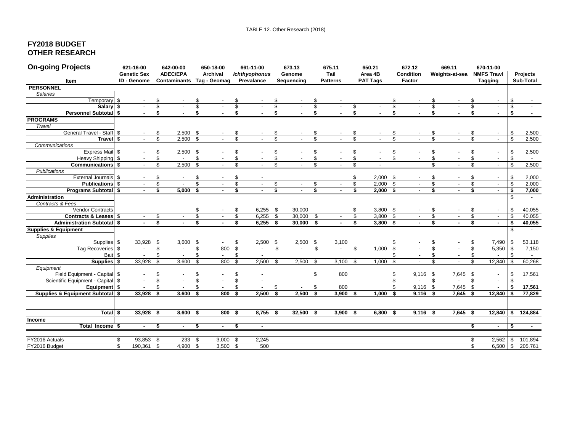### **FY2018 BUDGET OTHER RESEARCH**

| <b>On-going Projects</b>                                   |    | 621-16-00<br><b>Genetic Sex</b> |                               | 642-00-00<br><b>ADEC/EPA</b> |           | 650-18-00<br>Archival           |                                | 661-11-00<br><b>Ichthyophonus</b> |                                          | 673.13<br>Genome         |                               | 675.11<br>Tail           | 650.21<br>Area 4B       |                     |                         | 672.12<br><b>Condition</b> |                              | 669.11<br>Weights-at-sea |                                | 670-11-00<br><b>NMFS Trawl</b>           |                                      | Projects                           |
|------------------------------------------------------------|----|---------------------------------|-------------------------------|------------------------------|-----------|---------------------------------|--------------------------------|-----------------------------------|------------------------------------------|--------------------------|-------------------------------|--------------------------|-------------------------|---------------------|-------------------------|----------------------------|------------------------------|--------------------------|--------------------------------|------------------------------------------|--------------------------------------|------------------------------------|
| Item                                                       |    | ID - Genome                     |                               | Contaminants                 |           | Tag - Geomag                    |                                | Prevalance                        |                                          | Sequencing               |                               | <b>Patterns</b>          | <b>PAT Tags</b>         |                     |                         | Factor                     |                              |                          |                                | <b>Tagging</b>                           |                                      | Sub-Total                          |
| <b>PERSONNEL</b>                                           |    |                                 |                               |                              |           |                                 |                                |                                   |                                          |                          |                               |                          |                         |                     |                         |                            |                              |                          |                                |                                          |                                      |                                    |
| Salaries                                                   |    |                                 |                               |                              |           |                                 |                                |                                   |                                          |                          |                               |                          |                         |                     |                         |                            |                              |                          |                                |                                          |                                      |                                    |
| Temporary \$                                               |    | $\sim$                          | \$                            |                              |           |                                 |                                |                                   |                                          |                          |                               |                          |                         |                     |                         |                            |                              |                          |                                |                                          | \$                                   |                                    |
| Salary \$                                                  |    | $\sim$                          | $\overline{\$}$               |                              | \$        |                                 | \$                             | $\sim$                            | \$                                       |                          | $\mathbf{\hat{s}}$            |                          | \$                      | $\sim$              | \$                      |                            | \$                           |                          | \$                             | $\overline{\phantom{a}}$                 | $\bullet$                            | $\sim$                             |
| Personnel Subtotal \$                                      |    |                                 | s,                            |                              | \$        |                                 | $\overline{\mathbf{s}}$        |                                   | s,                                       |                          | s.                            |                          | $\overline{\mathbf{s}}$ |                     | s,                      |                            | s.                           |                          | \$                             |                                          | <b>S</b>                             |                                    |
| <b>PROGRAMS</b>                                            |    |                                 |                               |                              |           |                                 |                                |                                   |                                          |                          |                               |                          |                         |                     |                         |                            |                              |                          |                                |                                          |                                      |                                    |
| Travel                                                     |    |                                 |                               |                              |           |                                 |                                |                                   |                                          |                          |                               |                          |                         |                     |                         |                            |                              |                          |                                |                                          |                                      |                                    |
| General Travel - Staff \$                                  |    |                                 | \$                            | $2,500$ \$                   |           |                                 | \$                             |                                   |                                          |                          | \$                            |                          | \$                      |                     |                         |                            |                              |                          |                                | $\overline{\phantom{a}}$                 | \$                                   | 2,500                              |
| Travel \$                                                  |    | $\sim$                          | $\overline{\mathbf{s}}$       | 2,500                        | \$        |                                 | \$                             |                                   | \$                                       |                          | \$                            |                          | \$                      |                     | \$                      |                            | \$                           |                          | \$                             | $\mathcal{L}_{\mathcal{A}}$              | $\overline{\mathbf{s}}$              | 2,500                              |
| Communications                                             |    |                                 |                               |                              |           |                                 |                                |                                   |                                          |                          |                               |                          |                         |                     |                         |                            |                              |                          |                                |                                          |                                      |                                    |
| Express Mail \$                                            |    |                                 | \$                            | $2,500$ \$                   |           |                                 | \$                             |                                   | \$                                       |                          | \$                            |                          | \$                      |                     | \$                      |                            | \$                           |                          |                                |                                          | \$                                   | 2,500                              |
| Heavy Shipping \$                                          |    |                                 | \$                            | $\sim$                       | \$        |                                 | \$                             |                                   | \$                                       |                          | \$                            |                          | \$                      |                     | \$                      |                            | \$                           |                          |                                | $\blacksquare$                           | \$                                   | $\sim$                             |
| Communications \$                                          |    | $\sim$                          | \$                            | 2,500                        | \$        |                                 | \$                             |                                   | \$                                       |                          | \$                            |                          | $\mathfrak{s}$          |                     |                         |                            | $\mathbf{\hat{S}}$           |                          | \$                             | $\blacksquare$                           | \$                                   | 2,500                              |
| <b>Publications</b>                                        |    |                                 |                               |                              |           |                                 |                                |                                   |                                          |                          |                               |                          |                         |                     |                         |                            |                              |                          |                                |                                          |                                      |                                    |
| External Journals \$                                       |    |                                 | \$                            |                              | \$        |                                 | \$                             |                                   |                                          |                          |                               |                          | \$                      | $2,000$ \$          |                         |                            | \$                           |                          | \$                             |                                          | \$                                   | 2,000                              |
| <b>Publications</b> \$                                     |    | $\sim$<br>$\sim$                | \$                            | $\blacksquare$               | \$        | $\overline{\phantom{a}}$        | \$                             | $\sim$                            | $\frac{1}{2}$<br>$\overline{\mathbf{s}}$ |                          | \$<br>$\overline{\mathbf{s}}$ | $\overline{\phantom{a}}$ | \$                      | $2,000$ \$          |                         | $\sim$                     | \$                           | $\sim$                   | \$                             | $\overline{\phantom{a}}$<br>$\mathbf{r}$ | \$                                   | 2,000                              |
| <b>Programs Subtotal \$</b>                                |    |                                 | \$                            | $5,000$ \$                   |           |                                 | s,                             |                                   |                                          |                          |                               |                          | \$                      | $2,000$ \$          |                         | $\sim$                     | \$                           | $\sim$                   | \$                             |                                          | $\overline{\mathbf{s}}$              | 7,000                              |
| Administration                                             |    |                                 |                               |                              |           |                                 |                                |                                   |                                          |                          |                               |                          |                         |                     |                         |                            |                              |                          |                                |                                          | \$                                   |                                    |
| Contracts & Fees                                           |    |                                 |                               |                              |           |                                 |                                |                                   |                                          |                          |                               |                          |                         |                     |                         |                            |                              |                          |                                |                                          |                                      |                                    |
| Vendor Contracts                                           |    |                                 |                               |                              | \$        |                                 | \$                             | $6,255$ \$                        |                                          | 30,000                   |                               |                          | \$                      | $3,800$ \$          |                         |                            | S<br>$\overline{\mathbb{S}}$ |                          | \$                             | $\overline{\phantom{a}}$                 | \$                                   | 40,055                             |
| Contracts & Leases \$<br><b>Administration Subtotal \$</b> |    | $\sim$                          | \$<br>$\overline{\mathbf{s}}$ |                              | \$        | $\sim$                          | $\overline{\mathcal{S}}$<br>\$ | 6,255<br>$6,255$ \$               | \$                                       | 30,000<br>$30,000$ \$    | \$                            |                          | s,<br>\$                | 3,800<br>$3,800$ \$ | $\overline{\mathbf{s}}$ | $\sim$                     | s                            | $\sim$                   | $\overline{\mathcal{S}}$<br>\$ | $\mathcal{L}_{\mathcal{A}}$              | $\bullet$<br>$\overline{\mathbf{s}}$ | 40,055                             |
|                                                            |    |                                 |                               | $\sim$                       |           | $\sim$                          |                                |                                   |                                          |                          |                               | $\sim$                   |                         |                     |                         |                            |                              | $\sim$                   |                                | $\sim$                                   |                                      | 40,055                             |
| <b>Supplies &amp; Equipment</b>                            |    |                                 |                               |                              |           |                                 |                                |                                   |                                          |                          |                               |                          |                         |                     |                         |                            |                              |                          |                                |                                          | \$                                   |                                    |
| <b>Supplies</b>                                            |    |                                 |                               |                              |           |                                 |                                |                                   |                                          |                          |                               |                          |                         |                     |                         |                            |                              |                          |                                |                                          |                                      |                                    |
| Supplies                                                   | \$ | 33,928                          | \$<br>\$                      | $3,600$ \$                   |           |                                 | \$                             | $2,500$ \$                        |                                          | $2,500$ \$               |                               | 3,100                    |                         |                     |                         |                            | \$                           |                          | \$                             | 7,490                                    | - \$                                 | 53,118                             |
| Tag Recoveries \$                                          |    | $\blacksquare$                  |                               | $\overline{\phantom{a}}$     | \$        | 800                             | \$<br>\$                       |                                   | \$                                       |                          | \$                            | $\blacksquare$           | -\$                     | $1,000$ \$          |                         |                            | \$                           |                          | \$                             | 5,350 \$                                 | \$                                   | 7,150                              |
| Bait \$<br>Supplies \$                                     |    | 33,928                          | \$<br>\$                      | 3,600                        | \$.<br>\$ | $\overline{\phantom{a}}$<br>800 | \$                             | 2,500                             | \$                                       | 2,500                    | \$                            | 3,100                    | - \$                    | 1,000               | \$                      | $\sim$                     | \$                           | $\sim$                   | \$                             | 12,840                                   | $\sqrt{3}$                           | $\overline{\phantom{a}}$<br>60,268 |
| Equipment                                                  |    |                                 |                               |                              |           |                                 |                                |                                   |                                          |                          |                               |                          |                         |                     |                         |                            |                              |                          |                                |                                          |                                      |                                    |
| Field Equipment - Capital \$                               |    |                                 | \$                            |                              | \$        |                                 | \$                             |                                   |                                          |                          | \$                            | 800                      |                         |                     | \$                      | 9,116                      | $^{\circ}$                   | 7,645 \$                 |                                | $\overline{\phantom{a}}$                 | \$                                   | 17,561                             |
| Scientific Equipment - Capital \$                          |    | $\sim$                          | \$                            | $\sim$                       | \$        | $\overline{\phantom{a}}$        | \$                             | $\blacksquare$                    |                                          |                          |                               |                          |                         |                     | \$                      |                            | \$                           | $\sim$                   | \$                             | $\overline{\phantom{a}}$                 | \$                                   | $\sim$                             |
| Equipment \$                                               |    | $\overline{\phantom{a}}$        | \$                            | $\sim$                       | \$        |                                 | \$                             | $\sim$                            | \$                                       | $\overline{\phantom{a}}$ | \$                            | 800                      |                         |                     | \$                      | $9,116$ \$                 |                              | 7,645 \$                 |                                | $\overline{\phantom{a}}$                 | \$                                   | 17,561                             |
| Supplies & Equipment Subtotal \$                           |    | 33,928                          | \$                            | 3,600                        | \$        | 800                             | S.                             | 2,500                             | \$                                       | 2,500                    | \$                            | 3,900                    | \$                      | 1,000               | \$                      | 9,116                      | - \$                         | 7,645                    | - \$                           | 12,840                                   | S.                                   | 77,829                             |
|                                                            |    |                                 |                               |                              |           |                                 |                                |                                   |                                          |                          |                               |                          |                         |                     |                         |                            |                              |                          |                                |                                          |                                      |                                    |
|                                                            |    |                                 |                               |                              |           |                                 |                                |                                   |                                          |                          |                               |                          |                         |                     |                         |                            |                              |                          |                                |                                          |                                      |                                    |
| Total <sub>s</sub>                                         |    | 33,928                          | -\$                           | $8,600$ \$                   |           | $800*$                          |                                | $8,755$ \$                        |                                          | 32,500 \$                |                               | $3,900$ \$               |                         | $6,800$ \$          |                         | $9,116$ \$                 |                              | $7,645$ \$               |                                |                                          |                                      | 12,840 \$ 124,884                  |
| <b>Income</b>                                              |    |                                 |                               |                              |           |                                 |                                |                                   |                                          |                          |                               |                          |                         |                     |                         |                            |                              |                          |                                |                                          |                                      |                                    |
| Total Income \$                                            |    | $\blacksquare$                  | \$                            |                              | \$        |                                 | \$                             | $\sim$                            |                                          |                          |                               |                          |                         |                     |                         |                            |                              |                          | \$                             | $\blacksquare$                           | S.                                   | $\blacksquare$                     |
|                                                            |    |                                 |                               |                              |           |                                 |                                |                                   |                                          |                          |                               |                          |                         |                     |                         |                            |                              |                          |                                |                                          |                                      |                                    |
| FY2016 Actuals                                             | \$ | 93,853                          |                               | $233$ \$                     |           | $3,000$ \$                      |                                | 2,245                             |                                          |                          |                               |                          |                         |                     |                         |                            |                              |                          | \$                             | 2,562                                    | <b>S</b>                             | 101,894                            |
| FY2016 Budget                                              | s, | 190,361                         | \$<br>$\bullet$               | 4,900                        | \$        | $3,500$ \$                      |                                | 500                               |                                          |                          |                               |                          |                         |                     |                         |                            |                              |                          | \$                             | 6,500                                    | $\sqrt{3}$                           | 205,761                            |
|                                                            |    |                                 |                               |                              |           |                                 |                                |                                   |                                          |                          |                               |                          |                         |                     |                         |                            |                              |                          |                                |                                          |                                      |                                    |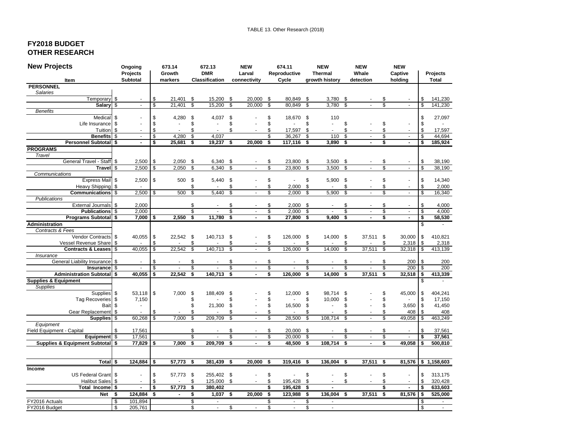### **FY2018 BUDGET OTHER RESEARCH**

| <b>New Projects</b>                | Ongoing                    |            | 673.14                             |                           | 672.13                   |                          | <b>NEW</b>                       |                          | 674.11         |      | <b>NEW</b>     |                          | <b>NEW</b>           |                          | <b>NEW</b>     |                         |                    |
|------------------------------------|----------------------------|------------|------------------------------------|---------------------------|--------------------------|--------------------------|----------------------------------|--------------------------|----------------|------|----------------|--------------------------|----------------------|--------------------------|----------------|-------------------------|--------------------|
|                                    | <b>Projects</b>            |            | Growth                             |                           | <b>DMR</b>               |                          | Larval                           |                          | Reproductive   |      | <b>Thermal</b> |                          | Whale                | Captive                  |                |                         | Projects           |
| Item                               | Subtotal                   |            | markers                            |                           | <b>Classification</b>    |                          | connectivity                     |                          | Cycle          |      | growth history |                          | detection            |                          | holding        |                         | <b>Total</b>       |
| <b>PERSONNEL</b>                   |                            |            |                                    |                           |                          |                          |                                  |                          |                |      |                |                          |                      |                          |                |                         |                    |
| <b>Salaries</b>                    |                            |            |                                    |                           |                          |                          |                                  |                          |                |      |                |                          |                      |                          |                |                         |                    |
| Temporary                          | -\$<br>$\sim$              |            | \$<br>21,401                       | \$                        | 15,200                   | \$                       | 20,000                           | \$                       | 80,849         | - \$ | 3,780          | \$                       |                      | S                        |                | \$                      | 141,230            |
| Salary \$                          |                            |            | \$<br>21,401                       | \$                        | 15,200                   | \$                       | 20,000                           | \$                       | 80,849         | \$   | 3,780          | \$                       |                      |                          |                | \$                      | 141,230            |
| <b>Benefits</b>                    |                            |            |                                    |                           |                          |                          |                                  |                          |                |      |                |                          |                      |                          |                |                         |                    |
| Medical                            | \$                         |            | \$<br>4,280                        | \$                        | 4,037                    | \$                       |                                  | \$                       | 18,670 \$      |      | 110            |                          |                      |                          |                | \$                      | 27,097             |
| Life Insurance                     | \$                         |            | \$<br>÷.                           | \$                        | $\overline{\phantom{a}}$ | \$                       |                                  | \$                       |                | \$   |                | \$                       |                      | \$                       | $\sim$         | \$                      |                    |
| Tuition                            | \$                         |            | \$                                 | \$                        | ÷.                       | \$                       |                                  | \$                       | 17,597         | \$   |                | \$                       |                      | \$                       |                | \$                      | 17,597             |
| <b>Benefits</b>                    | \$<br>$\omega$             |            | $\mathsf{s}$<br>4,280              | \$                        | 4,037                    |                          |                                  | \$                       | 36,267         | \$   | 110            | $\overline{\mathcal{S}}$ | $\mathbf{r}$         | \$                       | $\Delta$       | \$                      | 44,694             |
| Personnel Subtotal \$              |                            |            | \$<br>25,681                       | \$                        | 19,237                   | \$                       | 20,000                           | \$                       | 117,116        | \$   | 3,890          | \$                       |                      | \$                       | $\blacksquare$ | \$                      | 185,924            |
| <b>PROGRAMS</b><br>Travel          |                            |            |                                    |                           |                          |                          |                                  |                          |                |      |                |                          |                      |                          |                |                         |                    |
| General Travel - Staff             | -\$<br>2,500               |            | 2,050<br>\$                        | \$                        | 6,340                    | \$                       |                                  | \$                       | 23,800         | -\$  | 3,500          | \$                       |                      |                          |                | \$                      |                    |
| Travel \$                          |                            | $2,500$ \$ | 2,050                              | $\overline{\mathcal{S}}$  | 6,340                    | $\overline{\mathcal{S}}$ |                                  | $\overline{\mathcal{S}}$ | 23,800         | \$   | 3,500          | \$                       |                      | \$                       | $\sim$         | $\mathsf{s}$            | 38,190<br>38,190   |
| Communications                     |                            |            |                                    |                           |                          |                          |                                  |                          |                |      |                |                          |                      |                          |                |                         |                    |
| Express Mail \$                    |                            | $2,500$ \$ | 500                                | \$                        | 5,440 \$                 |                          |                                  | \$                       |                | \$   | 5,900          | - \$                     |                      | \$                       | $\blacksquare$ | \$                      | 14,340             |
| Heavy Shipping                     | \$                         |            |                                    | \$                        |                          | \$                       |                                  | \$                       | 2,000          | \$   |                | \$                       |                      | \$                       | $\blacksquare$ | \$                      | 2,000              |
| <b>Communications</b>              | \$                         | $2,500$ \$ | 500                                | \$                        | 5.440                    | \$                       |                                  | \$                       | 2.000          | \$   | 5,900          | \$                       | $\overline{a}$       | \$                       | $\mathbf{r}$   | \$                      | 16,340             |
| Publications                       |                            |            |                                    |                           |                          |                          |                                  |                          |                |      |                |                          |                      |                          |                |                         |                    |
| <b>External Journals</b>           | \$<br>2,000                |            |                                    | \$                        |                          | \$                       |                                  | \$                       | 2,000          | - \$ |                | \$                       |                      | \$                       | $\blacksquare$ | \$                      | 4,000              |
| <b>Publications</b>                | 2,000<br>\$                |            |                                    | \$                        |                          | \$                       | $\sim$                           | $\overline{\mathcal{S}}$ | 2.000          | \$   |                | \$                       | $\overline{a}$       | \$                       | $\mathbf{r}$   | \$                      | 4,000              |
| Programs Subtotal \$               |                            | $7,000$ \$ | 2,550                              | \$                        | 11,780                   | \$                       |                                  | \$                       | 27,800         | \$   | 9,400          | \$                       | $\blacksquare$       | \$                       | $\blacksquare$ | \$                      | 58,530             |
| <b>Administration</b>              |                            |            |                                    |                           |                          |                          |                                  |                          |                |      |                |                          |                      |                          |                | \$                      |                    |
| Contracts & Fees                   |                            |            |                                    |                           |                          |                          |                                  |                          |                |      |                |                          |                      |                          |                |                         |                    |
| Vendor Contracts                   | \$<br>40,055 \$            |            | 22,542                             | \$                        | 140,713 \$               |                          |                                  | \$                       | 126,000        | - \$ | 14,000 \$      |                          | 37,511 \$            |                          | 30,000         | \$                      | 410,821            |
| Vessel Revenue Share               | \$<br>$\sim$               |            | \$                                 | \$                        |                          | \$                       | $\sim$                           | \$                       |                | \$   |                | \$                       |                      | \$                       | 2,318          | \$                      | 2,318              |
| Contracts & Leases                 | 40,055<br>\$               |            | $\overline{\mathcal{S}}$<br>22,542 | $\mathsf{s}$              | 140,713                  | $\overline{\mathcal{S}}$ |                                  | $\overline{\mathcal{S}}$ | 126,000        | \$   | 14,000         | $\overline{\mathcal{S}}$ | 37,511               | $\overline{\mathcal{S}}$ | 32,318         | $\overline{\mathbf{s}}$ | 413,139            |
| Insurance                          |                            |            |                                    |                           |                          |                          |                                  |                          |                |      |                |                          |                      |                          |                |                         |                    |
| <b>General Liability Insurance</b> | \$<br>$\blacksquare$       |            | \$<br>$\sim$                       | \$                        |                          | \$                       | $\sim$                           | \$                       | $\mathbf{r}$   | \$   |                | \$                       | $\blacksquare$       | \$                       | 200            | \$                      | 200                |
| Insurance                          | \$                         |            | \$<br>$\overline{\mathbf{s}}$      | \$                        |                          | \$                       | $\blacksquare$<br>$\overline{a}$ | \$<br>\$                 | 126.000        | \$   |                | \$                       |                      | \$                       | 200            | \$                      | 200                |
| <b>Administration Subtotal \$</b>  | 40,055                     |            | 22,542                             | \$                        | 140,713                  | \$                       |                                  |                          |                | \$   | 14,000         | \$                       | 37,511               | \$                       | 32,518         | \$                      | 413,339            |
| <b>Supplies &amp; Equipment</b>    |                            |            |                                    |                           |                          |                          |                                  |                          |                |      |                |                          |                      |                          |                | \$                      |                    |
| Supplies<br>Supplies               | \$<br>$53,118$ \$          |            | 7,000                              | \$                        | 188,409                  | \$                       |                                  | \$                       | 12,000 \$      |      | 98,714         | \$                       |                      | \$                       | 45,000         | \$                      | 404,241            |
| <b>Tag Recoveries</b>              | \$<br>7,150                |            |                                    | \$                        |                          | \$                       |                                  | \$                       |                | \$   | 10,000         | \$                       |                      | \$                       | $\blacksquare$ | \$                      | 17,150             |
| <b>Bait</b>                        | \$<br>÷,                   |            |                                    | \$                        | 21,300                   | \$                       |                                  | \$                       | 16,500         | -\$  |                | \$                       |                      | \$                       | 3,650          | \$                      | 41,450             |
| Gear Replacement                   | \$<br>$\overline{a}$       |            | \$                                 | \$                        |                          | \$                       |                                  | \$                       |                | \$   |                | \$                       |                      | \$                       | 408            | \$                      | 408                |
| <b>Supplies</b>                    | 60,268<br>\$               |            | 7.000<br>\$                        | \$                        | 209,709                  | \$                       |                                  | \$                       | 28,500         | \$   | 108,714        | \$                       |                      | \$                       | 49,058         | \$                      | 463,249            |
| Equipment                          |                            |            |                                    |                           |                          |                          |                                  |                          |                |      |                |                          |                      |                          |                |                         |                    |
| Field Equipment - Capital          | \$<br>17,561               |            |                                    | \$                        |                          | \$                       |                                  | \$                       | 20,000         | - \$ |                |                          |                      |                          |                | \$                      | 37,561             |
| Equipment \$                       | 17,561                     |            |                                    | \$                        | ÷,                       | \$                       |                                  | $\mathsf{s}$             | 20,000         | \$   |                | \$                       | $\mathbf{r}$         | \$                       | $\blacksquare$ | \$                      | 37,561             |
| Supplies & Equipment Subtotal \$   | $77,829$ \$                |            | 7,000                              | s,                        | 209,709                  | \$                       |                                  | \$                       | 48,500         | \$   | 108,714        | \$                       |                      | \$                       | 49,058         | \$                      | 500,810            |
|                                    |                            |            |                                    |                           |                          |                          |                                  |                          |                |      |                |                          |                      |                          |                |                         |                    |
|                                    |                            |            |                                    |                           |                          |                          |                                  |                          |                |      |                |                          |                      |                          |                |                         |                    |
| Total \$                           | $124,884$ \$               |            | 57,773                             | \$                        | 381,439                  | \$                       | 20,000                           | \$                       | 319,416        | -\$  | 136,004        | \$                       | 37,511               | \$                       |                |                         | 81,576 \$1,158,603 |
| Income                             |                            |            |                                    |                           |                          |                          |                                  |                          |                |      |                |                          |                      |                          |                |                         |                    |
| US Federal Grant \$                | $\overline{a}$             |            | \$<br>57,773 \$                    |                           | 255,402 \$               |                          |                                  | \$                       |                | \$   |                | \$                       | ÷                    | \$                       | $\overline{a}$ | \$                      | 313,175            |
| <b>Halibut Sales</b>               | \$<br>$\sim$               |            | \$                                 | \$                        | 125,000 \$               |                          | $\sim$                           | \$                       | 195,428        | \$   |                | \$                       | $\ddot{\phantom{1}}$ | \$                       | $\blacksquare$ | \$                      | 320,428            |
| Total Income                       | -\$<br>$\blacksquare$      |            | \$<br>57,773                       | \$                        | 380,402                  |                          |                                  | \$                       | 195,428        | \$   |                |                          |                      | \$                       | $\blacksquare$ | \$                      | 633,603            |
| <b>Net</b>                         | 124,884<br>\$              |            | -\$<br>$\blacksquare$              | \$                        | 1,037                    | \$                       | 20,000                           | - \$                     | 123,988        | \$   | 136,004        | - \$                     | $37,511$ \$          |                          | $81,576$ \$    |                         | 525,000            |
| FY2016 Actuals                     | $\overline{\$}$<br>101,894 |            |                                    | $\boldsymbol{\mathsf{s}}$ | $\blacksquare$           |                          |                                  | \$                       | $\blacksquare$ | \$   | $\blacksquare$ |                          |                      |                          |                | \$                      | $\bullet$          |
| FY2016 Budget                      | \$<br>205,761              |            |                                    | \$                        | $\Delta$                 | $\overline{\mathcal{S}}$ | $\mathcal{L}^{\mathcal{L}}$      | \$                       | $\mathbf{r}$   | \$   | $\omega$       |                          |                      |                          |                | \$                      | $\sim$             |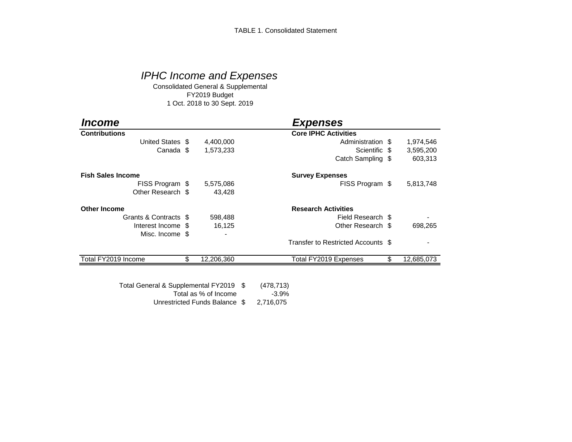# *IPHC Income and Expenses*

Consolidated General & Supplemental FY2019 Budget 1 Oct. 2018 to 30 Sept. 2019

| <i><b>Income</b></i>     |                  | <b>Expenses</b>                    |                  |
|--------------------------|------------------|------------------------------------|------------------|
| <b>Contributions</b>     |                  | <b>Core IPHC Activities</b>        |                  |
| United States \$         | 4,400,000        | Administration \$                  | 1,974,546        |
| Canada \$                | 1,573,233        | Scientific \$                      | 3,595,200        |
|                          |                  | Catch Sampling \$                  | 603,313          |
| <b>Fish Sales Income</b> |                  | <b>Survey Expenses</b>             |                  |
| FISS Program \$          | 5,575,086        | FISS Program \$                    | 5,813,748        |
| Other Research \$        | 43,428           |                                    |                  |
| <b>Other Income</b>      |                  | <b>Research Activities</b>         |                  |
| Grants & Contracts \$    | 598,488          | Field Research \$                  |                  |
| Interest Income \$       | 16,125           | Other Research \$                  | 698,265          |
| Misc. Income \$          |                  |                                    |                  |
|                          |                  | Transfer to Restricted Accounts \$ |                  |
| Total FY2019 Income      | \$<br>12,206,360 | Total FY2019 Expenses              | \$<br>12,685,073 |

Unrestricted Funds Balance \$ 2,716,075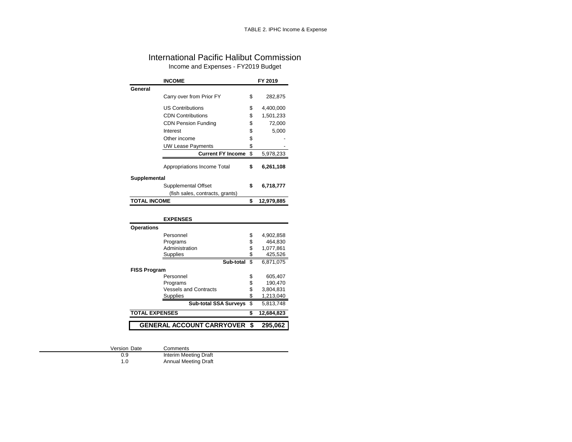### International Pacific Halibut Commission Income and Expenses - FY2019 Budget

|                     | <b>INCOME</b>                   |          | FY 2019    |
|---------------------|---------------------------------|----------|------------|
| General             |                                 |          |            |
|                     | Carry over from Prior FY        | \$       | 282,875    |
|                     | <b>US Contributions</b>         |          | 4,400,000  |
|                     |                                 | \$       |            |
|                     | <b>CDN Contributions</b>        | \$       | 1,501,233  |
|                     | <b>CDN Pension Funding</b>      | \$       | 72,000     |
|                     | Interest                        | \$       | 5,000      |
|                     | Other income                    | \$       |            |
|                     | <b>UW Lease Payments</b>        | \$       |            |
|                     | <b>Current FY Income</b>        | \$       | 5,978,233  |
|                     | Appropriations Income Total     | \$       | 6,261,108  |
| Supplemental        |                                 |          |            |
|                     | Supplemental Offset             | \$       | 6,718,777  |
|                     | (fish sales, contracts, grants) |          |            |
| <b>TOTAL INCOME</b> |                                 | \$       | 12,979,885 |
|                     |                                 |          |            |
|                     | <b>EXPENSES</b>                 |          |            |
| <b>Operations</b>   |                                 |          |            |
|                     | Personnel                       | \$       | 4,902,858  |
|                     | Programs                        | \$       | 464,830    |
|                     | Administration                  | \$       | 1,077,861  |
|                     | Supplies                        | \$       | 425,526    |
|                     | Sub-total                       | \$       | 6,871,075  |
| <b>FISS Program</b> |                                 |          |            |
|                     | Personnel                       | \$       | 605,407    |
|                     | Programs                        | \$<br>\$ | 190,470    |
|                     | <b>Vessels and Contracts</b>    |          | 3,804,831  |
|                     | <b>Supplies</b>                 | \$       | 1,213,040  |
|                     | <b>Sub-total SSA Surveys</b>    | \$       | 5,813,748  |

**TOTAL EXPENSES \$ 12,684,823 GENERAL ACCOUNT CARRYOVER \$ 295,062**

Version Date Comments<br>0.9 Interim Mee

0.9 Interim Meeting Draft<br>1.0 Annual Meeting Draft Annual Meeting Draft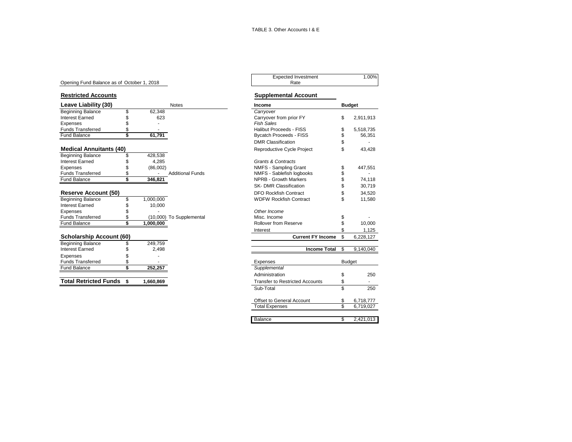#### Opening Fund Balance as of October 1, 2018

| Leave Liability (30)           |                             |           | <b>Notes</b>             | Income                         | <b>Budget</b>   |
|--------------------------------|-----------------------------|-----------|--------------------------|--------------------------------|-----------------|
| <b>Beginning Balance</b>       |                             | 62,348    |                          | Carryover                      |                 |
| <b>Interest Earned</b>         |                             | 623       |                          | Carryover from prior FY        | \$<br>2,911,913 |
| Expenses                       |                             |           |                          | <b>Fish Sales</b>              |                 |
| <b>Funds Transferred</b>       |                             |           |                          | <b>Halibut Proceeds - FISS</b> | 5,518,735       |
| <b>Fund Balance</b>            |                             | 61,791    |                          | <b>Bycatch Proceeds - FISS</b> | 56,351          |
|                                |                             |           |                          | <b>DMR Classification</b>      |                 |
| <b>Medical Annuitants (40)</b> |                             |           |                          | Reproductive Cycle Project     | 43,428          |
| <b>Beginning Balance</b>       |                             | 428,538   |                          |                                |                 |
| <b>Interest Earned</b>         |                             | 4.285     |                          | <b>Grants &amp; Contracts</b>  |                 |
| Expenses                       |                             | (86,002)  |                          | NMFS - Sampling Grant          | 447,551         |
| <b>Funds Transferred</b>       |                             |           | <b>Additional Funds</b>  | NMFS - Sablefish logbooks      |                 |
| Fund Balance                   |                             | 346,821   |                          | <b>NPRB - Growth Markers</b>   | 74,118          |
|                                |                             |           |                          | <b>SK- DMR Classification</b>  | 30,719          |
| <b>Reserve Account (50)</b>    |                             |           |                          | <b>DFO Rockfish Contract</b>   | 34,520          |
| <b>Beginning Balance</b>       |                             | 1,000,000 |                          | <b>WDFW Rockfish Contract</b>  | 11,580          |
| <b>Interest Earned</b>         |                             | 10,000    |                          |                                |                 |
| Expenses                       |                             |           |                          | Other Income                   |                 |
| <b>Funds Transferred</b>       |                             |           | (10,000) To Supplemental | Misc. Income                   |                 |
| Fund Balance                   |                             | 1,000,000 |                          | <b>Rollover from Reserve</b>   | 10,000          |
|                                |                             |           |                          | Interest                       | 1,125           |
| .                              | $\sim$ $\sim$ $\sim$ $\sim$ |           |                          |                                |                 |

| <b>Scholarship Account (60)</b> |          | <b>Current FY Income</b>               |               |
|---------------------------------|----------|----------------------------------------|---------------|
| <b>Beginning Balance</b>        | 249.759  |                                        |               |
| <b>Interest Earned</b>          | 2.498    | <b>Income Total</b>                    |               |
| Expenses                        |          |                                        |               |
| <b>Funds Transferred</b>        |          | Expenses                               | <b>Budget</b> |
| <b>Fund Balance</b>             | 252.257  | Supplemental                           |               |
|                                 |          | Administration                         |               |
| <b>Total Retricted Funds</b> \$ | .660.869 | <b>Transfer to Restricted Accounts</b> |               |

# Expected Investment 1.00%<br>Rate

#### **Restricted Accounts Restricted Accounts**

| Leave Liability (30)            |    |           | <b>Notes</b>             | Income                                 | <b>Budget</b>   |
|---------------------------------|----|-----------|--------------------------|----------------------------------------|-----------------|
| Beginning Balance               | \$ | 62,348    |                          | Carryover                              |                 |
| Interest Earned                 | \$ | 623       |                          | Carryover from prior FY                | \$<br>2,911,913 |
| Expenses                        |    |           |                          | <b>Fish Sales</b>                      |                 |
| <b>Funds Transferred</b>        |    |           |                          | <b>Halibut Proceeds - FISS</b>         | \$<br>5,518,735 |
| <b>Fund Balance</b>             | \$ | 61,791    |                          | <b>Bycatch Proceeds - FISS</b>         | \$<br>56,351    |
|                                 |    |           |                          | <b>DMR Classification</b>              | \$              |
| <b>Medical Annuitants (40)</b>  |    |           |                          | Reproductive Cycle Project             | \$<br>43,428    |
| Beginning Balance               | \$ | 428,538   |                          |                                        |                 |
| <b>Interest Earned</b>          |    | 4,285     |                          | <b>Grants &amp; Contracts</b>          |                 |
| <b>Expenses</b>                 |    | (86,002)  |                          | NMFS - Sampling Grant                  | \$<br>447,551   |
| <b>Funds Transferred</b>        | \$ |           | <b>Additional Funds</b>  | NMFS - Sablefish logbooks              | \$              |
| <b>Fund Balance</b>             | \$ | 346,821   |                          | <b>NPRB - Growth Markers</b>           | \$<br>74,118    |
|                                 |    |           |                          | SK- DMR Classification                 | \$<br>30,719    |
| <b>Reserve Account (50)</b>     |    |           |                          | <b>DFO Rockfish Contract</b>           | \$<br>34,520    |
| Beginning Balance               | \$ | 1,000,000 |                          | <b>WDFW Rockfish Contract</b>          | \$<br>11,580    |
| <b>Interest Earned</b>          | \$ | 10,000    |                          |                                        |                 |
| Expenses                        |    |           |                          | Other Income                           |                 |
| <b>Funds Transferred</b>        | \$ |           | (10,000) To Supplemental | Misc. Income                           | \$              |
| <b>Fund Balance</b>             | \$ | 1,000,000 |                          | Rollover from Reserve                  | \$<br>10,000    |
|                                 |    |           |                          | Interest                               | \$<br>1,125     |
| <b>Scholarship Account (60)</b> |    |           |                          | <b>Current FY Income</b>               | \$<br>6,228,127 |
| Beginning Balance               | \$ | 249.759   |                          |                                        |                 |
| <b>Interest Earned</b>          |    | 2,498     |                          | <b>Income Total</b>                    | \$<br>9,140,040 |
| Expenses                        |    |           |                          |                                        |                 |
| <b>Funds Transferred</b>        | \$ |           |                          | Expenses                               | <b>Budget</b>   |
| <b>Fund Balance</b>             | \$ | 252.257   |                          | Supplemental                           |                 |
|                                 |    |           |                          | Administration                         | \$<br>250       |
| Total Retricted Funds           | S. | 1,660,869 |                          | <b>Transfer to Restricted Accounts</b> | \$              |
|                                 |    |           |                          | Sub-Total                              | \$<br>250       |
|                                 |    |           |                          | Offset to General Account              | \$<br>6,718,777 |
|                                 |    |           |                          | <b>Total Expenses</b>                  | \$<br>6,719,027 |
|                                 |    |           |                          | Balance                                | \$<br>2.421.013 |
|                                 |    |           |                          |                                        |                 |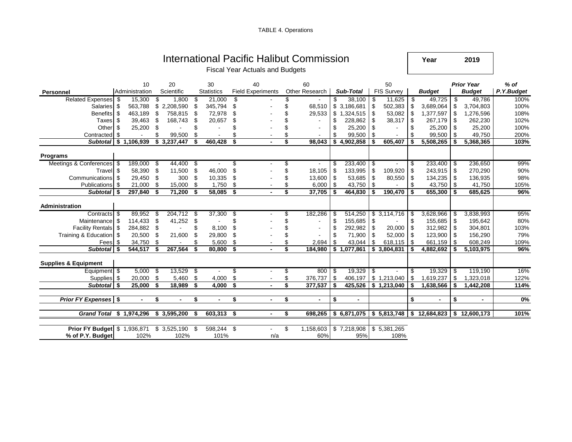|  | <b>TABLE 4. Operations</b> |
|--|----------------------------|
|--|----------------------------|

|                                 |      |                      |      |                  |      |                         |     | International Pacific Halibut Commission<br><b>Fiscal Year Actuals and Budgets</b> |    |                      |    |                |    |                         | Year                 |      | 2019                               |                      |
|---------------------------------|------|----------------------|------|------------------|------|-------------------------|-----|------------------------------------------------------------------------------------|----|----------------------|----|----------------|----|-------------------------|----------------------|------|------------------------------------|----------------------|
| Personnel                       |      | 10<br>Administration |      | 20<br>Scientific |      | 30<br><b>Statistics</b> |     | 40<br><b>Field Experiments</b>                                                     |    | 60<br>Other Research |    | Sub-Total      |    | 50<br><b>FIS Survey</b> | <b>Budget</b>        |      | <b>Prior Year</b><br><b>Budget</b> | $%$ of<br>P.Y.Budget |
| <b>Related Expenses</b>         | \$   | 15,300               | \$   | 1,800            | \$   | 21,000                  | \$  |                                                                                    |    |                      | \$ | 38,100         | S. | 11,625                  | \$<br>49,725         | \$   | 49,786                             | 100%                 |
| Salaries                        | \$   | 563,788              | \$   | 2,208,590        | \$   | 345,794                 | \$  |                                                                                    | \$ | 68,510               |    | \$3,186,681    | \$ | 502,383                 | \$<br>3,689,064      | \$   | 3,704,803                          | 100%                 |
| <b>Benefits</b>                 | \$   | 463,189              | \$   | 758,815          | \$   | 72,978                  |     |                                                                                    | \$ | 29,533               |    | \$1,324,515    | \$ | 53,082                  | \$<br>1,377,597      | \$   | 1,276,596                          | 108%                 |
| Taxes                           | \$   | 39,463               | \$   | 168,743          | \$.  | 20,657                  | S   |                                                                                    | \$ |                      | \$ | 228,862        | \$ | 38,317                  | \$<br>267,179        | \$   | 262,230                            | 102%                 |
| Other                           | \$   | 25,200               | \$   |                  |      |                         |     |                                                                                    | \$ |                      | \$ | 25,200         | \$ |                         | \$<br>25,200         | \$   | 25,200                             | 100%                 |
| Contracted                      | \$   |                      | \$   | 99,500           | \$   |                         |     |                                                                                    | \$ |                      | \$ | 99,500         | \$ |                         | \$<br>99,500         | \$   | 49,750                             | 200%                 |
| <b>Subtotal</b>                 |      | \$1,106,939          |      | \$3,237,447      | \$   | 460,428                 | \$  |                                                                                    | \$ | 98,043               |    | \$4,902,858    | \$ | 605,407                 | \$<br>5,508,265      | \$   | 5,368,365                          | 103%                 |
| <b>Programs</b>                 |      |                      |      |                  |      |                         |     |                                                                                    |    |                      |    |                |    |                         |                      |      |                                    |                      |
| Meetings & Conferences          | - \$ | 189,000              | - \$ | 44,400           | - \$ |                         |     |                                                                                    |    |                      |    | 233,400        | \$ |                         | 233,400              | - \$ | 236,650                            | 99%                  |
| Travel                          | \$   | 58,390               | \$   | 11,500           | \$   | 46,000                  | \$  |                                                                                    | \$ | 18,105               | \$ | 133,995        | \$ | 109,920                 | \$<br>243,915        | \$   | 270,290                            | 90%                  |
| Communications                  | \$   | 29,450               | \$   | 300              | \$   | 10,335                  | \$  |                                                                                    |    | 13,600               | \$ | 53,685         | \$ | 80,550                  | \$<br>134,235        | \$   | 136,935                            | 98%                  |
| <b>Publications</b>             | \$   | 21,000               | \$   | 15,000           | \$   | 1,750                   | \$  |                                                                                    | \$ | 6,000                | \$ | 43,750         | \$ |                         | \$<br>43,750         | \$   | 41,750                             | 105%                 |
| <b>Subtotal</b>                 | \$   | 297,840              | \$   | 71,200           | \$   | 58,085                  | \$  | $\blacksquare$                                                                     | \$ | 37,705               | Ŝ. | 464,830        | \$ | 190,470                 | \$<br>655,300        | \$   | 685,625                            | 96%                  |
| <b>Administration</b>           |      |                      |      |                  |      |                         |     |                                                                                    |    |                      |    |                |    |                         |                      |      |                                    |                      |
| Contracts \$                    |      | 89,952               | -S   | 204,712          | \$   | 37,300                  | \$  |                                                                                    | S  | 182,286              | \$ | 514,250        |    | \$3,114,716             | 3,628,966            | \$   | 3,838,993                          | 95%                  |
| Maintenance                     | \$   | 114,433              | \$   | 41,252           | \$   |                         | \$  |                                                                                    | \$ |                      | \$ | 155,685        | \$ |                         | \$<br>155,685        | -\$  | 195,642                            | 80%                  |
| <b>Facility Rentals</b>         | \$   | 284,882              | \$   |                  | \$   | 8,100                   | \$  |                                                                                    | \$ |                      | \$ | 292,982        | \$ | 20,000                  | \$<br>312,982        | \$   | 304,801                            | 103%                 |
| Training & Education            | \$   | 20,500               | \$   | 21,600           | \$   | 29,800                  | \$. |                                                                                    |    |                      | \$ | 71,900         | \$ | 52,000                  | \$<br>123,900        | \$   | 156,290                            | 79%                  |
| Fees                            | \$.  | 34,750               | \$   |                  |      | 5,600                   | \$  |                                                                                    | \$ | 2,694                | \$ | 43,044         | \$ | 618,115                 | \$<br>661,159        | -\$  | 608,249                            | 109%                 |
| <b>Subtotal</b>                 | \$   | 544,517              | \$   | 267,564          | \$   | 80,800                  | \$  |                                                                                    | \$ | 184,980              |    | \$1,077,861    |    | \$3,804,831             | \$<br>4,882,692      | \$   | 5,103,975                          | 96%                  |
| <b>Supplies &amp; Equipment</b> |      |                      |      |                  |      |                         |     |                                                                                    |    |                      |    |                |    |                         |                      |      |                                    |                      |
| Equipment   \$                  |      | 5,000                | -\$  | 13,529           | \$   |                         | \$  |                                                                                    | \$ | 800 \$               |    | 19,329         | \$ |                         | 19,329               | -\$  | 119,190                            | 16%                  |
| Supplies                        | \$   | 20,000               | \$   | 5,460            | \$   | 4,000                   | \$  |                                                                                    | \$ | 376,737              | \$ | 406,197        |    | \$1,213,040             | \$<br>1,619,237      | \$   | 1,323,018                          | 122%                 |
| <b>Subtotal</b>                 | \$   | 25,000               | \$   | 18,989           | \$   | 4.000                   | \$  | $\overline{a}$                                                                     | \$ | 377,537              | \$ | 425,526        |    | \$1,213,040             | \$<br>1,638,566      | \$   | 1,442,208                          | 114%                 |
|                                 |      |                      |      |                  |      |                         |     |                                                                                    |    |                      |    |                |    |                         |                      |      |                                    |                      |
| <b>Prior FY Expenses</b> \$     |      |                      | \$   |                  | \$   | $\blacksquare$          | \$  | $\blacksquare$                                                                     | \$ | $\blacksquare$       | \$ | $\blacksquare$ |    |                         | \$<br>$\blacksquare$ | \$   | $\blacksquare$                     | 0%                   |
| <b>Grand Total</b>              |      | \$1,974,296          |      | \$3,595,200      | \$   | 603,313 \$              |     | $\blacksquare$                                                                     | \$ | 698,265              |    | \$6,871,075    |    | \$5,813,748             | \$<br>12,684,823     | \$   | 12,600,173                         | 101%                 |
|                                 |      |                      |      |                  |      |                         |     |                                                                                    |    |                      |    |                |    |                         |                      |      |                                    |                      |
| <b>Prior FY Budget</b>          |      | \$1,936,871          |      | \$3,525,190      | \$   | 598,244 \$              |     | $\mathbf{r}$                                                                       | \$ | 1,158,603            |    | \$7,218,908    |    | \$5,381,265             |                      |      |                                    |                      |
| % of P.Y. Budget                |      | 102%                 |      | 102%             |      | 101%                    |     | n/a                                                                                |    | 60%                  |    | 95%            |    | 108%                    |                      |      |                                    |                      |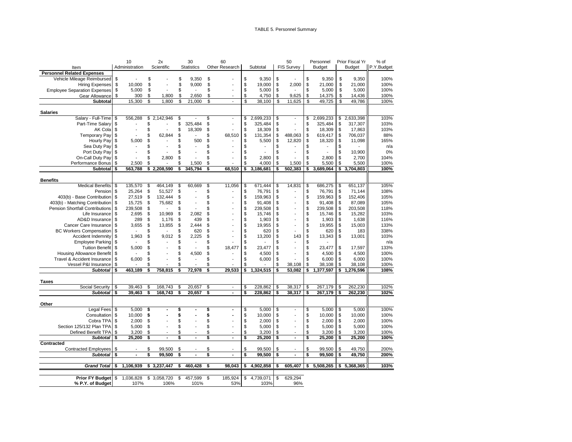|                                        |      | 10             |               | 2x                       |                           | 30                |    | 60                       |    |                |    | 50             |    | Personnel     | Prior Fiscal Yr | % of       |
|----------------------------------------|------|----------------|---------------|--------------------------|---------------------------|-------------------|----|--------------------------|----|----------------|----|----------------|----|---------------|-----------------|------------|
| Item                                   |      | Administration |               | Scientific               |                           | <b>Statistics</b> |    | Other Research           |    | Subtotal       |    | FIS Survey     |    | <b>Budget</b> | <b>Budget</b>   | P.Y.Budget |
| <b>Personnel Related Expenses</b>      |      |                |               |                          |                           |                   |    |                          |    |                |    |                |    |               |                 |            |
| Vehicle Mileage Reimbursed             | \$   |                | \$            |                          | \$                        | 9,350             | \$ |                          | \$ | 9,350          | \$ |                | \$ | 9,350         | \$<br>9,350     | 100%       |
| <b>Hiring Expenses</b>                 | \$   | 10.000         | \$            |                          | \$                        | 9,000             | \$ |                          | \$ | 19,000         | \$ | 2,000          | \$ | 21,000        | \$<br>21,000    | 100%       |
| <b>Employee Separation Expenses</b>    | \$   | 5,000          | \$            |                          | \$                        |                   | \$ |                          | \$ | 5,000          | \$ |                | \$ | 5,000         | \$<br>5,000     | 100%       |
| Gear Allowance                         | \$   | 300            | \$            | 1,800                    | \$                        | 2,650             | \$ |                          | \$ | 4,750          | \$ | 9,625          | \$ | 14,375        | \$<br>14,436    | 100%       |
| <b>Subtotal</b>                        |      | 15,300         | \$            | 1.800                    | \$                        | 21,000            | \$ |                          | \$ | 38,100         | \$ | 11,625         | \$ | 49,725        | \$<br>49,786    | 100%       |
| <b>Salaries</b>                        |      |                |               |                          |                           |                   |    |                          |    |                |    |                |    |               |                 |            |
| Salary - Full-Time                     |      | 556,288        | $\frac{1}{2}$ | 2,142,946                | $\boldsymbol{\mathsf{s}}$ |                   | \$ | $\sim$                   | \$ | 2,699,233      | \$ | $\overline{a}$ | \$ | 2,699,233     | \$<br>2,633,398 | 103%       |
| Part-Time Salary                       | \$   |                | \$            |                          | \$                        | 325,484           | \$ | $\overline{\phantom{a}}$ | \$ | 325,484        | \$ | $\blacksquare$ | \$ | 325,484       | \$<br>317,307   | 103%       |
| AK Cola                                | \$   |                | \$            |                          | \$                        | 18,309            | \$ | $\overline{\phantom{a}}$ | \$ | 18,309         | \$ |                | \$ | 18,309        | \$<br>17,863    | 103%       |
| Temporary Pay                          |      |                | \$            | 62,844                   | \$                        |                   | \$ | 68,510                   | \$ | 131,354        | \$ | 488,063        | \$ | 619,417       | \$<br>706,037   | 88%        |
| Hourly Pay                             | \$   | 5,000          | \$            |                          | \$                        | 500               | \$ |                          | \$ | 5,500          | \$ | 12,820         | \$ | 18,320        | \$<br>11,098    | 165%       |
| Sea Duty Pay                           | \$   |                | \$            |                          | \$                        |                   | \$ |                          | \$ | $\overline{a}$ | \$ |                | \$ | $\sim$        | \$              | n/a        |
| Port Duty Pay                          | \$   |                | \$            |                          | \$                        |                   | \$ |                          | \$ |                | \$ |                | \$ |               | \$<br>10,900    | 0%         |
| On-Call Duty Pay                       | \$   |                | \$            | 2,800                    | \$                        |                   | \$ |                          | \$ | 2,800          | \$ |                | \$ | 2,800         | \$<br>2,700     | 104%       |
| Performance Bonus                      | \$   | 2,500          | \$            |                          | \$                        | 1,500             | \$ |                          | \$ | 4,000          | \$ | 1,500          | \$ | 5,500         | \$<br>5,500     | 100%       |
| Subtotal                               | \$   | 563,788        |               | \$2,208,590              | \$                        | 345,794           | \$ | 68,510                   | \$ | 3,186,681      | Ŝ  | 502,383        | \$ | 3,689,064     | \$<br>3,704,803 | 100%       |
|                                        |      |                |               |                          |                           |                   |    |                          |    |                |    |                |    |               |                 |            |
| <b>Benefits</b>                        |      |                |               |                          |                           |                   |    |                          |    |                |    |                |    |               |                 |            |
| <b>Medical Benefits</b>                | - \$ | 135,570        | \$            | 464,149                  | \$                        | 60,669            | \$ | 11,056                   | \$ | 671,444        | \$ | 14,831         | \$ | 686,275       | \$<br>651,137   | 105%       |
| Pension                                | \$   | 25,264         | \$            | 51,527                   | \$                        |                   | \$ | $\overline{a}$           | \$ | 76,791         | \$ |                | \$ | 76,791        | \$<br>71,144    | 108%       |
| 403(b) - Base Contribution \$          |      | 27,519         | \$            | 132,444                  | \$                        |                   | \$ |                          | \$ | 159,963        | \$ |                | \$ | 159,963       | \$<br>152,406   | 105%       |
| 403(b) - Matching Contribution \$      |      | 15,725         | \$            | 75,682                   | \$                        |                   | \$ |                          | \$ | 91,408         | \$ |                | \$ | 91,408        | \$<br>87,089    | 105%       |
| <b>Pension Shortfall Contributions</b> | \$   | 239,508        | \$            | $\overline{\phantom{a}}$ | \$                        |                   | \$ |                          | \$ | 239,508        | \$ |                | \$ | 239,508       | \$<br>203,508   | 118%       |
| Life Insurance                         | \$   | 2,695          | \$            | 10,969                   | \$                        | 2,082             | \$ |                          | \$ | 15,746         | \$ |                | \$ | 15,746        | \$<br>15,282    | 103%       |
| AD&D Insurance                         | \$   | 289            | \$            | 1,176                    | \$                        | 439               | \$ |                          | \$ | 1,903          | \$ |                | \$ | 1,903         | \$<br>1,638     | 116%       |
| Cancer Care Insurance                  | S    | 3,655          | \$            | 13,855                   | \$                        | 2.444             | \$ | $\overline{\phantom{a}}$ | \$ | 19,955         | \$ |                | \$ | 19,955        | \$<br>15,003    | 133%       |
| <b>BC Workers Compensation</b>         | \$   |                | \$            | $\sim$                   | \$                        | 620               | \$ |                          | \$ | 620            | \$ |                | \$ | 620           | \$<br>183       | 338%       |
| Accident Indemnity                     | -\$  | 1,963          | \$            | 9,012                    | \$                        | 2,225             | \$ |                          | \$ | 13,200         | \$ | 143            | \$ | 13,343        | \$<br>13,001    | 103%       |
| Employee Parking                       | \$   |                | \$            |                          | \$                        |                   | \$ |                          | \$ |                | \$ |                | \$ |               |                 | n/a        |
| Tuition Benefit                        | \$   | 5,000          | \$            |                          | \$                        |                   | \$ | 18,477                   | \$ | 23,477         | \$ |                | \$ | 23,477        | \$<br>17,597    | 133%       |
| Housing Allowance Benefit              | -\$  |                | \$            |                          | \$                        | 4,500             | \$ | $\blacksquare$           | \$ | 4,500          | \$ |                | \$ | 4,500         | \$<br>4,500     | 100%       |
| Travel & Accident Insurance            | S    | 6,000          | \$            |                          | \$                        | $\overline{a}$    | \$ | $\overline{a}$           | \$ | 6,000          | \$ |                | \$ | 6,000         | \$<br>6,000     | 100%       |
| Vessel P&I Insurance                   | \$   |                | \$            |                          | \$                        |                   | \$ |                          | \$ |                | \$ | 38,108         | \$ | 38,108        | \$<br>38,108    | 100%       |
| <b>Subtotal</b>                        | - \$ | 463,189        | s             | 758,815                  | \$                        | 72,978            | Ŝ  | 29.533                   | \$ | 1,324,515      | \$ | 53.082         | \$ | 1,377,597     | \$<br>1,276,596 | 108%       |
| Taxes                                  |      |                |               |                          |                           |                   |    |                          |    |                |    |                |    |               |                 |            |
| Social Security                        | \$   | 39,463         | \$            | 168,743                  | \$                        | 20,657            | \$ | $\mathbf{r}$             | \$ | 228,862        | \$ | 38,317         | \$ | 267,179       | \$<br>262,230   | 102%       |
| <b>Subtotal</b>                        | \$   | 39,463         | \$            | 168,743                  | \$                        | 20,657            | \$ | $\blacksquare$           | \$ | 228,862        | \$ | 38,317         | \$ | 267,179       | \$<br>262,230   | 102%       |
|                                        |      |                |               |                          |                           |                   |    |                          |    |                |    |                |    |               |                 |            |
| Other                                  |      |                |               |                          |                           |                   |    |                          |    |                |    |                |    |               |                 |            |
| <b>Legal Fees</b>                      | \$   | 5,000          | \$            |                          | \$                        |                   | \$ |                          | \$ | 5,000          | \$ |                | \$ | 5,000         | \$<br>5,000     | 100%       |
| Consultation                           | \$   | 10,000         | \$            |                          | \$                        |                   | \$ |                          | \$ | 10,000         | \$ |                | \$ | 10,000        | \$<br>10,000    | 100%       |
| Cobra TPA                              | S    | 2,000          | \$            |                          | \$                        |                   | \$ |                          | \$ | 2,000          | \$ |                | \$ | 2,000         | \$<br>2.000     | 100%       |
| Section 125/132 Plan TPA               | S    | 5,000          | \$            |                          | \$                        |                   | \$ |                          | \$ | 5,000          | \$ |                | \$ | 5,000         | \$<br>5,000     | 100%       |
| Defined Benefit TPA                    | \$   | 3,200          | \$            |                          | \$                        |                   | \$ |                          | \$ | 3,200          | \$ |                | \$ | 3,200         | \$<br>3,200     | 100%       |
| <b>Subtotal</b>                        | \$   | 25.200         | Ŝ             |                          | Ŝ                         |                   | \$ | $\overline{\phantom{a}}$ | s  | 25.200         | s  | $\blacksquare$ | Ŝ  | 25,200        | \$<br>25,200    | 100%       |
| Contracted                             |      |                |               |                          |                           |                   |    |                          |    |                |    |                |    |               |                 |            |
| <b>Contracted Employees</b>            | \$   |                | \$            | 99,500                   | \$                        |                   | \$ |                          | \$ | 99,500         | \$ |                | \$ | 99,500        | \$<br>49,750    | 200%       |
| <b>Subtotal</b>                        | \$   | $\blacksquare$ | \$            | 99,500                   | \$                        |                   | \$ | $\blacksquare$           | \$ | 99,500         | \$ | $\blacksquare$ | \$ | 99,500        | \$<br>49,750    | 200%       |
| <b>Grand Total</b>                     | \$   | 1,106,939      |               | \$3,237,447              | \$                        | 460,428           | \$ | 98,043                   | \$ | 4,902,858      | \$ | 605,407        | \$ | 5,508,265     | \$5,368,365     | 103%       |
|                                        |      |                |               |                          |                           |                   |    |                          |    |                |    |                |    |               |                 |            |
| <b>Prior FY Budget \$</b>              |      | 1,036,828      | \$            | 3,058,720                | \$                        | 457,599           | \$ | 185,924                  | \$ | 4,739,071      | \$ | 629,294        |    |               |                 |            |
| % P.Y. of Budget                       |      | 107%           |               | 106%                     |                           | 101%              |    | 53%                      |    | 103%           |    | 96%            |    |               |                 |            |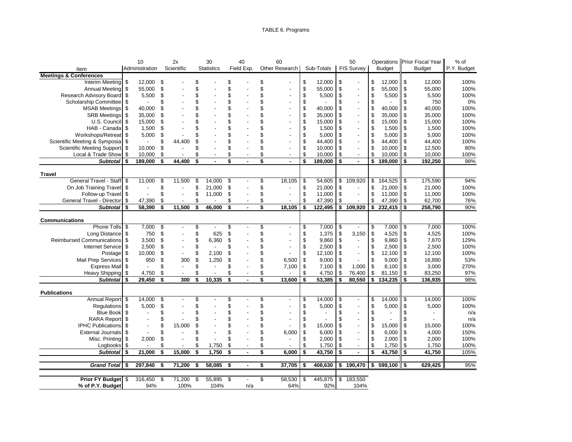### TABLE 6. Programs

|                                   |    | 10             |                         | 2x                       |                         | 30                |                         | 40             | 60                             |      |            |                         | 50                |               |               |          | Operations Prior Fiscal Year | % of        |
|-----------------------------------|----|----------------|-------------------------|--------------------------|-------------------------|-------------------|-------------------------|----------------|--------------------------------|------|------------|-------------------------|-------------------|---------------|---------------|----------|------------------------------|-------------|
| Item                              |    | Administration |                         | Scientific               |                         | <b>Statistics</b> |                         | Field Exp.     | Other Research                 |      | Sub-Totals |                         | <b>FIS Survey</b> |               | <b>Budget</b> |          | <b>Budget</b>                | P.Y. Budget |
| <b>Meetings &amp; Conferences</b> |    |                |                         |                          |                         |                   |                         |                |                                |      |            |                         |                   |               |               |          |                              |             |
| Interim Meeting                   | \$ | 12,000         | \$                      |                          | \$                      |                   | \$                      |                | \$                             | \$   | 12,000     | \$                      |                   | \$            | 12,000        | \$       | 12,000                       | 100%        |
| Annual Meeting                    | \$ | 55,000         | \$                      |                          | S                       |                   | \$                      |                | \$                             | \$   | 55,000     | \$                      |                   | \$            | 55,000        | \$       | 55,000                       | 100%        |
| Research Advisory Board           | \$ | 5,500          | \$                      |                          | S                       |                   | \$                      |                | \$                             | \$   | 5,500      | \$                      |                   | \$            | 5,500         | \$       | 5,500                        | 100%        |
| Scholarship Committee             | \$ |                | \$                      |                          | \$                      |                   | \$                      |                | \$                             | \$   |            | \$                      |                   | \$            |               | \$       | 750                          | 0%          |
| <b>MSAB Meetings</b>              | \$ | 40,000         | Ŝ                       |                          | \$                      |                   | \$                      |                | \$<br>$\overline{a}$           | \$   | 40,000     | \$                      | $\blacksquare$    | \$            | 40,000        | \$       | 40,000                       | 100%        |
| <b>SRB Meetings</b>               | \$ | 35,000         | \$                      |                          | \$                      |                   | \$                      |                | \$                             | \$   | 35,000     | \$                      |                   | \$            | 35,000        | \$       | 35,000                       | 100%        |
| U.S. Council                      | \$ | 15,000         | \$                      |                          | \$                      |                   | \$                      |                | $\overline{a}$                 | \$   | 15,000     | \$                      |                   | \$            | 15,000        | \$       | 15,000                       | 100%        |
| HAB - Canada                      | \$ | 1,500          | \$                      |                          | \$                      |                   | \$                      |                |                                | \$   | 1,500      | \$                      |                   | \$            | 1,500         | \$       | 1,500                        | 100%        |
| Workshops/Retreat                 | S  | 5,000          | \$                      |                          | \$                      |                   | \$                      |                | \$                             | \$   | 5,000      | \$                      |                   | \$            | 5,000         | -\$      | 5,000                        | 100%        |
| Scientific Meeting & Symposia     | \$ |                | \$                      | 44,400                   | 9                       |                   | \$                      |                | \$                             | \$   | 44,400     | \$                      |                   | \$            | 44,400        | \$       | 44,400                       | 100%        |
| <b>Scientific Meeting Support</b> | \$ | 10,000         | \$                      |                          | S                       |                   | \$                      |                | \$                             | \$   | 10,000     | \$                      |                   | \$            | 10,000        | \$       | 12,500                       | 80%         |
| Local & Trade Show                | \$ | 10,000         | \$                      |                          | \$                      |                   | \$                      |                | \$<br>$\overline{\phantom{a}}$ | \$   | 10,000     | \$                      | $\overline{a}$    | \$            | 10,000        | \$       | 10,000                       | 100%        |
| <b>Subtotal</b>                   | \$ | 189,000        | \$                      | 44,400                   | $\overline{\mathbf{s}}$ |                   | $\overline{\mathbf{s}}$ | $\overline{a}$ | \$<br>$\sim$                   | Ŝ    | 189,000    | $\overline{\mathbf{s}}$ | $\blacksquare$    | \$            | 189,000       | \$       | 192,250                      | 98%         |
|                                   |    |                |                         |                          |                         |                   |                         |                |                                |      |            |                         |                   |               |               |          |                              |             |
| Travel                            |    |                |                         |                          |                         |                   |                         |                |                                |      |            |                         |                   |               |               |          |                              |             |
| General Travel - Staff            | \$ | 11,000         | \$                      | 11,500                   | \$                      | 14,000            | \$                      |                | \$<br>18,105                   | \$   | 54,605     | \$                      | 109,920           | \$            | 164,525       | \$       | 175,590                      | 94%         |
| On Job Training Travel            | \$ |                | \$                      |                          | \$                      | 21,000            | \$                      |                | \$                             | \$   | 21,000     | \$                      |                   | \$            | 21,000        | <b>S</b> | 21,000                       | 100%        |
| Follow-up Travel                  | \$ |                | \$                      | $\overline{\phantom{a}}$ | \$                      | 11,000            | \$                      |                | \$<br>$\overline{a}$           | \$   | 11,000     | \$                      | $\overline{a}$    | \$            | 11,000        | \$       | 11,000                       | 100%        |
| General Travel - Director         | \$ | 47,390         | \$                      |                          | \$                      |                   | \$                      |                | \$                             | \$   | 47,390     | \$                      |                   | \$            | 47,390        | \$       | 62,700                       | 76%         |
| <b>Subtotal</b>                   | \$ | 58,390         | \$                      | 11,500                   | \$                      | 46,000            | \$                      | $\sim$         | \$<br>18,105                   | \$   | 122,495    | \$                      | 109,920           | \$            | 232,415       | \$       | 258,790                      | 90%         |
|                                   |    |                |                         |                          |                         |                   |                         |                |                                |      |            |                         |                   |               |               |          |                              |             |
| <b>Communications</b>             |    |                |                         |                          |                         |                   |                         |                |                                |      |            |                         |                   |               |               |          |                              |             |
| Phone Tolls                       | \$ | 7,000          | \$                      | $\overline{\phantom{a}}$ | \$                      | $\overline{a}$    | \$                      |                | \$<br>$\sim$                   | \$   | 7,000      | \$                      | $\blacksquare$    | \$            | 7,000         | \$       | 7.000                        | 100%        |
| Long Distance                     | \$ | 750            | \$                      |                          | \$                      | 625               | \$                      |                | \$<br>$\overline{a}$           | \$   | 1,375      | \$                      | 3,150             | \$            | 4,525         | \$       | 4,525                        | 100%        |
| Reimbursed Communications         | \$ | 3,500          | \$                      |                          | \$                      | 6,360             | \$                      |                | \$                             | \$   | 9,860      | \$                      |                   | \$            | 9,860         | \$       | 7,670                        | 129%        |
| Internet Service                  | \$ | 2,500          | \$                      |                          | \$                      |                   | \$                      |                | \$<br>$\overline{a}$           | \$   | 2,500      | \$                      |                   | \$            | 2,500         | \$       | 2,500                        | 100%        |
| Postage                           | \$ | 10,000         | \$                      |                          | \$                      | 2,100             | \$                      |                | \$                             | \$   | 12,100     | \$                      |                   | \$            | 12,100        | \$       | 12,100                       | 100%        |
| Mail Prep Services                | \$ | 950            | \$                      | 300                      | \$                      | 1,250             | \$                      |                | \$<br>6,500                    | \$   | 9,000      | \$                      |                   | \$            | 9,000         | \$       | 16,890                       | 53%         |
| <b>Express Mail</b>               | \$ |                | \$                      |                          | \$                      |                   | \$                      |                | \$<br>7,100                    | \$   | 7,100      | \$                      | 1.000             | $\mathfrak s$ | 8,100         | \$       | 3,000                        | 270%        |
| <b>Heavy Shipping</b>             | \$ | 4,750          | \$                      |                          | \$                      |                   | \$                      |                | \$                             | \$   | 4,750      | \$                      | 76,400            | \$            | 81,150        | \$       | 83,250                       | 97%         |
| Subtotal \$                       |    | 29,450         | \$                      | 300                      | \$                      | 10,335            | \$                      |                | \$<br>13,600                   | \$   | 53,385     | \$                      | 80,550            | \$            | 134,235       | \$       | 136,935                      | 98%         |
| <b>Publications</b>               |    |                |                         |                          |                         |                   |                         |                |                                |      |            |                         |                   |               |               |          |                              |             |
| Annual Report                     | \$ | 14,000         | \$                      |                          | \$                      |                   | \$                      |                | \$<br>$\overline{a}$           | \$   | 14,000     | \$                      |                   | \$            | 14,000        | \$       | 14,000                       | 100%        |
| <b>Requlations</b>                | \$ | 5,000          | \$                      |                          | \$                      |                   | \$                      |                | \$                             | \$   | 5,000      | \$                      |                   | \$            | 5,000         | \$       | 5,000                        | 100%        |
| <b>Blue Book</b>                  | \$ |                | \$                      |                          | S                       |                   | \$                      |                | \$                             | \$   |            | \$                      |                   | \$            |               | \$       |                              | n/a         |
| <b>RARA Report</b>                | \$ |                | \$                      |                          | Ŝ                       |                   | \$                      |                | \$                             | \$   |            | \$                      |                   | \$            |               |          |                              | n/a         |
| <b>IPHC Publications</b>          | \$ |                | Ŝ                       | 15,000                   | Ŝ                       |                   | \$                      |                | \$                             | \$   | 15,000     | \$                      |                   | \$            | 15,000        | \$       | 15,000                       | 100%        |
| <b>External Journals</b>          | \$ |                | \$                      |                          | Ŝ                       |                   | \$                      |                | \$<br>6,000                    | \$   | 6,000      | \$                      |                   | \$            | 6,000         | \$       | 4,000                        | 150%        |
| Misc. Printing                    | \$ | 2,000          | \$                      |                          | \$                      |                   | \$                      |                | \$<br>$\overline{a}$           | \$   | 2,000      | \$                      | $\overline{a}$    | \$            | 2,000         | \$       | 2,000                        | 100%        |
|                                   | \$ |                | \$                      |                          | \$                      | 1,750             | \$                      |                | \$<br>$\overline{a}$           | \$   | 1,750      | \$                      | $\blacksquare$    | \$            | 1,750         | \$       | 1,750                        | 100%        |
| Logbooks<br><b>Subtotal</b>       | \$ | 21,000         | $\overline{\mathbf{s}}$ | 15,000                   | \$                      | 1,750             | \$                      |                | \$<br>6,000                    | \$   | 43,750     | $\overline{\mathbf{s}}$ | $\blacksquare$    | \$            | 43,750        | \$       | 41,750                       | 105%        |
|                                   |    |                |                         |                          |                         |                   |                         |                |                                |      |            |                         |                   |               |               |          |                              |             |
| Grand Total \$                    |    | 297,840        | \$                      | 71,200                   | \$                      | 58,085            | \$                      |                | \$<br>37,705                   | - \$ | 408,630    | \$                      | 190,470           | \$            | 599,100       | -\$      | 629,425                      | 95%         |
|                                   |    |                |                         |                          |                         |                   |                         |                |                                |      |            |                         |                   |               |               |          |                              |             |
| Prior FY Budget \$                |    | 316,450        | \$                      | 71,200                   | \$                      | $55,895$ \$       |                         |                | \$<br>58,530                   | \$   | 445,875    | \$                      | 183,550           |               |               |          |                              |             |
| % of P.Y. Budget                  |    | 94%            |                         | 100%                     |                         | 104%              |                         | n/a            | 64%                            |      | 92%        |                         | 104%              |               |               |          |                              |             |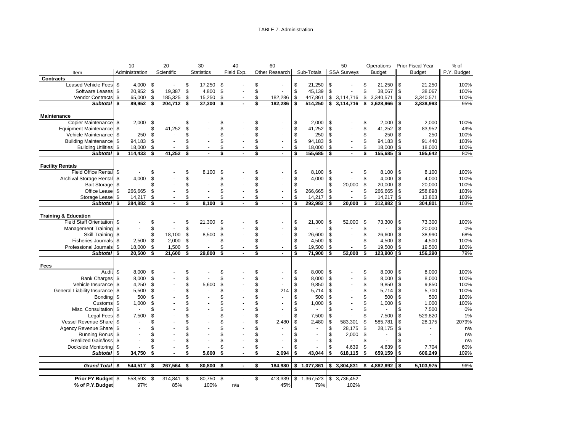#### TABLE 7. Administration

|                                 | 10               |      | 20             |     | 30                |      | 40             |    | 60             |    |            | 50                   |     | Operations     |            | Prior Fiscal Year | % of        |
|---------------------------------|------------------|------|----------------|-----|-------------------|------|----------------|----|----------------|----|------------|----------------------|-----|----------------|------------|-------------------|-------------|
| Item                            | Administration   |      | Scientific     |     | <b>Statistics</b> |      | Field Exp.     |    | Other Research |    | Sub-Totals | <b>SSA Surveys</b>   |     | <b>Budget</b>  |            | <b>Budget</b>     | P.Y. Budget |
| <b>Contracts</b>                |                  |      |                |     |                   |      |                |    |                |    |            |                      |     |                |            |                   |             |
| <b>Leased Vehicle Fees</b>      | \$<br>$4,000$ \$ |      |                | \$  | 17,250            | - \$ |                | \$ |                | \$ | 21,250     | \$                   | \$  | $21,250$ \$    |            | 21,250            | 100%        |
| Software Leases                 | \$<br>20,952 \$  |      | 19,387         | \$  | 4,800             | - \$ |                | \$ |                | \$ | 45,139     | \$                   | \$  | 38,067         | ll \$      | 38,067            | 100%        |
| <b>Vendor Contracts</b>         | \$<br>65,000     | \$   | 185,325        | \$  | 15,250            | \$   |                | \$ | 182,286        | \$ | 447,861    | \$<br>3,114,716      | \$  | 3,340,571      | <b>S</b>   | 3,340,571         | 100%        |
| <b>Subtotal</b>                 | \$<br>89,952     | \$   | 204,712        | \$  | 37,300            | \$   | $\blacksquare$ | \$ | 182,286        | \$ | 514,250    | \$<br>3,114,716      | \$  | 3,628,966      | \$         | 3,838,993         | 95%         |
|                                 |                  |      |                |     |                   |      |                |    |                |    |            |                      |     |                |            |                   |             |
| <b>Maintenance</b>              |                  |      |                |     |                   |      |                |    |                |    |            |                      |     |                |            |                   |             |
| Copier Maintenance              | \$<br>2,000      | \$   |                | \$. |                   | \$.  |                | \$ |                | \$ | 2,000      | \$                   | \$  | 2,000          | <b>S</b>   | 2,000             | 100%        |
| <b>Equipment Maintenance</b>    | \$               | \$   | 41,252         | \$. |                   |      |                | \$ |                | \$ | 41,252     | \$                   | \$  | 41,252         | l \$       | 83,952            | 49%         |
| Vehicle Maintenance             | \$<br>250        | \$   |                | \$  |                   | \$   |                | \$ |                | \$ | 250        | \$                   | \$  | 250            | ا \$       | 250               | 100%        |
| Building Maintenance \$         | 94,183           | - \$ |                | \$  |                   | \$   |                | \$ |                | \$ | 94,183     | \$                   | \$  | 94,183         | ا \$       | 91,440            | 103%        |
| <b>Building Utilities</b>       | \$<br>18,000 \$  |      |                | \$  |                   | \$   |                | \$ |                | \$ | 18.000     | \$<br>$\sim$         | \$  | 18,000         | \$         | 18,000            | 100%        |
| <b>Subtotal</b>                 | \$<br>114,433    | \$   | 41,252         | \$  |                   | \$   |                | \$ | $\overline{a}$ | \$ | 155,685    | \$<br>$\blacksquare$ | \$  | 155,685        | \$         | 195,642           | 80%         |
|                                 |                  |      |                |     |                   |      |                |    |                |    |            |                      |     |                |            |                   |             |
| <b>Facility Rentals</b>         |                  |      |                |     |                   |      |                |    |                |    |            |                      |     |                |            |                   |             |
| <b>Field Office Rental</b>      | \$               | S    |                | \$  | 8.100             | Ŝ.   |                | \$ |                | \$ | 8,100      | \$                   | \$  | 8,100          | ا \$       | 8,100             | 100%        |
| Archival Storage Rental         | \$<br>4.000      | \$   |                | \$  |                   | \$   |                | \$ |                | \$ | 4,000      | \$                   | \$  | 4,000          | ا \$       | 4,000             | 100%        |
| Bait Storage   \$               |                  | £.   |                | \$  |                   | \$   |                | \$ |                | \$ |            | \$<br>20,000         | \$  | 20,000         | ا \$       | 20,000            | 100%        |
| Office Lease                    | \$<br>266,665    | \$   |                | \$  |                   | \$   |                | \$ |                | \$ | 266,665    | \$                   | \$  | 266,665        | <b>S</b>   | 258,898           | 103%        |
| Storage Lease                   | \$<br>14,217     | \$   |                | \$  |                   | \$   |                | \$ |                | \$ | 14,217     | \$                   | \$  | 14,217         | \$         | 13,803            | 103%        |
| <b>Subtotal</b>                 | \$<br>284,882    | \$   | $\blacksquare$ | \$  | 8.100             | \$   |                | \$ | $\blacksquare$ | s  | 292,982    | \$<br>20,000         | \$  | 312,982        | \$         | 304,801           | 103%        |
|                                 |                  |      |                |     |                   |      |                |    |                |    |            |                      |     |                |            |                   |             |
| <b>Training &amp; Education</b> |                  |      |                |     |                   |      |                |    |                |    |            |                      |     |                |            |                   |             |
| <b>Field Staff Orientation</b>  | \$               | S    |                | \$  | 21,300            | -\$  |                | \$ |                | \$ | 21,300     | \$<br>52,000         | \$  | 73,300   \$    |            | 73,300            | 100%        |
| <b>Management Training</b>      | \$               | \$   |                | \$  |                   | \$   |                | \$ |                | \$ |            | \$                   | \$  |                | \$         | 20,000            | 0%          |
| <b>Skill Training</b>           | \$               | \$   | 18,100         | \$  | 8,500             | \$   |                | \$ |                | \$ | 26,600     | \$                   | \$  | 26,600         | \$         | 38,990            | 68%         |
| <b>Fisheries Journals</b>       | \$<br>2,500      | \$   | 2,000          | \$  | $\sim$            | \$   |                | \$ |                | \$ | 4,500      | \$                   | \$  | 4,500          | <b>S</b>   | 4,500             | 100%        |
| Professional Journals           | \$<br>18,000     | \$   | 1,500          | \$  |                   | \$   |                | \$ |                | \$ | 19,500     | \$                   | \$  | 19,500         | \$         | 19,500            | 100%        |
| <b>Subtotal</b>                 | \$<br>20,500     | \$   | 21,600         | \$  | 29,800            | \$   |                | \$ | $\blacksquare$ | \$ | 71,900     | \$<br>52,000         | \$  | 123,900        | \$         | 156,290           | 79%         |
|                                 |                  |      |                |     |                   |      |                |    |                |    |            |                      |     |                |            |                   |             |
| Fees<br>Audit \$                | 8,000            | \$   |                |     |                   | \$   |                | \$ |                | \$ | 8,000      | \$                   | \$  | 8,000          |            | 8,000             | 100%        |
| <b>Bank Charges</b>             | \$<br>8,000      | \$   |                | \$  |                   | £.   |                | \$ |                | \$ | 8,000      | \$                   | \$  | 8,000          | \$<br>ا \$ | 8,000             | 100%        |
| Vehicle Insurance               | \$<br>4,250      | \$   |                | \$  | 5,600             | S    |                | \$ |                | \$ | 9,850      | \$                   | \$  | 9,850          | ا \$       | 9,850             | 100%        |
| General Liability Insurance     | \$<br>5,500      | \$   |                | \$  |                   | ٩    |                | \$ | 214            | \$ | 5,714      | \$                   | \$  | 5,714          | ll \$      | 5,700             | 100%        |
| Bonding                         | \$<br>500        | \$   |                | \$  |                   | \$   |                |    |                | \$ | 500        | \$                   | \$  | 500            | \$         | 500               | 100%        |
| Customs                         | \$<br>1,000      | S    |                | \$  |                   | S    |                | \$ |                | \$ | 1,000      | \$                   | \$  | 1,000          | ا \$       | 1,000             | 100%        |
| Misc. Consultation              | \$               | \$   |                | \$  |                   | \$   |                | \$ |                | \$ |            | \$                   | \$  |                | \$         | 7,500             | 0%          |
| <b>Legal Fees</b>               | \$<br>7,500      | \$   |                | \$  |                   | \$   |                | \$ |                | \$ | 7,500      | \$                   | \$  | 7,500          | l \$       | 529,820           | 1%          |
| Vessel Revenue Share            | \$               | \$   |                | \$  |                   | \$   |                | \$ | 2,480          | \$ | 2,480      | \$<br>583,301        | \$  | 585,781        | \$         | 28,175            | 2079%       |
| Agency Revenue Share            | \$               | \$   |                | \$  |                   | \$   |                | \$ |                | \$ |            | \$<br>28,175         | \$  | 28,175         | \$         |                   | n/a         |
| <b>Running Bonus</b>            | \$               | \$   |                | \$  |                   | \$.  |                | \$ |                | \$ |            | \$<br>2,000          | \$  |                | \$         |                   | n/a         |
| <b>Realized Gain/loss</b>       | \$               | \$.  |                | \$  |                   | \$   |                | \$ |                | \$ |            | \$                   | -\$ |                |            |                   | n/a         |
| Dockside Monitoring \$          |                  | \$   |                | \$  |                   | \$   |                | \$ |                | \$ |            | \$<br>4,639          | \$  | 4,639          | \$         | 7,704             | 60%         |
| <b>Subtotal</b>                 | \$<br>34,750     | s    | $\overline{a}$ | \$  | 5,600             | \$   | $\blacksquare$ | \$ | 2,694          | \$ | 43,044     | \$<br>618,115        | \$  | 659,159        | 5          | 606,249           | 109%        |
|                                 |                  |      |                |     |                   |      |                |    |                |    |            |                      |     |                |            |                   |             |
| Grand Total \$                  | 544,517          | -\$  | 267,564        | \$  | 80,800            | -\$  | $\blacksquare$ | S  | 184,980        | \$ | 1,077,861  | \$<br>3,804,831      | -\$ | $4,882,692$ \$ |            | 5,103,975         | 96%         |
|                                 |                  |      |                |     |                   |      |                |    |                |    |            |                      |     |                |            |                   |             |
| Prior FY Budget \$              | 558,593 \$       |      | 314,841 \$     |     | 80,750            | - \$ |                | \$ | 413,339        | \$ | 1,367,523  | \$<br>3,736,452      |     |                |            |                   |             |
| % of P.Y.Budget                 | 97%              |      | 85%            |     | 100%              |      | n/a            |    | 45%            |    | 79%        | 102%                 |     |                |            |                   |             |
|                                 |                  |      |                |     |                   |      |                |    |                |    |            |                      |     |                |            |                   |             |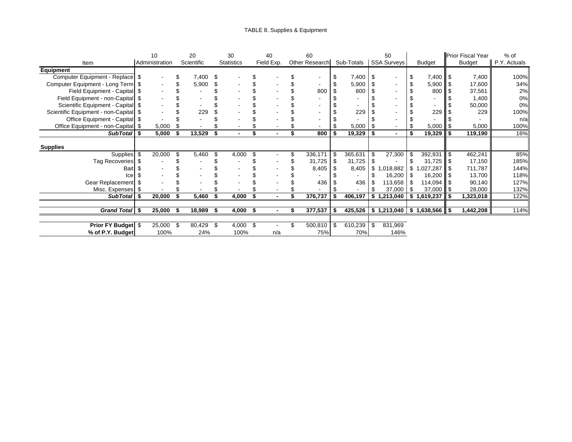### TABLE 8. Supplies & Equipment

|                                       | 10             |      | 20         |     | 30                |     | 40             | 60             |     |            |      | 50                 |                                      | <b>Prior Fiscal Year</b> | $%$ of       |
|---------------------------------------|----------------|------|------------|-----|-------------------|-----|----------------|----------------|-----|------------|------|--------------------|--------------------------------------|--------------------------|--------------|
| Item                                  | Administration |      | Scientific |     | <b>Statistics</b> |     | Field Exp.     | Other Research |     | Sub-Totals |      | <b>SSA Surveys</b> | <b>Budget</b>                        | <b>Budget</b>            | P.Y. Actuals |
| <b>Equipment</b>                      |                |      |            |     |                   |     |                |                |     |            |      |                    |                                      |                          |              |
| Computer Equipment - Replace   \$     |                |      | 7,400      | \$  |                   |     |                |                | \$  | 7,400      |      |                    | $7,400$   \$                         | 7,400                    | 100%         |
| Computer Equipment - Long Term   \$   |                |      | 5,900      |     |                   |     |                |                | \$  | 5,900      |      |                    | $5,900$   \$                         | 17,600                   | 34%          |
| Field Equipment - Capital   \$        |                |      |            |     |                   |     |                | 800            | \$  | 800        |      |                    | 800                                  | 37,561                   | 2%           |
| Field Equipment - non-Capital \$      |                |      |            |     |                   |     |                |                |     |            |      |                    |                                      | 1,400                    | 0%           |
| Scientific Equipment - Capital   \$   |                |      |            |     |                   |     |                |                |     |            |      |                    |                                      | 50,000                   | 0%           |
| Scientific Equipment - non-Capital \$ |                |      | 229        |     |                   |     |                |                |     | 229        |      |                    | 229                                  | 229                      | 100%         |
| Office Equipment - Capital   \$       |                |      |            |     |                   |     |                |                |     |            |      |                    |                                      |                          | n/a          |
| Office Equipment - non-Capital \$     | 5,000          |      |            |     |                   |     |                |                |     | 5,000      | - \$ |                    | 5,000                                | 5,000                    | 100%         |
| SubTotal \ \$                         | 5,000          | Ŝ.   | 13,529     |     | $\blacksquare$    |     | $\blacksquare$ | 800            | \$  | 19,329     |      | $\blacksquare$     | 19,329                               | \$<br>119,190            | 16%          |
|                                       |                |      |            |     |                   |     |                |                |     |            |      |                    |                                      |                          |              |
| <b>Supplies</b>                       |                |      |            |     |                   |     |                |                |     |            |      |                    |                                      |                          |              |
| Supplies \$                           | 20,000         |      | 5,460      | £.  | 4,000             | \$  |                | 336,171        | \$  | 365,631    |      | 27,300             | $392,931$ \$                         | 462,241                  | 85%          |
| Tag Recoveries \$                     |                |      |            |     |                   |     |                | 31,725         | \$  | 31,725     |      |                    | $31,725$ \$                          | 17,150                   | 185%         |
| <b>Bait</b>                           |                |      |            |     |                   |     |                | 8,405          |     | 8,405      | \$   | ,018,882           | $.027.287$ \ \$                      | 711,787                  | 144%         |
| Ice                                   |                |      |            |     |                   |     |                |                |     |            |      | 16,200             | $16,200$ $\parallel$ \$              | 13,700                   | 118%         |
| Gear Replacement \$                   |                |      |            |     |                   |     |                | 436            |     | 436        |      | 113,658            | $114,094$ \$                         | 90,140                   | 127%         |
| Misc. Expenses   \$                   |                |      |            |     |                   |     |                |                |     |            |      | 37,000             | $37,000$   \$                        | 28,000                   | 132%         |
| SubTotal   \$                         | 20,000         | \$   | 5,460      | \$  | 4,000             |     | $\blacksquare$ | 376,737        |     | 406,197    |      | \$1,213,040        | \$<br>1,619,237                      | \$<br>1,323,018          | 122%         |
|                                       |                |      |            |     |                   |     |                |                |     |            |      |                    |                                      |                          |              |
| Grand Total \$                        | 25,000         | -\$  | 18,989     | Ŝ.  | 4,000             | -\$ |                | 377,537        | -\$ | 425,526    |      | \$1,213,040        | $\vert$ \$ 1,638,566 $\vert\vert$ \$ | 1,442,208                | 114%         |
|                                       |                |      |            |     |                   |     |                |                |     |            |      |                    |                                      |                          |              |
| <b>Prior FY Budget \$</b>             | 25,000         | - \$ | 80,429     | -\$ | 4,000             | \$  |                | 500,810        | \$  | 610,239    | \$   | 831,969            |                                      |                          |              |
| % of P.Y. Budget                      | 100%           |      | 24%        |     | 100%              |     | n/a            | 75%            |     | 70%        |      | 146%               |                                      |                          |              |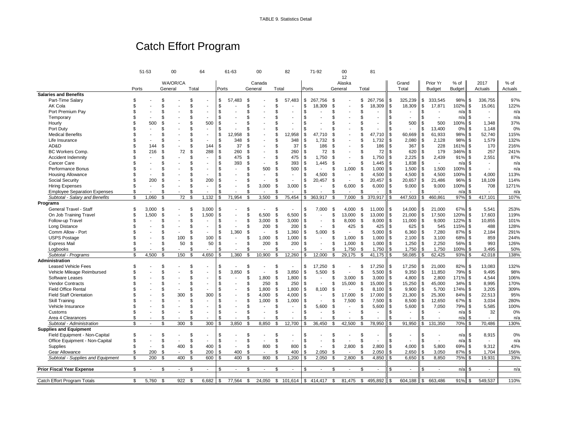# Catch Effort Program

|                                     |       | 51-53          |                | 00       |                | 64             |                | 61-63                    |                | 00                       |               | 82                       |            | 71-92                    |                | 00                       | 81                             |                |                          |               |                          |               |    |                          |         |
|-------------------------------------|-------|----------------|----------------|----------|----------------|----------------|----------------|--------------------------|----------------|--------------------------|---------------|--------------------------|------------|--------------------------|----------------|--------------------------|--------------------------------|----------------|--------------------------|---------------|--------------------------|---------------|----|--------------------------|---------|
|                                     |       |                |                |          |                |                |                |                          |                |                          |               |                          |            |                          |                | 12                       |                                |                |                          |               |                          |               |    |                          |         |
|                                     |       |                |                | WA/OR/CA |                |                |                |                          |                | Canada                   |               |                          |            |                          |                | Alaska                   |                                |                | Grand                    |               | Prior Yr                 | % of          |    | 2017                     | % of    |
|                                     | Ports |                | General        |          | Total          |                | Ports          |                          |                | General                  | Total         |                          |            | Ports                    | General        |                          | Total                          |                | Total                    |               | <b>Budget</b>            | <b>Budget</b> |    | Actuals                  | Actuals |
| <b>Salaries and Benefits</b>        |       |                |                |          |                |                |                |                          |                |                          |               |                          |            |                          |                |                          |                                |                |                          |               |                          |               |    |                          |         |
| Part-Time Salary                    | \$    |                | \$             |          | \$             |                | \$             | 57.483                   | \$             |                          | \$.           | 57,483                   | \$         | 267,756                  | \$             |                          | 267,756<br>\$                  | \$             | 325,239                  | \$            | 333,545                  | 98% \$        |    | 336,755                  | 97%     |
| AK Cola                             | \$    |                | \$.            |          | \$             |                | \$             |                          | \$             |                          | £.            |                          | \$         | 18,309                   | . ፍ            |                          | 18,309<br>\$                   | \$             | 18,309                   | \$            | 17,871                   | 102% \$       |    | 15,061                   | 122%    |
| Port Premium Pay                    | \$    |                | \$             |          | \$             |                | \$             |                          | \$             |                          | \$.           |                          | \$         |                          |                |                          | \$                             | \$             |                          | \$            |                          | $n/a$ \$      |    |                          | n/a     |
| Temporary                           |       |                | \$             |          | \$             |                |                |                          | \$             |                          | \$            |                          | \$         |                          |                |                          |                                | $\mathfrak{s}$ | $\overline{\phantom{a}}$ | \$            | $\sim$                   | $n/a$ \$      |    |                          | n/a     |
| Hourly                              | \$    | 500            | £.             |          | \$             | 500            | \$             |                          | ዳ              |                          | \$.           |                          | \$         |                          |                |                          |                                | \$             | 500                      | \$            | 500                      | 100%          | \$ | 1,348                    | 37%     |
| Port Duty                           |       |                | \$             |          | \$             | ٠              | -96            |                          | \$             |                          | \$            |                          | \$         |                          |                |                          | \$                             | \$             |                          | \$            | 13,400                   | 0%            | \$ | 1,148                    | 0%      |
| <b>Medical Benefits</b>             |       |                | \$             |          | \$             |                | \$             | 12.958                   | £              |                          | \$            | 12,958                   | \$         | 47,710                   |                |                          | 47,710<br>\$                   | \$             | 60,669                   | \$            | 61,933                   | 98% \$        |    | 52,740                   | 115%    |
| Life Insurance                      | \$    |                | \$             |          | \$             |                | \$             | 348                      | £              |                          | £.            | 348                      | \$         | 1.732                    |                |                          | 1.732<br>\$                    | \$             | 2,080                    | \$            | 2,128                    | 98% \$        |    | 1,579                    | 132%    |
| AD&D                                | \$    | 144            | $\mathfrak{s}$ |          | \$             | 144            | \$             | 37                       | \$             |                          | \$            | 37                       | \$         | 186                      |                |                          | 186                            | \$             | 367                      | \$            | 228                      | 161%          | \$ | 170                      | 216%    |
| <b>BC Workers Comp</b>              | \$    | 216            | \$             | 72       | \$             | 288            | \$             | 260                      | \$             |                          | \$            | 260                      | \$         | 72                       |                |                          | 72<br>\$                       | $\mathfrak s$  | 620                      | <b>S</b>      | 179                      | 346% \$       |    | 257                      | 241%    |
| Accident Indemnity                  |       |                | \$             |          | \$             |                | .ኖ             | 475                      | $\mathfrak{s}$ |                          | \$            | 475                      | \$         | 1.750                    |                |                          | 1.750<br>\$                    | \$             | 2,225                    | \$            | 2,439                    | $91\%$ \$     |    | 2,551                    | 87%     |
| Cancer Care                         |       |                | \$             |          | \$             |                |                | 393                      | \$             |                          | \$            | 393                      | \$         | 1,445                    | \$             |                          | \$<br>1,445                    | \$             | 1,838                    | <sup>\$</sup> | $\overline{\phantom{a}}$ | n/a           | S  | $\overline{\phantom{a}}$ | n/a     |
| Performance Bonus                   |       |                | £.             |          | \$             | ÷.             |                |                          | \$             | 500                      | \$.           | 500                      | \$         | $\overline{a}$           |                | 1,000                    | 1,000<br>-9                    | \$             | 1,500                    | \$            | 1,500                    | 100%          | \$ |                          | n/a     |
| <b>Housing Allowance</b>            |       |                | S              |          | S              |                | \$             |                          | \$             |                          | \$            |                          | \$         | 4,500                    | - 35           |                          | 4,500<br>S                     | \$             | 4,500                    | \$            | 4,500                    | 100% \$       |    | 4,000                    | 113%    |
| Social Security                     | \$    | 200            | \$             |          | \$             | 200            | -S             |                          | \$             | $\overline{a}$           | \$            |                          | \$         | 20,457                   | \$             |                          | \$<br>20,457                   | \$             | 20,657                   | \$            | 21,486                   | 96%           | \$ | 18,109                   | 114%    |
| <b>Hiring Expenses</b>              | \$    |                | \$             |          | \$             | ÷,             | -S             |                          | \$             | 3,000                    | \$            | 3,000                    | \$         | $\overline{a}$           | .ፍ             | 6,000                    | \$<br>6,000                    | \$             | 9,000                    | \$            | 9,000                    | 100%          | \$ | 708                      | 1271%   |
| <b>Employee Separation Expenses</b> | \$    |                | \$             |          | \$             |                | \$             |                          | \$             |                          | \$.           |                          | \$         |                          |                |                          | £                              | \$             |                          |               |                          | n/a           |    |                          | n/a     |
| Subtotal - Salary and Benefits      | \$    | 1,060          | \$             | 72       | $\mathfrak{s}$ | 1,132          | \$             | 71,954                   | $\mathfrak{s}$ | 3,500                    | $\mathbf{\$}$ | 75,454                   | \$         | 363,917                  | $\mathfrak{L}$ | 7,000                    | \$<br>370,917                  | \$             | 447,503                  | \$            | 460,861                  | 97%           | \$ | 417,101                  | 107%    |
| Programs                            |       |                |                |          |                |                |                |                          |                |                          |               |                          |            |                          |                |                          |                                |                |                          |               |                          |               |    |                          |         |
|                                     |       |                |                |          |                |                |                |                          |                |                          |               |                          | \$         |                          |                |                          |                                |                |                          |               |                          | 67% \$        |    |                          |         |
| General Travel - Staff              | \$    | 3,000          | - \$           |          | S              | 3,000          | \$             |                          | \$             |                          | \$            |                          |            | 7,000                    | - \$           | 4,000                    | 11,000<br>-\$                  | \$             | 14,000                   | \$            | 21,000                   |               |    | 5,541                    | 253%    |
| On Job Training Travel              | \$    | 1,500          | \$             |          | \$             | 1,500          |                |                          | \$             | 6.500                    | \$            | 6,500                    | \$         | $\overline{a}$           | \$             | 13,000                   | \$<br>13,000                   | $\mathfrak s$  | 21,000                   | \$            | 17,500                   | 120%          | \$ | 17,603                   | 119%    |
| Follow-up Travel                    |       |                | \$             |          | \$             |                | £.             |                          | \$             | 3.000                    | \$            | 3,000                    | \$         |                          | . ፍ            | 8,000                    | - \$<br>8,000                  | l \$           | 11.000                   | l \$          | 9,000                    | 122% \$       |    | 10.855                   | 101%    |
| Long Distance                       |       |                | \$             |          | \$             |                | \$             |                          | \$             | 200                      | \$            | 200                      | \$         |                          | \$             | 425                      | -\$<br>425                     | \$             | 625                      | \$            | 545                      | 115%          | \$ | 488                      | 128%    |
| Comm Allow - Port                   |       |                | \$             |          | \$             |                | \$             | 1,360                    | $\mathfrak{s}$ | $\mathbf{r}$             | \$            | 1,360                    | \$         | 5,000                    |                |                          | 5,000<br>\$                    | \$             | 6,360                    | \$            | 7,280                    | 87%           | \$ | 2,184                    | 291%    |
| <b>USPS Postage</b>                 |       |                | \$             | 100      | \$             | 100            | \$             | $\overline{\phantom{a}}$ | \$             | 1,000                    | \$            | 1,000                    | \$         | $\sim$                   |                | 1,000                    | - \$<br>1.000                  | \$             | 2,100                    | \$            | 3,100                    | 68%           | Ŝ. | 859                      | 244%    |
| <b>Express Mail</b>                 |       |                | \$             | 50       | \$             | 50             | Ŝ.             | $\overline{\phantom{a}}$ | \$             | 200                      | \$            | 200                      | \$         | $\blacksquare$           | \$             | 1,000                    | \$<br>1,000                    | \$             | 1,250                    | \$            | 2,250                    | 56%           | Ŝ. | 993                      | 126%    |
| Logbooks                            | \$    |                | \$             |          | \$             |                |                |                          | \$             | $\overline{a}$           | £.            |                          |            |                          | \$.            | 1,750                    | 1,750<br>\$                    | \$             | 1,750                    | \$.           | 1,750                    | 100%          | \$ | 3.495                    | 50%     |
| Subtotal - Programs                 | \$    | 4,500          | \$             | 150      | Ŝ.             | 4,650          | Ŝ.             | 1,360                    | \$             | 10,900                   | \$            | 12,260                   | \$         | 12,000                   | \$             | 29,175                   | 41,175<br>\$                   |                | 58,085                   |               | 62,425                   | 93%           | \$ | 42,018                   | 138%    |
| Administration                      |       |                |                |          |                |                |                |                          |                |                          |               |                          |            |                          |                |                          |                                |                |                          |               |                          |               |    |                          |         |
| <b>Leased Vehicle Fees</b>          | \$    |                | \$             |          | \$             |                | \$             |                          | \$             |                          | \$.           |                          | \$.        | 17.250                   | - \$           |                          | 17,250<br>£.                   | \$             | 17,250                   | \$            | 21,000                   | 82% \$        |    | 13,083                   | 132%    |
| Vehicle Mileage Reimbursed          | \$    |                | \$             |          | \$             |                | $\mathfrak{s}$ | 3,850                    | \$             |                          | \$            | 3,850                    | \$         | 5,500                    | . ፍ            |                          | 5,500<br>\$                    | \$             | 9,350                    | \$            | 11,850                   | 79%           | \$ | 9,495                    | 98%     |
| Software Leases                     | \$    |                | \$             |          | \$             | $\overline{a}$ | \$             |                          | \$             | 1,800                    | \$            | 1,800                    | \$         | $\sim$                   | \$             | 3,000                    | 3,000<br>-\$                   | \$             | 4,800                    | \$            | 2,800                    | 171% \$       |    | 4,544                    | 106%    |
| <b>Vendor Contracts</b>             |       |                | \$             |          | \$             |                | \$             |                          | \$             | 250                      | \$.           | 250                      | \$.        |                          |                | 15,000                   | -\$<br>15,000                  | \$             | 15,250                   | l \$          | 45,000                   | $34\%$ \$     |    | 8.995                    | 170%    |
| <b>Field Office Rental</b>          |       |                | \$             |          | \$             |                | \$.            |                          | \$             | 1,800                    | \$            | 1,800                    | \$         | 8,100                    | Ŝ.             |                          | \$<br>8,100                    | \$             | 9,900                    | \$            | 5,700                    | 174%          | \$ | 3,205                    | 309%    |
| <b>Field Staff Orientation</b>      |       |                |                | 300      | \$             | 300            | \$             |                          | \$             | 4,000                    | \$            | 4,000                    | \$.        | $\blacksquare$           |                | 17.000                   | 17,000<br>- \$                 | \$             | 21,300                   | \$            | 25,300                   | 84%           | \$ | 22,513                   | 95%     |
| <b>Skill Training</b>               |       |                | \$             |          | S              |                | \$.            |                          | \$             | 1,000                    | \$            | 1,000                    | \$         |                          |                | 7,500                    | \$<br>7,500                    | \$             | 8,500                    | \$            | 12,650                   | 67% \$        |    | 3,034                    | 280%    |
| Vehicle Insurance                   |       |                | \$             |          | \$             |                |                |                          | \$             | $\overline{\phantom{a}}$ | \$            | $\overline{\phantom{a}}$ | \$         | 5,600                    | \$             |                          | \$<br>5,600                    | \$             | 5,600                    | \$            | 7,050                    | 79% \$        |    | 5,585                    | 100%    |
| Customs                             | ٩     |                | £.             |          | \$             |                | \$             |                          | \$             |                          | \$            |                          | \$         |                          | . ፍ            |                          | \$<br>$\overline{\phantom{a}}$ | \$             | $\blacksquare$           |               |                          | n/a           | \$ | 32                       | 0%      |
| Area 4 Clearances                   | \$    |                | \$             |          | \$             |                | -S             |                          | \$             |                          | \$            |                          | \$         |                          |                |                          | £                              | \$             |                          |               |                          | n/a           | \$ |                          | n/a     |
| Subtotal - Administration           | Ś.    | $\sim$         | \$             | 300      | \$             | 300            | $\mathfrak{L}$ | 3,850                    | ŝ,             | 8,850                    | \$            | 12,700                   | \$         | 36,450                   | £.             | 42,500                   | \$<br>78,950                   | \$             | 91,950                   | \$            | 131,350                  | 70%           | \$ | 70,486                   | 130%    |
| <b>Supplies and Equipment</b>       |       |                |                |          |                |                |                |                          |                |                          |               |                          |            |                          |                |                          |                                |                |                          |               |                          |               |    |                          |         |
| Field Equipment - Non-Capital       | \$    |                | S              |          | S              |                | \$             |                          | \$             |                          | \$            |                          | \$         |                          | \$             |                          | S                              | \$             |                          | \$            |                          | n/a           | \$ | 8,915                    | 0%      |
| Office Equipment - Non-Capital      | \$    |                | \$             |          | \$             | $\overline{a}$ | \$             |                          | \$             |                          | \$            |                          | \$         |                          | \$             |                          | \$                             | \$             |                          | \$            |                          | $n/a$ \$      |    |                          | n/a     |
| Supplies                            | \$    | $\blacksquare$ | \$             | 400      | \$             | 400            | l \$           |                          | \$             | 800                      | \$            | 800                      | \$         | Ĭ.                       | £.             | 2,800                    | \$<br>2,800                    | \$             | 4,000                    | Ŝ.            | 5,800                    | 69% \$        |    | 9.312                    | 43%     |
|                                     | \$    |                | \$             |          | \$             |                |                | 400                      | $\mathfrak{s}$ | $\blacksquare$           | \$.           | 400                      | \$         | 2,050                    | \$.            |                          | 2,050<br>\$                    | \$             |                          | \$            | 3,050                    | 87%           | \$ | 1,704                    |         |
| Gear Allowance                      | \$    | 200            | \$             |          |                | 200            | \$             | 400                      | \$             |                          | \$.           |                          | \$.        |                          |                |                          | \$                             | \$             | 2,650                    |               |                          | 75%           | \$ |                          | 156%    |
| Subtotal - Supplies and Equipment   |       | 200            |                | 400      | \$             | 600            | \$             |                          |                | 800                      |               | 1,200                    |            | 2,050                    |                | 2,800                    | 4,850                          |                | 6,650                    |               | 8,850                    |               |    | 19,931                   | 33%     |
|                                     |       | $\mathbf{r}$   |                |          |                |                |                | $\sim$                   |                | $\sim$                   |               | $\sim$                   |            | $\overline{\phantom{a}}$ |                | $\overline{\phantom{a}}$ | $\mathbf{r}$                   |                | $\mathbf{r}$             |               | $\overline{\phantom{a}}$ |               |    | $\sim$                   |         |
| <b>Prior Fiscal Year Expense</b>    | \$    |                | \$             | $\sim$   | \$             | $\blacksquare$ |                |                          | \$             |                          | \$.           |                          | \$         |                          |                |                          | \$                             | \$             |                          |               |                          | n/a           | S  |                          | n/a     |
|                                     | \$    |                |                |          | Ŝ.             | 6,682          |                |                          |                |                          |               |                          |            |                          |                |                          |                                |                |                          |               |                          | $91\%$ \$     |    | 549,537                  | 110%    |
| Catch Effort Program Totals         |       | 5,760          | S.             | 922      |                |                | - \$           | 77,564                   | \$             | 24,050                   | \$            | 101,614                  | $\sqrt{3}$ | 414,417                  | \$             | 81,475                   | \$<br>495,892                  | S              | 604,188                  | \$            | 663,486                  |               |    |                          |         |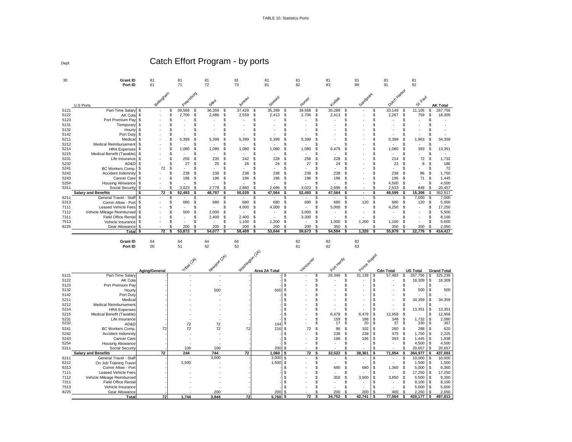TABLE 10. Statistics Ports

30 **Grant ID** 81 81 81 81 81 81 81 81 81 81 **Port ID** 61 71 72 73 81 82 83 89 91 92 Catch Effort Program - by ports U.S Ports Bellingham Petersburg  $rac{5^{11/2}}{36,359}$ Juneau Seward **Horitor Kodiak**<br>35,289 Sandpoint Outer Yarbor  $\frac{8^{36}}{11,105}$  **AK Total**<br>11,105 \$ 267,756 **AK Total** 5121 Part-Time Salary \$ - \$ 39,568 \$ 36,359 \$ 37,429 \$ 35,289 \$ 39,568 \$ 35,289 \$ - \$ 33,149 \$ 11,105 \$ 267,756 5122 AK Cola \$ - \$ 2,706 \$ 2,486 \$ 2,559 \$ 2,413 \$ 2,706 \$ 2,413 \$ - \$ 2,267 \$ 759 \$ 18,309 5123 Port Premium Pay \$ - \$ - \$ - \$ - \$ - \$ - \$ - \$ - \$ - \$ - \$ - 5131 Temporary \$ - \$ - \$ - \$ - \$ - \$ - \$ - \$ - \$ - \$ - \$ - 5132 Hourly \$ - \$ - \$ - \$ - \$ - \$ - \$ - \$ - \$ - \$ - \$ - 5142 Port Duty \$ - \$ - \$ - \$ - \$ - \$ - \$ - \$ - \$ - \$ - \$ - 5211 Medical \$ - \$ 5,399 \$ 5,399 \$ 5,399 \$ 5,399 \$ 5,399 \$ - \$ - \$ 5,399 \$ 1,963 \$ 34,359 5212 Medical Reimbursement \$ - \$ - \$ - \$ - \$ - \$ - \$ - \$ - \$ - \$ - \$ - 5214 HRA Expenses \$ - \$ 1,080 \$ 1,080 \$ 1,080 \$ 1,080 \$ 1,080 \$ 6,479 \$ - \$ 1,080 \$ 393 \$ 13,351 5215 Medical Benefit (Taxable) \$ - \$ - \$ - \$ - \$ - \$ - \$ - \$ - \$ - \$ - \$ - 5231 Life Insurance \$ - \$ 256 \$ 235 \$ 242 \$ 228 \$ 256 \$ 228 \$ - \$ 214 \$ 72 \$ 1,732 5232 AD&D \$ - \$ 27 \$ 25 \$ 26 \$ 24 \$ 27 \$ 24 \$ - \$ 23 \$ 8 \$ 186 5241 BC Workers Comp. \$ 72 \$ - \$ - \$ - \$ - \$ - \$ - \$ - \$ - \$ - \$ 72 5242 Accident Indemnity \$ - \$ 238 \$ 238 \$ 238 \$ 238 \$ 238 \$ 238 \$ - \$ 238 \$ 86 \$ 1,750 5243 Cancer Care \$ - \$ 196 \$ 196 \$ 196 \$ 196 \$ 196 \$ 196 \$ - \$ 196 \$ 71 \$ 1,445 5254 Housing Allowance \$ - \$ - \$ - \$ - \$ - \$ - \$ - \$ - \$ 4,500 \$ - \$ 4,500 5311 Social Security \$ - \$ 3,023 \$ 2,778 \$ 2,860 \$ 2,696 \$ 3,023 \$ 2,696 \$ - \$ 2,533 \$ 848 \$ 20,457  **Salary and Benefits \$ 72 \$ 52,493 \$ 48,797 \$ 50,029 \$ 47,564 \$ 52,493 \$ 47,564 \$ - \$ 49,599 \$ 15,306** \$ 363,917 6211 General Travel - Staff \$ - \$ - \$ - \$ - \$ - \$ - \$ - \$ - \$ - \$ 7,000 \$ 7,000 6313 Comm Allow - Port \$ - \$ 680 \$ 680 \$ 680 \$ 680 \$ 680 \$ 680 \$ 120 \$ 680 \$ 120 \$ 5,000 7111 Leased Vehicle Fees \$ - \$ - \$ - \$ 4,000 \$ 4,000 \$ - \$ 5,000 \$ - \$ 4,250 \$ - \$ 17,250 7112 Vehicle Mileage Reimbursed \$ - \$ 500 \$ 2,000 \$ - \$ - \$ 3,000 \$ - \$ - \$ - \$ - \$ 5,500 7311 Field Office Rental \$ - \$ - \$ 2,400 \$ 2,400 \$ - \$ 3,300 \$ - \$ - \$ - \$ - \$ 8,100 7513 Vehicle Insurance \$ - \$ - \$ - \$ 1,100 \$ 1,200 \$ - \$ 1,000 \$ 1,200 \$ 1,100 \$ - \$ 5,600 8225 Gear Allowance \$ - \$ 200 \$ 200 \$ 200 \$ 200 \$ 200 \$ 350 \$ - \$ 350 \$ 350 \$ 2,050  **Total \$ 72 \$ 53,873 \$ 54,077 \$ 58,409 \$ 53,644 \$ 59,673 \$ 54,594 \$ 1,320 \$ 55,979 \$ 22,776 \$ 414,417 Grant ID** 64 64 64 64 64 82 82 82 **Port ID** 00 51 52 53 61 62 63 Aging/General T<sup>ripa (26</sup>)<br>المسيح المسيح Newport (2A) washington (2A) **Jancou**  $\frac{e^{Q^{\text{c}}\text{Y}^{\text{Y}^{\text{Z}^{\text{C}}}}}}{26,346 \text{ s}}$  Prince Rupert **Total US Total Grand Total**<br>57,483 \$ 267,756 \$ 325,239 5121 Part-Time Salary - - - - - \$ - \$ 26,346 \$ 31,138 \$ 57,483 \$ 267,756 \$ 325,239 5122 AK Cola - - - - - \$ - \$ - \$ - \$ - \$ 18,309 \$ 18,309 5123 Port Premium Pay - | - - - -| - | \$ - \$ - | \$ - \$ - | \$ -5132 Hourly - - 500 - 500 \$ - \$ - \$ - \$ - \$ 500 \$ 500 5142 Port Duty - - - - - \$ - \$ - \$ - \$ - \$ - \$ - 5211 Medical - - - - - \$ - \$ - \$ - \$ - \$ 34,359 \$ 34,359 5212 Medical Reimbursement - - - - - \$ - \$ - \$ - \$ - \$ - \$ - 5214 HRA Expenses | - | - - - | - | \$ - \$ - \$ - \$ - \$ - \$ 13,351 | \$ 13,351 5215 Medical Benefit (Taxable) | - - - - - - - - - - - - - - - \$ 6,479 \$ 6,479 \$ 12,958 \$ - |\$ 12,958 5231 Life Insurance - - - - - \$ - \$ 159 \$ 188 \$ 348 \$ 1,732 \$ 2,080 5232 AD&D - 72 72 - 144 \$ - \$ 17 \$ 20 \$ 37 \$ 330 \$ 367 5241 BC Workers Comp. | 72 72 72 72 216 \$ 72 \$ 86 \$ 102 |\$ 260 \$ 288 |\$ 620 5242 Accident Indemnity - - - - - \$ - \$ 238 \$ 238 \$ 475 \$ 1,750 \$ 2,225 5243 Cancer Care - - - - - \$ - \$ 196 \$ 196 \$ 393 \$ 1,445 \$ 1,838 5254 Housing Allowance - - - - - \$ - \$ - \$ - \$ - \$ 4,500 \$ 4,500 5311 Social Security - 100 100 - 200 \$ - \$ - \$ - \$ - \$ 20,657 \$ 20,657  **Salary and Benefits 72 244 744 72 1,060 \$ 72 \$ 33,522 \$ 38,361 \$ 71,954 \$ 364,977 \$ 437,003** 6211 General Travel - Staff - - 3,000 - 3,000 \$ - \$ - \$ - \$ - \$ 10,000 \$ 10,000 6212 On Job Training Travel - 1,500 - - 1,500 \$ - \$ - \$ - \$ - \$ 1,500 \$ 1,500 6313 Comm Allow - Port - - - - - \$ - \$ 680 \$ 680 \$ 1,360 \$ 5,000 \$ 6,360 7111 Leased Vehicle Fees - - - - - \$ - \$ - \$ - \$ - \$ 17,250 \$ 17,250 7112 Vehicle Mileage Reimbursed - - - - - \$ - \$ 350 \$ 3,500 \$ 3,850 \$ 5,500 \$ 9,350 7311 Field Office Rental - - - - - \$ - \$ - \$ - \$ - \$ 8,100 \$ 8,100 7513 Vehicle Insurance - | - - | -| \$ \$ - \$ - \$ 5,600 | \$ 5,600 8225 Gear Allowance - - 200 - 200 \$ - \$ 200 \$ 200 \$ 400 \$ 2,250 \$ 2,650  **Total 72 1,744 3,944 72 5,760 \$ 72 \$ 34,752 \$ 42,741 \$ 77,564 \$ 420,177 \$ 497,813**

Dept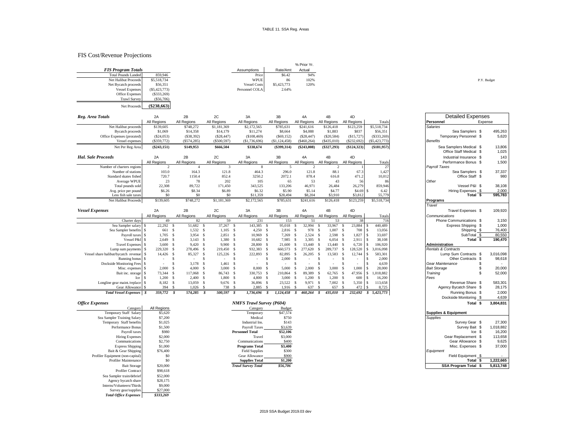#### FIS Cost/Revenue Projections

Net Proceeds **(\$238,663)**

|                            |                 |                     |             | % Prior Yr. |
|----------------------------|-----------------|---------------------|-------------|-------------|
| <b>FIS Program Totals</b>  |                 | Assumptions         | Rate/Amt    | Actual      |
| <b>Total Pounds Landed</b> | 859,946         | Price               | \$6.42      | 94%         |
| Net Halibut Proceeds       | \$5,518,734     | <b>WPUE</b>         | 86          | 102%        |
| Net Bycatch proceeds       | \$56,351        | <b>Vessel Costs</b> | \$5,423,773 | 120%        |
| <b>Vessel Expenses</b>     | $(\$5,423,773)$ | Personnel COLA      | 2.64%       |             |
| <b>Office Expenses</b>     | (S333, 269)     |                     |             |             |
| <b>Trawl Survey</b>        | (\$56,706)      |                     |             |             |

| Budge |  |  |
|-------|--|--|
|       |  |  |

| Reg. Area Totals           | 2A            | 2B            | 2C            | 3A            | 3B             | 4A            | 4B            | 4D          |                | <b>Detailed Expenses</b>                           |                 |
|----------------------------|---------------|---------------|---------------|---------------|----------------|---------------|---------------|-------------|----------------|----------------------------------------------------|-----------------|
|                            | All Regions   | All Regions   | All Regions   | All Regions   | All Regions    | All Regions   | All Regions   | All Regions | Totals         | Personnel                                          | Expense         |
| Net Halibut proceeds       | \$139,605     | \$748,272     | \$1,181,369   | \$2,172,565   | \$785,631      | \$241,616     | \$126,418     | \$123,259   | \$5,518,734    | <b>Salaries</b>                                    |                 |
| <b>Bycatch proceeds</b>    | \$1,069       | \$14,358      | \$14,179      | \$11,274      | \$8,664        | \$4,088       | \$1,883       | \$837       | \$56,351       | Sea Samplers \$                                    | 495,263         |
| Office Expenses (prorated) | (\$24,053)    | (S38,392)     | $(\$28,447)$  | (\$108,469)   | (S69, 152)     | (S28, 447)    | (S20, 584)    | (S15, 727)  | (S333, 269)    | Temporary Personnel \$                             | 5,620           |
| Vessel expenses            | (\$359,772)   | $(\$574,285)$ | $(\$500,597)$ | (\$1,736,696) | (S1, 124, 458) | (\$460, 264)  | (\$435,010)   | (\$232,692) | (S5, 423, 773) | Benefits                                           |                 |
| Net Per Reg Area           | $(\$243,151)$ | \$149,953     | \$666,504     | \$338,674     | $(\$399,314)$  | $(\$243,008)$ | $(\$327,293)$ | (\$124,323) | (\$181,957)    | Sea Samplers Medical \$<br>Office Staff Medical \$ | 13,806<br>1,025 |
| <b>Hal. Sale Proceeds</b>  | 2A            | 2B            | 2C            | 3A            | 3B             | 4A            | 4B            | 4D          |                | Industrial Insurance \$                            | 143             |
|                            | All Regions   | All Regions   | All Regions   | All Regions   | All Regions    | All Regions   | All Regions   | All Regions | Totals         | Performance Bonus \$                               | 1,500           |
| Number of charters regions |               |               |               |               |                |               |               |             |                | <b>Payroll Taxes</b>                               |                 |
| Number of stations         | 103.0         | 164.3         | 121.8         | 464.3         | 296.0          | 121.8         | 88.1          | 67.3        | 1.427          | Sea Samplers \$                                    | 37,337          |
| Standard skates fished     | 720.7         | 1150.4        | 852.4         | 3250.2        | 2072.1         | 878.4         | 616.8         | 471.2       | 10,012         | Office Staff \$                                    | 980             |
| Average WPUE               | 23            | 78            | 202           | 105           | 65             | 53            | 43            | 56          |                | Other                                              |                 |
| Total pounds sold          | 22,308        | 89.722        | 171.450       | 343,525       | 133,206        | 46.971        | 26.484        | 26.279      | 859,946        | Vessel P&I \$                                      | 38,108          |
| Avg. price per pound       | \$6.26        | \$8.34        | \$6.89        | \$6.32        | \$5.90         | \$5.14        | \$4.77        | \$4.69S     | 6.42           | Hiring Expenses \$                                 | 2,000           |
| Less fish sale taxes       | \$0           | 80            | \$0           | \$11,359      | \$28,494       | \$8,204       | \$3,910       | \$3,812     | 55,779         | Total \$                                           | 595,783         |
| Net Halibut Proceeds       | \$139,605     | \$748,272     | \$1,181,369   | \$2,172,565   | \$785,631      | \$241,616     | \$126,418     | \$123,259   | \$5,518,734    | Programs                                           |                 |

| <b>Vessel Expenses</b>               | 2A          |            | 2B          |     | 2C          |     | 3A          | 3B          |     | 4A          |     | 4B          | 4D          |              |             |      | Travel Expenses \$      | 109,920   |
|--------------------------------------|-------------|------------|-------------|-----|-------------|-----|-------------|-------------|-----|-------------|-----|-------------|-------------|--------------|-------------|------|-------------------------|-----------|
|                                      | All Regions |            | All Regions |     | All Regions |     | All Regions | All Regions |     | All Regions |     | All Regions | All Regions |              | Totals      |      | Communications          |           |
| Charter days                         |             | 49         | 82          |     | 59          |     | 231         | 153         |     |             |     | 53          |             |              | 716         |      | Phone Communications \$ | 3,150     |
| Sea Sampler salary \$                | 22,292      |            | 51,682      |     | 37.267      | - S | 143,385 \$  | 95,018      |     | 32.994      |     | 33.967      | 23.884      |              | 440,489     |      | Express Shipping \$     | 1,000     |
| Sea Sampler benefits \$              |             | 661        | 1.532 S     |     | $1,105$ \$  |     | 4.250S      | 2,816       |     | 978 \$      |     | 1.007 S     | 708 S       |              | 13,056      |      | Shipping \$             | 76,400    |
| Pavroll taxes \$                     |             | $1,705$ \$ | 3.954       | - 8 | 2.851 \$    |     | $10.969$ \$ | 7.269       |     | 2.524       | - S | 2.598 S     | .827S       |              | 33,697      |      | SubTotal \$             | 80,550    |
| Vessel P&I \$                        |             | 2.649 S    | 3.143S      |     | 1.380 \$    |     | 10.682 S    | 7,985       |     | 3.305 S     |     | $6.054$ \$  | $2.911$ S   |              | 38,108      |      | Total \$                | 190,470   |
| Travel Expenses \$                   |             | 3,600 S    | 9.420 S     |     | 9.900 S     |     | 28,800 \$   | 21,600      |     | 13.440      |     | 13.440 S    | 6.720       |              | 106,920     |      | <b>Administration</b>   |           |
| Lump sum payments \$                 | 229,320 \$  |            | 278,496 \$  |     | 219.450 \$  |     | 932,383 \$  | 660,573     |     | 277,620     |     | 289,737     | 128,520     |              | 3,016,098   |      | Rentals & Contracts     |           |
| Vessel share halibut/bycatch revenue | 14,426      |            | 85,327      |     | 125,226 \$  |     | 222,893 \$  | 82,895      |     | 26,205      |     | 13.583      | 12,744      |              | 583,301     |      | Lump Sum Contracts \$   | 3,016,098 |
| Running bonus \$                     | ۰           |            |             |     |             |     |             | 2,000       |     |             |     |             |             |              | 2,000       |      | Other Contracts \$      | 98,618    |
| Dockside Monitoring Fees \$          |             |            | 3.178 \$    |     | 1.461 S     |     |             |             |     |             |     |             |             |              | 4,639       |      | Gear Maintenance        |           |
| Misc. expenses \$                    |             | 2,000 S    | 4,000S      |     | 3,000 S     |     | 8,000       | 5,000       |     | 2.000       | -8  | 3,000 S     | 000.        |              | 28,000      |      | <b>Bait Storage</b>     | 20,000    |
| Bait inc. storage \$                 | 73.344      | - \$       | 117,068 \$  |     | 86,743 \$   |     | 330,753 \$  | 210.864     |     | 89.389      |     | $62,765$ \$ | 47,956      | $\mathbf{S}$ | 1.018.882   |      | Training                | 52,000    |
| Ice                                  |             | 1.200 S    | 2,400S      |     | 1.800 \$    |     | 4,800 \$    | 3,000       | - S | .200 S      |     | 1.200S      | 600         |              | 16,200      | Fees |                         |           |
| Longline gear maint/replace \$       |             | 8.182 \$   | 13,059      |     | $9.676$ \$  |     | 36,896 \$   | 23,522      | - S | 9.971       | - 8 | 7.002 S     | $5.350$ S   |              | 113,658     |      | Revenue Share \$        | 583,301   |
| Gear Allowance \$                    |             | 394        | $1.026$ \$  |     | 738 \$      |     | 2,885 \$    | 1.916       |     | 637         |     | 657         | 472 \$      |              | 8,725       |      | Agency Bycatch Share \$ | 28,175    |
| <b>Total Vessel Expenses</b>         | 359,772     |            | 574,285     |     | 500.597     |     | 1,736,696   | 1,124,458   |     | 460,264     |     | 435,010     | 232.692     |              | \$5,423,773 |      | Running Bonus \$        | 2,000     |

|                                      |                   |                              |                |                                 |                         |                        |                  |               |                            | Office Staff Medical \$         | 1,025     |
|--------------------------------------|-------------------|------------------------------|----------------|---------------------------------|-------------------------|------------------------|------------------|---------------|----------------------------|---------------------------------|-----------|
| <b>Hal. Sale Proceeds</b>            | 2A                | 2B                           | 2C             | 3A                              | 3B                      | 4A                     | 4B               | 4D            |                            | Industrial Insurance \$         | 143       |
|                                      | All Regions       | All Regions                  | All Regions    | All Regions                     | All Regions             | All Regions            | All Regions      | All Regions   | Totals                     | Performance Bonus \$            | 1,500     |
| Number of charters regions           | $\overline{c}$    | $\overline{4}$               | $\overline{3}$ | 8                               | $\overline{5}$          |                        | $\mathfrak{D}$   |               | 27                         | Payroll Taxes                   |           |
| Number of stations                   | 103.0             | 164.3                        | 121.8          | 464.3                           | 296.0                   | 121.8                  | 88.1             | 67.3          | 1.427                      | Sea Samplers \$                 | 37,337    |
| Standard skates fished               | 720.7             | 1150.4                       | 852.4          | 3250.2                          | 2072.1                  | 878.4                  | 616.8            | 471.2         | 10,012                     | Office Staff \$                 | 980       |
| Average WPUE                         | 23                | 78                           | 202            | 105                             | 65                      | 53                     | 43               | 56            | 86                         | Other                           |           |
| Total pounds sold                    | 22,308            | 89,722                       | 171,450        | 343,525                         | 133,206                 | 46,971                 | 26,484           | 26,279        | 859,946                    | Vessel P&I \$                   | 38,108    |
| Avg. price per pound                 | \$6.26            | \$8.34                       | \$6.89         | \$6.32                          | \$5.90                  | \$5.14                 | \$4.77           | \$4.69        | 6.42<br>$\mathcal{S}$      | Hiring Expenses \$              | 2,000     |
| Less fish sale taxes                 | \$0               | \$0                          | \$0            | \$11,359                        | \$28,494                | \$8,204                | \$3,910          | \$3,812       | 55,779                     | Total <sub>5</sub>              | 595,783   |
| Net Halibut Proceeds                 | \$139,605         | \$748,272                    | \$1,181,369    | \$2,172,565                     | \$785.631               | \$241,616              | \$126,418        | \$123,259     | \$5,518,734                | Programs                        |           |
|                                      |                   |                              |                |                                 |                         |                        |                  |               |                            | Travel                          |           |
| <b>Vessel Expenses</b>               | 2A                | 2B                           | 2C             | 3A                              | 3B                      | 4A                     | 4B               | 4D            |                            | Travel Expenses \$              | 109,920   |
|                                      | All Regions       | All Regions                  | All Regions    | All Regions                     | All Regions             | All Regions            | All Regions      | All Regions   | Totals                     | Communications                  |           |
| Charter days                         | 49                | 82                           | 59             | 231                             | 153                     | 51                     | 53               | 38            | 716                        | Phone Communications \$         | 3,150     |
| Sea Sampler salary                   | $22,292$ \$<br>.S | 51,682 \$                    | 37,267 \$      | 143,385 \$                      | 95,018                  | 32.994<br>-S           | 33,967 \$<br>- S | 23,884        | 440,489<br>-S              | Express Shipping \$             | 1,000     |
| Sea Sampler benefits \$              | 661 \$            | 1,532 \$                     | $1,105$ \$     | $4,250$ \$                      | $2,816$ \$              | 978 \$                 | $1,007$ \$       | 708           | <sup>\$</sup><br>13,056    | Shipping \$                     | 76,400    |
| Payroll taxes \$                     | $1,705$ \$        | $3,954$ \$                   | 2.851 S        | $10.969$ \$                     | 7.269                   | $2.524$ \$<br>-S       | 2,598 \$         | 1,827         | s<br>33,697                | SubTotal \$                     | 80,550    |
| Vessel P&I \$                        | $2,649$ \$        | $3,143$ \$                   | 1,380 \$       | $10,682$ \$                     | 7,985 \$                | $3,305$ \$             | $6,054$ \$       | 2,911         | <sup>\$</sup><br>38,108    | Total <sub>5</sub>              | 190,470   |
| Travel Expenses \$                   | 3,600S            | 9.420 S                      | 9,900 S        | 28,800 \$                       | 21,600                  | -\$<br>13.440 \$       | 13.440 \$        | 6,720         | s<br>106,920               | Administration                  |           |
| Lump sum payments                    | 229,320 \$<br>S   | 278,496 \$                   | 219,450 \$     | 932,383 \$                      | 660.573 \$              | 277,620 \$             | 289,737 \$       | 128,520       | s<br>3,016,098             | <b>Rentals &amp; Contracts</b>  |           |
| Vessel share halibut/bycatch revenue | 14,426 \$<br>s    | 85,327 \$                    | 125,226        | -S<br>222,893 \$                | 82,895 \$               | $26,205$ \$            | 13,583 \$        | 12,744        | s<br>583,301               | Lump Sum Contracts \$           | 3,016,098 |
| Running bonus \$                     | $\sim$            | <sup>S</sup>                 | -S<br>$\sim$   | \$<br>$\sim$                    | <sup>\$</sup><br>2.000  | -S<br>$\sim$           | -S               | <sup>\$</sup> | s<br>2,000                 | Other Contracts \$              | 98,618    |
| Dockside Monitoring Fees \$          | $\sim$            | 3.178S<br>\$.                | 1.461 S        | $\sim$                          | <sup>\$</sup><br>$\sim$ | <sup>\$</sup>          | <sup>\$</sup>    | -S            | <sup>\$</sup><br>4,639     | Gear Maintenance                | ٠         |
| Misc. expenses \$                    | 2,000             | 4,000S<br>$\mathbf{\hat{s}}$ | 3,000          | 8,000<br>- S                    | 5.000<br>- \$           | 2.000<br>$\mathcal{S}$ | 3,000<br>- S     | 1,000<br>- \$ | s<br>28,000                | <b>Bait Storage</b><br>\$       | 20,000    |
| Bait inc. storage \$                 | 73,344<br>- S     | 117,068 \$                   | 86,743 \$      | 330,753 \$                      | 210,864 \$              | 89,389 \$              | 62,765 \$        | 47,956        | $\mathbb S$<br>1,018,882   | $\mathbf{\hat{z}}$<br>Training  | 52,000    |
| Ice                                  | $1,200$ \$<br>-S  | $2,400$ \$                   | 1,800 \$       | $4,800$ \$                      | 3,000 S                 | $1,200$ \$             | $1,200$ \$       | 600           | <sup>\$</sup><br>16,200    | Fees                            |           |
| Longline gear maint./replace \$      | 8,182 \$          | 13,059 \$                    | $9,676$ \$     | 36,896 \$                       | 23.522 \$               | 9.971 \$               | $7,002$ \$       | 5,350         | <sup>\$</sup><br>113,658   | Revenue Share \$                | 583,301   |
| Gear Allowance \$                    | 394 \$            | $1,026$ \$                   | 738 \$         | 2.885 \$                        | $1.916$ \$              | 637 \$                 | 657 \$           | 472           | s<br>8,725                 | Agency Bycatch Share \$         | 28,175    |
| <b>Total Vessel Expenses</b> \$      | 359,772 \$        | 574,285 \$                   | 500.597        | s<br>1,736,696                  | s<br>1,124,458          | s<br>460,264           | \$<br>435,010    | S.<br>232,692 | $\mathcal{S}$<br>5,423,773 | Running Bonus \$                | 2,000     |
|                                      |                   |                              |                |                                 |                         |                        |                  |               |                            | Dockside Monitoring \$          | 4,639     |
| <b>Office Expenses</b>               |                   |                              |                | <b>NMFS Trawl Survey (P604)</b> |                         |                        |                  |               |                            | Total \$                        | 3,804,831 |
| Category                             | All Regions       |                              |                | Category                        | Budget                  |                        |                  |               |                            |                                 |           |
| Temporary Staff Salary               | \$5,620           |                              |                | Temporary                       | \$47,574                |                        |                  |               |                            | <b>Supplies &amp; Equipment</b> |           |
| Sea Sampler Training Salary          | \$7,200           |                              |                | Medical                         | \$750                   |                        |                  |               |                            | <b>Supplies</b>                 |           |
| Temporary Staff benefits             | \$1,025           |                              |                | Industrial Ins.                 | \$143                   |                        |                  |               |                            | Survey Gear \$                  | 27,300    |
| Performance Bonus                    | \$1,500           |                              |                | Payroll Taxes                   | \$3,639                 |                        |                  |               |                            | Survey Bait \$                  | 1,018,882 |
| Payroll taxes                        | \$980             |                              |                | <b>Personnel Total</b>          | \$52,106                |                        |                  |               |                            | $lce$ \$                        | 16,200    |
| <b>Hiring Expenses</b>               | \$2,000           |                              |                | Travel                          | \$3,000                 |                        |                  |               |                            | Gear Replacement \$             | 113,658   |
| Communications                       | \$2,750           |                              |                | Communications                  | \$400                   |                        |                  |               |                            | Gear Allowance \$               | 9,625     |
| <b>Express Shipping</b>              | \$1,000           |                              |                | <b>Programs Total</b>           | \$3.400                 |                        |                  |               |                            | Misc. Expenses \$               | 37,000    |
| Bait & Gear Shipping                 | \$76,400          |                              |                | <b>Field Supplies</b>           | \$300                   |                        |                  |               |                            | Equipment                       |           |
| Profiler Equipment (non-capital)     | \$0               |                              |                | Gear Allowance                  | \$900                   |                        |                  |               |                            | Field Equipment \$              |           |
| Profiler Maintenance                 | \$0               |                              |                | <b>Supplies Total</b>           | \$1,200                 |                        |                  |               |                            | Total \$                        | 1,222,665 |
| <b>Bait Storage</b>                  | \$20,000          |                              |                | <b>Trawl Survey Total</b>       | \$56,706                |                        |                  |               |                            | SSA Program Total \$            | 5,813,748 |
| Profiler Contract                    | \$18,802          |                              |                |                                 |                         |                        |                  |               |                            |                                 |           |

| enses                         |             | <b>NMFS Trawl Survey (P604)</b> |          |
|-------------------------------|-------------|---------------------------------|----------|
| Category                      | All Regions | Category                        | Budget   |
| Temporary Staff Salary        | \$5,620     | Temporary                       | \$47,574 |
| Sea Sampler Training Salary   | \$7,200     | Medical                         | \$750    |
| Temporary Staff benefits      | \$1,025     | Industrial Ins.                 | \$143    |
| Performance Bonus             | \$1,500     | Payroll Taxes                   | \$3,639  |
| Payroll taxes                 | \$980       | <b>Personnel Total</b>          | \$52,106 |
| <b>Hiring Expenses</b>        | \$2,000     | Travel                          | \$3,000  |
| Communications                | \$2,750     | Communications                  | \$400    |
| <b>Express Shipping</b>       | \$1,000     | <b>Programs Total</b>           | \$3,400  |
| Bait & Gear Shipping          | \$76,400    | <b>Field Supplies</b>           | \$300    |
| filer Equipment (non-capital) | \$0         | Gear Allowance                  | \$900    |
| Profiler Maintenance          | \$0         | <b>Supplies Total</b>           | \$1,200  |
|                               |             |                                 |          |

| Category                         | All Regions |
|----------------------------------|-------------|
| Temporary Staff Salary           | \$5,620     |
| Sea Sampler Training Salary      | \$7,200     |
| Temporary Staff benefits         | \$1,025     |
| Performance Bonus                | \$1,500     |
| Payroll taxes                    | \$980       |
| <b>Hiring Expenses</b>           | \$2,000     |
| Communications                   | \$2,750     |
| <b>Express Shipping</b>          | \$1,000     |
| Bait & Gear Shipping             | \$76,400    |
| Profiler Equipment (non-capital) | \$0         |
| Profiler Maintenance             | \$0         |
| <b>Bait Storage</b>              | \$20,000    |
| <b>Profiler Contract</b>         | \$98,618    |
| Sea Sampler train/debrief        | \$52,000    |
| Agency bycatch share             | \$28,175    |
| Interns/Volunteers/Thirds        | \$9,000     |
| Survey gear/supplies             | \$27,000    |
| <b>Total Office Expenses</b>     | \$333.269   |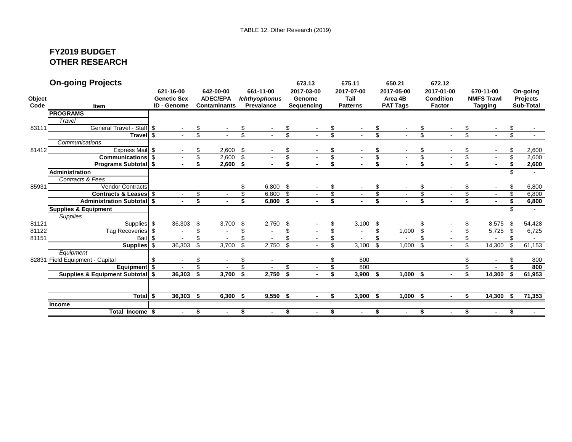# **FY2019 BUDGET OTHER RESEARCH**

|        | <b>On-going Projects</b>                    |                    |                          |                     |                      |                          | 673.13         | 675.11          |                          | 650.21                   |                | 672.12           |     |                   |              |                 |
|--------|---------------------------------------------|--------------------|--------------------------|---------------------|----------------------|--------------------------|----------------|-----------------|--------------------------|--------------------------|----------------|------------------|-----|-------------------|--------------|-----------------|
|        |                                             | 621-16-00          |                          | 642-00-00           | 661-11-00            |                          | 2017-03-00     | 2017-07-00      |                          | 2017-05-00               |                | 2017-01-00       |     | 670-11-00         |              | On-going        |
| Object |                                             | <b>Genetic Sex</b> |                          | <b>ADEC/EPA</b>     | <b>Ichthyophonus</b> |                          | Genome         | Tail            |                          | Area 4B                  |                | <b>Condition</b> |     | <b>NMFS Trawl</b> |              | <b>Projects</b> |
| Code   | <b>Item</b>                                 | <b>ID - Genome</b> |                          | <b>Contaminants</b> | <b>Prevalance</b>    |                          | Sequencing     | <b>Patterns</b> |                          | <b>PAT Tags</b>          |                | <b>Factor</b>    |     | <b>Tagging</b>    |              | Sub-Total       |
|        | <b>PROGRAMS</b>                             |                    |                          |                     |                      |                          |                |                 |                          |                          |                |                  |     |                   |              |                 |
|        | Travel                                      |                    |                          |                     |                      |                          |                |                 |                          |                          |                |                  |     |                   |              |                 |
| 83111  | <b>General Travel - Staff</b>               | \$                 | \$                       |                     |                      | \$                       |                |                 | \$                       |                          |                |                  |     |                   | \$           |                 |
|        | Travel \$                                   |                    | s,                       |                     |                      |                          |                |                 | $\overline{\mathcal{S}}$ |                          | \$             |                  | \$  |                   | \$           |                 |
|        | Communications                              |                    |                          |                     |                      |                          |                |                 |                          |                          |                |                  |     |                   |              |                 |
| 81412  | Express Mail \$                             |                    | \$                       | 2,600               | \$                   | \$                       |                | \$              | \$                       |                          | \$             |                  | £.  | $\sim$            | \$           | 2,600           |
|        | Communications \$                           |                    | $\overline{\mathcal{S}}$ | 2,600               | \$                   | $\overline{\mathcal{S}}$ |                | \$              | \$                       | $\sim$                   | S              |                  | \$  | $\sim$            | \$           | 2,600           |
|        | <b>Programs Subtotal \$</b>                 |                    | \$                       | $2,600$ \$          |                      | \$                       |                | \$              | \$                       |                          | \$             |                  | \$  |                   | \$           | 2,600           |
|        | Administration                              |                    |                          |                     |                      |                          |                |                 |                          |                          |                |                  |     |                   | \$           |                 |
|        | Contracts & Fees                            |                    |                          |                     |                      |                          |                |                 |                          |                          |                |                  |     |                   |              |                 |
| 85931  | <b>Vendor Contracts</b>                     |                    |                          |                     | \$<br>$6,800$ \$     |                          |                |                 | \$                       |                          | \$             |                  | \$  | $\blacksquare$    | \$           | 6,800           |
|        | Contracts & Leases \$                       |                    | \$                       |                     | \$<br>6,800          | \$                       |                |                 | \$                       | $\overline{\phantom{a}}$ | \$             |                  | \$  | $\sim$            | \$           | 6,800           |
|        | <b>Administration Subtotal \$</b>           |                    | s,                       |                     | \$<br>$6,800$ \$     |                          | $\blacksquare$ | \$              | s,                       | $\blacksquare$           | Ŝ              |                  | \$  |                   | \$           | 6,800           |
|        | <b>Supplies &amp; Equipment</b>             |                    |                          |                     |                      |                          |                |                 |                          |                          |                |                  |     |                   | £.           |                 |
|        | <b>Supplies</b>                             |                    |                          |                     |                      |                          |                |                 |                          |                          |                |                  |     |                   |              |                 |
| 81121  | Supplies \$                                 | 36,303             | -\$                      | 3,700               | \$<br>2,750          | \$                       |                | 3,100           | \$                       |                          |                |                  | £.  | 8,575             | -\$          | 54,428          |
| 81122  | Tag Recoveries \$                           |                    | \$                       |                     |                      |                          |                |                 | \$                       | 1,000                    |                |                  |     | 5,725             | -\$          | 6,725           |
| 81151  | Bait \$                                     |                    |                          |                     |                      |                          |                |                 | \$                       |                          |                |                  |     |                   | \$           |                 |
|        | Supplies \$                                 | 36,303             | \$                       | 3,700               | \$<br>2.750          | \$                       |                | \$<br>3.100     | \$                       | 1,000                    | $\mathfrak{s}$ |                  | \$. | 14,300            | $\mathbf{s}$ | 61,153          |
|        | Equipment                                   |                    |                          |                     |                      |                          |                |                 |                          |                          |                |                  |     |                   |              |                 |
|        | 82831 Field Equipment - Capital             | \$                 | \$                       | $\sim$              | \$                   |                          |                | \$<br>800       |                          |                          |                |                  | S   | $\blacksquare$    | \$           | 800             |
|        | Equipment \$                                | $\sim$             | $\overline{\mathcal{S}}$ | $\sim$              | \$                   | \$                       |                | \$<br>800       |                          |                          |                |                  | \$  | $\sim$            | \$           | 800             |
|        | <b>Supplies &amp; Equipment Subtotal \$</b> | 36,303             | -\$                      | 3,700               | \$<br>2,750          | \$                       |                | \$<br>3,900     | \$                       | $1,000$ \$               |                |                  | \$  | 14,300            | -\$          | 61,953          |
|        |                                             |                    |                          |                     |                      |                          |                |                 |                          |                          |                |                  |     |                   |              |                 |
|        | Total \$                                    | 36,303             | - \$                     | 6.300               | \$<br>9,550          | - \$                     | $\blacksquare$ | \$<br>3,900     | \$                       | 1,000                    | - \$           |                  | \$  | $14,300$   \$     |              | 71,353          |
|        | Income                                      |                    |                          |                     |                      |                          |                |                 |                          |                          |                |                  |     |                   |              |                 |
|        | Total Income \$                             |                    | \$                       |                     | \$                   | \$                       |                | \$              | \$                       | $\blacksquare$           | \$             |                  | \$  | $\blacksquare$    | \$           |                 |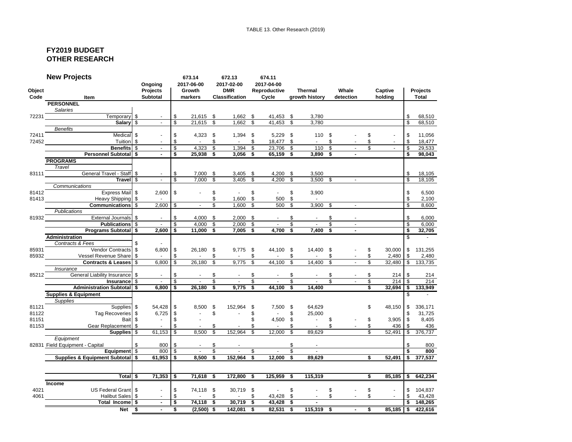### **FY2019 BUDGET OTHER RESEARCH**

|        | <b>New Projects</b>                                                                                                                                                                                                                             | Ongoing         |                          |                    | 673.14<br>2017-06-00     |                          | 672.13<br>2017-02-00     |                         | 674.11<br>2017-04-00 |                         |                          |               |                             |                         |                     |              |                   |
|--------|-------------------------------------------------------------------------------------------------------------------------------------------------------------------------------------------------------------------------------------------------|-----------------|--------------------------|--------------------|--------------------------|--------------------------|--------------------------|-------------------------|----------------------|-------------------------|--------------------------|---------------|-----------------------------|-------------------------|---------------------|--------------|-------------------|
| Object |                                                                                                                                                                                                                                                 | <b>Projects</b> |                          |                    | Growth                   |                          | <b>DMR</b>               |                         | Reproductive         |                         | <b>Thermal</b>           |               | Whale                       |                         | Captive             |              | <b>Projects</b>   |
| Code   | <b>Item</b>                                                                                                                                                                                                                                     | <b>Subtotal</b> |                          |                    | markers                  |                          | <b>Classification</b>    |                         | Cycle                |                         | growth history           |               | detection                   |                         | holding             |              | Total             |
|        | <b>PERSONNEL</b>                                                                                                                                                                                                                                |                 |                          |                    |                          |                          |                          |                         |                      |                         |                          |               |                             |                         |                     |              |                   |
|        | Salaries                                                                                                                                                                                                                                        |                 |                          |                    |                          |                          |                          |                         |                      |                         |                          |               |                             |                         |                     |              |                   |
|        | Temporary \$<br>72231 and the contract of the contract of the contract of the contract of the contract of the contract of the contract of the contract of the contract of the contract of the contract of the contract of the contract of the c |                 | $\blacksquare$           | -\$                | 21,615 \$                |                          | 1,662 \$                 |                         | 41,453 \$            |                         | 3,780                    |               |                             |                         |                     | \$           | 68,510            |
|        | Salary \$                                                                                                                                                                                                                                       |                 | $\overline{\phantom{a}}$ | $\mathbf{\hat{s}}$ | $21.615$ \$              |                          | 1.662                    |                         | $41.453$ \$          |                         | 3.780                    |               |                             |                         |                     |              | 68,510            |
|        | <b>Benefits</b>                                                                                                                                                                                                                                 |                 |                          |                    |                          |                          |                          |                         |                      |                         |                          |               |                             |                         |                     |              |                   |
| 72411  | Medical \$                                                                                                                                                                                                                                      |                 |                          | \$                 | $4,323$ \$               |                          | $1,394$ \$               |                         | $5,229$ \$           |                         | 110 \$                   |               |                             | \$                      |                     | \$           | 11,056            |
| 72452  | <b>Tuition</b> \$                                                                                                                                                                                                                               |                 |                          | \$                 | $\sim$ $-$               | \$                       |                          | \$                      | 18,477 \$            |                         | $-$ \$                   |               |                             | \$                      |                     | \$           | 18,477            |
|        | Benefits \$                                                                                                                                                                                                                                     |                 | $\mathbf{r}$<br>÷.       | \$                 | $4,323$ \$               |                          | $1,394$ \$               |                         | 23,706 \$            |                         | 110S                     |               | $\sim$                      | $\mathbf{\hat{s}}$      | $\blacksquare$      | $\mathsf{s}$ | 29,533            |
|        | <b>Personnel Subtotal \$</b>                                                                                                                                                                                                                    |                 |                          | s.                 | $25,938$ \$              |                          | $3,056$ \$               |                         | $65,159$ \$          |                         | $3,890$ \$               |               | $\overline{a}$              |                         |                     | s.           | 98,043            |
|        | <b>PROGRAMS</b>                                                                                                                                                                                                                                 |                 |                          |                    |                          |                          |                          |                         |                      |                         |                          |               |                             |                         |                     |              |                   |
|        | Travel                                                                                                                                                                                                                                          |                 |                          |                    |                          |                          |                          |                         |                      |                         |                          |               |                             |                         |                     |              |                   |
|        | General Travel - Staff \$<br>$83111$                                                                                                                                                                                                            |                 |                          | \$                 | $7,000$ \$               |                          | $3,405$ \$               |                         | 4,200 \$             |                         | 3,500                    |               |                             |                         |                     | \$           | 18,105            |
|        | Travel \$                                                                                                                                                                                                                                       |                 | $\omega$                 | \$                 | 7,000                    | - \$                     | 3,405                    | \$                      | $4,200$ \$           |                         | $3,500$ \$               |               | $\sim$                      |                         |                     | \$           | 18,105            |
|        | Communications                                                                                                                                                                                                                                  |                 |                          |                    |                          |                          |                          |                         |                      |                         |                          |               |                             |                         |                     |              |                   |
| 81412  | Express Mail \$                                                                                                                                                                                                                                 |                 | 2,600                    | $\sqrt{3}$         | $\sim$                   | \$                       | $\sim$                   | \$                      | $\Delta \sim 100$    | \$                      | 3,900                    |               |                             |                         |                     | \$           | 6,500             |
|        | 81413 Heavy Shipping \$                                                                                                                                                                                                                         |                 | $\sim 100$               |                    |                          | \$                       | $1,600$ \$               |                         | 500 \$               |                         | $\sim 100$ km s $^{-1}$  |               |                             |                         |                     | \$           | 2,100             |
|        | Communications \$                                                                                                                                                                                                                               |                 | 2.600                    | \$                 |                          | \$                       | 1,600                    | \$                      | 500 \$               |                         | $3,900$ \$               |               |                             |                         |                     | \$           | 8,600             |
|        | <b>Publications</b>                                                                                                                                                                                                                             |                 |                          |                    |                          |                          |                          |                         |                      |                         |                          |               |                             |                         |                     |              |                   |
|        | 81932 External Journals \$                                                                                                                                                                                                                      |                 |                          | \$                 | 4.000 \$                 |                          | $2.000$ \$               |                         |                      | \$                      |                          | \$            |                             |                         |                     | \$           | 6.000             |
|        | <b>Publications</b> \$                                                                                                                                                                                                                          |                 | $\sim$ $-$               | \$                 | 4.000                    | - \$                     | $2.000$ \$               |                         | $\sim$               | \$                      |                          | \$            | $\sim$                      |                         |                     | \$           | 6.000             |
|        | Programs Subtotal \$                                                                                                                                                                                                                            |                 | 2.600                    | l \$               | 11.000 \$                |                          | $7.005$ \$               |                         | $4,700$ \$           |                         | $7,400$ \$               |               |                             |                         |                     | s,           | 32,705            |
|        | Administration                                                                                                                                                                                                                                  |                 |                          |                    |                          |                          |                          |                         |                      |                         |                          |               |                             |                         |                     | \$           |                   |
|        | Contracts & Fees                                                                                                                                                                                                                                | $\mathfrak{L}$  |                          |                    |                          |                          |                          |                         |                      |                         |                          |               |                             |                         |                     |              |                   |
| 85931  | Vendor Contracts S                                                                                                                                                                                                                              |                 | $6.800$ \ \$             |                    | 26.180 \$                |                          | $9.775$ \$               |                         | 44,100 \$            |                         | 14.400 \$                |               |                             | \$                      | 30,000              | \$           | 131,255           |
|        | 85932 Vessel Revenue Share \$                                                                                                                                                                                                                   |                 | $\sim 100$ km s $^{-1}$  | \$                 | $\sim 10^{-11}$          | \$                       | <b>Contract Contract</b> | \$                      | $\Delta \sim 100$    | \$                      | <b>Contract Contract</b> | \$            |                             | \$                      | 2,480               | \$           | 2,480             |
|        | Contracts & Leases   \$                                                                                                                                                                                                                         |                 | 6.800                    | - \$               | 26.180 \$                |                          | 9.775                    | \$                      | 44.100               | - \$                    | 14.400                   | \$            |                             |                         | 32,480              | \$           | 133,735           |
|        | Insurance                                                                                                                                                                                                                                       |                 |                          |                    |                          |                          |                          |                         |                      |                         |                          |               |                             |                         |                     |              |                   |
|        | General Liability Insurance \$<br>85212                                                                                                                                                                                                         |                 |                          | \$                 |                          | \$                       |                          | S.                      |                      | \$                      |                          | \$            |                             | \$                      | 214                 | \$           | 214               |
|        | Insurance \$                                                                                                                                                                                                                                    |                 | $\sim$                   | $\mathfrak s$      |                          | $\overline{\mathcal{S}}$ | $\sim$                   | $\overline{\mathbb{S}}$ | $\sim$               | $\overline{\mathbb{S}}$ | $\sim$                   | $\mathbb{S}$  | $\sim$                      | \$                      | 214                 | \$           | 214               |
|        | <b>Administration Subtotal \$</b>                                                                                                                                                                                                               |                 | $6,800$   \$             |                    | 26.180S                  |                          | $9.775$ \$               |                         | 44.100 S             |                         | 14.400                   |               |                             |                         | 32,694              | \$           | 133,949           |
|        | <b>Supplies &amp; Equipment</b>                                                                                                                                                                                                                 |                 |                          |                    |                          |                          |                          |                         |                      |                         |                          |               |                             |                         |                     | \$           |                   |
|        | <b>Supplies</b>                                                                                                                                                                                                                                 |                 |                          |                    |                          |                          |                          |                         |                      |                         |                          |               |                             |                         |                     |              |                   |
| 81121  | Supplies \$                                                                                                                                                                                                                                     |                 | 54,428 \$                |                    | 8,500 \$                 |                          | 152,964 \$               |                         | 7,500 \$             |                         | 64,629                   |               |                             | \$                      | 48,150              | \$           | 336,171           |
| 81122  | Tag Recoveries \$                                                                                                                                                                                                                               |                 | 6,725                    | l \$               | $\Delta \sim 10$         | \$                       | $\sim$                   | \$                      | $\sim 10^{-10}$      | \$                      | 25,000                   |               |                             |                         |                     | \$           | 31,725            |
| 81151  | <b>Example 13</b>                                                                                                                                                                                                                               |                 | $\sim 100$               | -\$                |                          |                          |                          | \$                      | 4,500 \$             |                         | $-$ \$                   |               |                             | \$                      | 3,905               | \$           | 8,405             |
|        | 81153 Gear Replacement \$                                                                                                                                                                                                                       |                 | $\sim 100$               | \$                 |                          | \$                       | $\omega$                 | \$                      | <b>Contractor</b>    | \$                      | <b>Contractor</b>        | $\mathsf{\$}$ | $\sim 100$                  | \$                      | 436                 | \$           | 436               |
|        | Supplies \$                                                                                                                                                                                                                                     |                 | $61,153$ \$              |                    | 8,500                    | \$                       | 152,964                  | \$                      | $12,000$ \$          |                         | 89,629                   |               |                             |                         | $\overline{52,}491$ | \$           | 376,737           |
|        | Equipment                                                                                                                                                                                                                                       |                 |                          |                    |                          |                          |                          |                         |                      |                         |                          |               |                             |                         |                     |              |                   |
|        | 82831 Field Equipment - Capital                                                                                                                                                                                                                 | $\mathbf{\$}$   | 800                      | <b>S</b>           |                          | \$                       |                          |                         |                      | \$                      |                          |               |                             |                         |                     |              | 800               |
|        | Equipment \$                                                                                                                                                                                                                                    |                 | 800                      | l \$               | $\sim$                   | \$                       | $\sim$                   | \$                      | $-$ \$               |                         | $\sim 100$               |               |                             |                         |                     | \$           | 800               |
|        | Supplies & Equipment Subtotal \$                                                                                                                                                                                                                |                 | $61,953$ \$              |                    | 8.500S                   |                          | 152,964 \$               |                         | $12,000$ \$          |                         | 89.629                   |               |                             | $\sim$                  | 52,491              |              | \$377,537         |
|        |                                                                                                                                                                                                                                                 |                 |                          |                    |                          |                          |                          |                         |                      |                         |                          |               |                             |                         |                     |              |                   |
|        |                                                                                                                                                                                                                                                 |                 |                          |                    |                          |                          |                          |                         |                      |                         |                          |               |                             |                         |                     |              |                   |
|        | Total \$                                                                                                                                                                                                                                        |                 | $71,353$ \$              |                    | 71,618 \$                |                          | 172,800                  | - \$                    | 125,959              | - \$                    | 115,319                  |               |                             | \$                      | 85,185              | \$           | 642,234           |
|        | <b>Income</b>                                                                                                                                                                                                                                   |                 |                          |                    |                          |                          |                          |                         |                      |                         |                          |               |                             |                         |                     |              |                   |
| 4021   | US Federal Grant   \$                                                                                                                                                                                                                           |                 | $\sim$                   | \$                 | 74,118 \$                |                          | 30,719 \$                |                         | $-$ \$               |                         | $\sim$                   | \$            |                             | \$                      |                     | \$           | 104,837           |
|        | 4061 000<br>Halibut Sales \$                                                                                                                                                                                                                    |                 |                          | \$                 | <b>Contract Contract</b> | \$                       | <b>Contractor</b>        | \$                      | 43,428 \$            |                         | $\Delta \sim 100$        | \$            | $\mathcal{L}_{\mathcal{A}}$ | \$                      | $\sim$              | \$           | 43,428            |
|        | Total Income \$                                                                                                                                                                                                                                 |                 | $\mathbf{r}$             | S,                 | $74,118$ \$              |                          | 30,719 \$                |                         | $43,428$ \$          |                         | $\blacksquare$           |               |                             |                         |                     | \$           | 148,265           |
|        | $Net$ $$$                                                                                                                                                                                                                                       |                 | $\sim$                   | -\$                | $(2,500)$ \$             |                          | $142,081$ \$             |                         | $82,531$ \$          |                         | $115,319$ \$             |               |                             | $\overline{\mathbf{s}}$ |                     |              | 85,185 \$ 422,616 |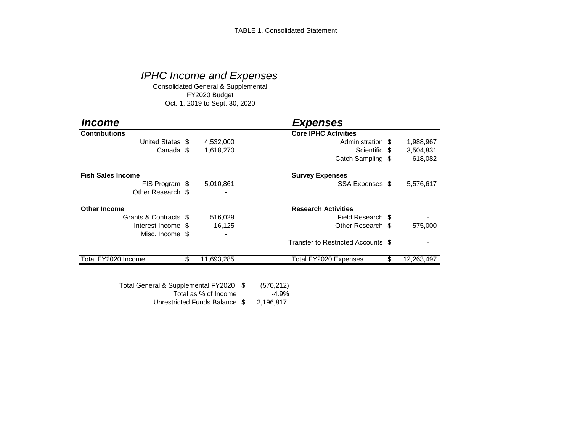# *IPHC Income and Expenses*

Consolidated General & Supplemental FY2020 Budget Oct. 1, 2019 to Sept. 30, 2020

| <i><b>Income</b></i>     |                  | <b>Expenses</b>                    |                  |
|--------------------------|------------------|------------------------------------|------------------|
| <b>Contributions</b>     |                  | <b>Core IPHC Activities</b>        |                  |
| United States \$         | 4,532,000        | Administration \$                  | 1,988,967        |
| Canada \$                | 1,618,270        | Scientific \$                      | 3,504,831        |
|                          |                  | Catch Sampling \$                  | 618,082          |
| <b>Fish Sales Income</b> |                  | <b>Survey Expenses</b>             |                  |
| FIS Program \$           | 5,010,861        | SSA Expenses \$                    | 5,576,617        |
| Other Research \$        |                  |                                    |                  |
| <b>Other Income</b>      |                  | <b>Research Activities</b>         |                  |
| Grants & Contracts \$    | 516,029          | Field Research \$                  |                  |
| Interest Income \$       | 16,125           | Other Research \$                  | 575,000          |
| Misc. Income \$          |                  |                                    |                  |
|                          |                  | Transfer to Restricted Accounts \$ |                  |
| Total FY2020 Income      | \$<br>11,693,285 | Total FY2020 Expenses              | \$<br>12,263,497 |

Unrestricted Funds Balance \$ 2,196,817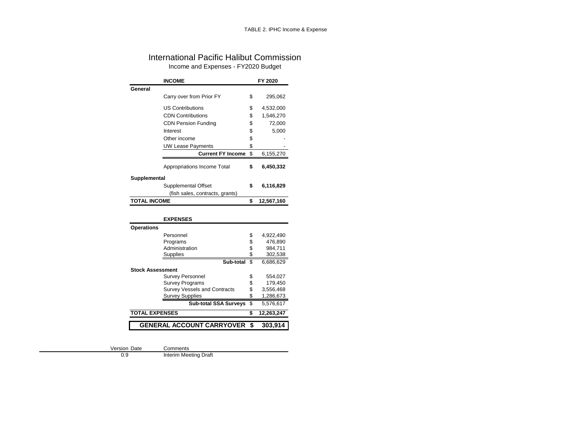## International Pacific Halibut Commission Income and Expenses - FY2020 Budget

|                         | <b>INCOME</b>                   |         | FY 2020    |
|-------------------------|---------------------------------|---------|------------|
| General                 |                                 |         |            |
|                         | Carry over from Prior FY        | \$      | 295,062    |
|                         | <b>US Contributions</b>         | \$      | 4,532,000  |
|                         | <b>CDN Contributions</b>        | \$      | 1,546,270  |
|                         | <b>CDN Pension Funding</b>      | \$      | 72,000     |
|                         | Interest                        | \$      | 5,000      |
|                         | Other income                    | \$      |            |
|                         | <b>UW Lease Payments</b>        | \$      |            |
|                         | <b>Current FY Income</b>        | \$      | 6,155,270  |
|                         | Appropriations Income Total     | \$      | 6,450,332  |
| Supplemental            |                                 |         |            |
|                         | Supplemental Offset             | \$      | 6,116,829  |
|                         | (fish sales, contracts, grants) |         |            |
| <b>TOTAL INCOME</b>     |                                 | \$      | 12,567,160 |
|                         |                                 |         |            |
|                         | <b>EXPENSES</b>                 |         |            |
| <b>Operations</b>       |                                 |         |            |
|                         | Personnel                       | \$      | 4,922,490  |
|                         | Programs                        | \$      | 476,890    |
|                         | Administration                  | \$      | 984,711    |
|                         | Supplies                        | .<br>\$ | 302,538    |
|                         | Sub-total                       | \$      | 6,686,629  |
| <b>Stock Assessment</b> |                                 |         |            |
|                         | <b>Survey Personnel</b>         | \$      | 554,027    |

| <b>GENERAL ACCOUNT CARRYOVER \$</b> |                          |    | 303,914    |
|-------------------------------------|--------------------------|----|------------|
| <b>TOTAL EXPENSES</b>               |                          |    | 12,263,247 |
|                                     | Sub-total SSA Surveys \$ |    | 5,576,617  |
| <b>Survey Supplies</b>              |                          | \$ | 1,286,673  |
| <b>Survey Vessels and Contracts</b> |                          | \$ | 3,556,468  |
| <b>Survey Programs</b>              |                          | \$ | 179,450    |
| <b>UUIVEY I GIJUIIIIGI</b>          |                          | Ψ  | JJT. JZ 1  |

Version Date  $0.9$ 

Comments<br>Interim Meeting Draft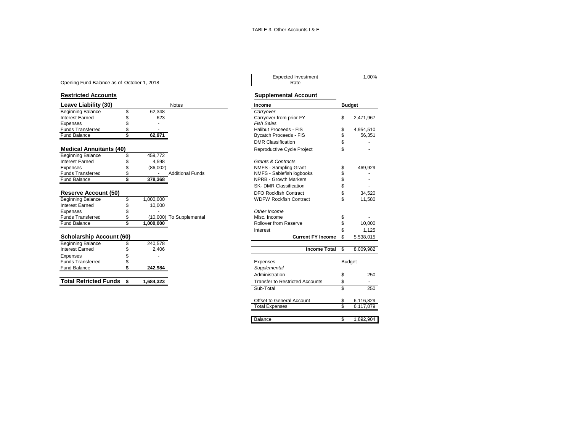#### Opening Fund Balance as of October 1, 2018

| Leave Liability (30)            |    | <b>Notes</b> | Income                   |                               | <b>Budget</b> |           |
|---------------------------------|----|--------------|--------------------------|-------------------------------|---------------|-----------|
| <b>Beginning Balance</b>        | \$ | 62,348       |                          | Carryover                     |               |           |
| Interest Earned                 |    | 623          |                          | Carryover from prior FY       | \$            | 2,471,967 |
| Expenses                        |    |              |                          | <b>Fish Sales</b>             |               |           |
| <b>Funds Transferred</b>        |    |              |                          | Halibut Proceeds - FIS        | S             | 4,954,510 |
| <b>Fund Balance</b>             |    | 62,971       |                          | <b>Bycatch Proceeds - FIS</b> |               | 56,351    |
|                                 |    |              |                          | <b>DMR Classification</b>     |               |           |
| <b>Medical Annuitants (40)</b>  |    |              |                          | Reproductive Cycle Project    |               |           |
| <b>Beginning Balance</b>        |    | 459.772      |                          |                               |               |           |
| <b>Interest Earned</b>          |    | 4.598        |                          | <b>Grants &amp; Contracts</b> |               |           |
| Expenses                        |    | (86,002)     |                          | NMFS - Sampling Grant         |               | 469,929   |
| <b>Funds Transferred</b>        |    |              | <b>Additional Funds</b>  | NMFS - Sablefish logbooks     |               |           |
| <b>Fund Balance</b>             |    | 378,368      |                          | <b>NPRB - Growth Markers</b>  |               |           |
|                                 |    |              |                          | SK- DMR Classification        |               |           |
| <b>Reserve Account (50)</b>     |    |              |                          | <b>DFO Rockfish Contract</b>  |               | 34,520    |
| <b>Beginning Balance</b>        |    | 1,000,000    |                          | <b>WDFW Rockfish Contract</b> |               | 11,580    |
| Interest Earned                 |    | 10,000       |                          |                               |               |           |
| Expenses                        |    |              |                          | Other Income                  |               |           |
| <b>Funds Transferred</b>        |    |              | (10,000) To Supplemental | Misc. Income                  |               |           |
| <b>Fund Balance</b>             |    | 1,000,000    |                          | Rollover from Reserve         |               | 10,000    |
|                                 |    |              |                          | Interest                      |               | 1,125     |
| <b>Scholarship Account (60)</b> |    |              |                          | <b>Current FY Income</b>      | \$            | 5,538,015 |
| <b>Beginning Balance</b>        |    | 240,578      |                          |                               |               |           |
| <b>Interest Earned</b>          |    | 2,406        |                          | <b>Income Total</b>           | S             | 8,009,982 |

| Interest Earned              | 2.406     | <b>Income Total</b>                    |        | 8 |
|------------------------------|-----------|----------------------------------------|--------|---|
| Expenses                     |           |                                        |        |   |
| <b>Funds Transferred</b>     | -         | Expenses                               | Budget |   |
| <b>Fund Balance</b>          | 242.984   | Supplemental                           |        |   |
|                              |           | Administration                         |        |   |
| <b>Total Retricted Funds</b> | 1.684.323 | <b>Transfer to Restricted Accounts</b> |        |   |

# Expected Investment 1.00%<br>Rate

#### **Restricted Accounts Supplemental Account**

| Beginning Balance<br>62,348<br>\$<br>Carryover<br><b>Interest Earned</b><br>Carryover from prior FY<br>\$<br>623<br><b>Fish Sales</b><br>Expenses<br><b>Funds Transferred</b><br>Halibut Proceeds - FIS<br>\$<br><b>Fund Balance</b><br>62,971<br><b>Bycatch Proceeds - FIS</b><br><b>DMR Classification</b><br><b>Medical Annuitants (40)</b><br>Reproductive Cycle Project<br>Beginning Balance<br>459,772<br>\$<br><b>Grants &amp; Contracts</b><br>4,598<br>NMFS - Sampling Grant<br>(86,002)<br><b>Additional Funds</b><br>NMFS - Sablefish logbooks<br>\$<br>\$<br><b>NPRB - Growth Markers</b><br>378,368<br>SK- DMR Classification<br><b>DFO Rockfish Contract</b><br>\$<br>1,000,000<br><b>WDFW Rockfish Contract</b><br>\$<br>10,000<br>Other Income<br>(10,000) To Supplemental<br>Misc. Income<br>\$ | \$                             |               |
|------------------------------------------------------------------------------------------------------------------------------------------------------------------------------------------------------------------------------------------------------------------------------------------------------------------------------------------------------------------------------------------------------------------------------------------------------------------------------------------------------------------------------------------------------------------------------------------------------------------------------------------------------------------------------------------------------------------------------------------------------------------------------------------------------------------|--------------------------------|---------------|
|                                                                                                                                                                                                                                                                                                                                                                                                                                                                                                                                                                                                                                                                                                                                                                                                                  |                                |               |
|                                                                                                                                                                                                                                                                                                                                                                                                                                                                                                                                                                                                                                                                                                                                                                                                                  |                                | 2,471,967     |
|                                                                                                                                                                                                                                                                                                                                                                                                                                                                                                                                                                                                                                                                                                                                                                                                                  |                                |               |
|                                                                                                                                                                                                                                                                                                                                                                                                                                                                                                                                                                                                                                                                                                                                                                                                                  | \$                             | 4,954,510     |
|                                                                                                                                                                                                                                                                                                                                                                                                                                                                                                                                                                                                                                                                                                                                                                                                                  | \$                             | 56,351        |
|                                                                                                                                                                                                                                                                                                                                                                                                                                                                                                                                                                                                                                                                                                                                                                                                                  | \$                             |               |
|                                                                                                                                                                                                                                                                                                                                                                                                                                                                                                                                                                                                                                                                                                                                                                                                                  | \$                             |               |
| <b>Interest Earned</b><br>Expenses<br><b>Funds Transferred</b><br><b>Fund Balance</b><br><b>Reserve Account (50)</b><br><b>Beginning Balance</b><br><b>Interest Earned</b><br>Expenses<br><b>Funds Transferred</b>                                                                                                                                                                                                                                                                                                                                                                                                                                                                                                                                                                                               |                                |               |
|                                                                                                                                                                                                                                                                                                                                                                                                                                                                                                                                                                                                                                                                                                                                                                                                                  |                                |               |
|                                                                                                                                                                                                                                                                                                                                                                                                                                                                                                                                                                                                                                                                                                                                                                                                                  | \$                             | 469,929       |
|                                                                                                                                                                                                                                                                                                                                                                                                                                                                                                                                                                                                                                                                                                                                                                                                                  | \$                             |               |
|                                                                                                                                                                                                                                                                                                                                                                                                                                                                                                                                                                                                                                                                                                                                                                                                                  | \$                             |               |
|                                                                                                                                                                                                                                                                                                                                                                                                                                                                                                                                                                                                                                                                                                                                                                                                                  | \$                             |               |
|                                                                                                                                                                                                                                                                                                                                                                                                                                                                                                                                                                                                                                                                                                                                                                                                                  | \$                             | 34,520        |
|                                                                                                                                                                                                                                                                                                                                                                                                                                                                                                                                                                                                                                                                                                                                                                                                                  | \$                             | 11.580        |
|                                                                                                                                                                                                                                                                                                                                                                                                                                                                                                                                                                                                                                                                                                                                                                                                                  |                                |               |
|                                                                                                                                                                                                                                                                                                                                                                                                                                                                                                                                                                                                                                                                                                                                                                                                                  |                                |               |
|                                                                                                                                                                                                                                                                                                                                                                                                                                                                                                                                                                                                                                                                                                                                                                                                                  | \$                             |               |
| \$<br><b>Fund Balance</b><br>Rollover from Reserve<br>1,000,000                                                                                                                                                                                                                                                                                                                                                                                                                                                                                                                                                                                                                                                                                                                                                  | \$                             | 10,000        |
| Interest                                                                                                                                                                                                                                                                                                                                                                                                                                                                                                                                                                                                                                                                                                                                                                                                         | \$                             | 1,125         |
| Scholarship Account (60)                                                                                                                                                                                                                                                                                                                                                                                                                                                                                                                                                                                                                                                                                                                                                                                         | <b>Current FY Income</b><br>\$ | 5,538,015     |
| Beginning Balance<br>240,578<br>\$                                                                                                                                                                                                                                                                                                                                                                                                                                                                                                                                                                                                                                                                                                                                                                               |                                |               |
| <b>Interest Earned</b><br>2,406                                                                                                                                                                                                                                                                                                                                                                                                                                                                                                                                                                                                                                                                                                                                                                                  | <b>Income Total</b><br>\$      | 8,009,982     |
| Expenses                                                                                                                                                                                                                                                                                                                                                                                                                                                                                                                                                                                                                                                                                                                                                                                                         |                                |               |
| <b>Funds Transferred</b><br>Expenses<br>\$                                                                                                                                                                                                                                                                                                                                                                                                                                                                                                                                                                                                                                                                                                                                                                       |                                | <b>Budget</b> |
| \$<br><b>Fund Balance</b><br>Supplemental<br>242.984                                                                                                                                                                                                                                                                                                                                                                                                                                                                                                                                                                                                                                                                                                                                                             |                                |               |
| Administration                                                                                                                                                                                                                                                                                                                                                                                                                                                                                                                                                                                                                                                                                                                                                                                                   | \$                             | 250           |
| <b>Total Retricted Funds</b><br>\$<br><b>Transfer to Restricted Accounts</b><br>1,684,323                                                                                                                                                                                                                                                                                                                                                                                                                                                                                                                                                                                                                                                                                                                        | \$                             |               |
| Sub-Total                                                                                                                                                                                                                                                                                                                                                                                                                                                                                                                                                                                                                                                                                                                                                                                                        | \$                             | 250           |
| Offset to General Account                                                                                                                                                                                                                                                                                                                                                                                                                                                                                                                                                                                                                                                                                                                                                                                        | \$                             | 6,116,829     |
| <b>Total Expenses</b>                                                                                                                                                                                                                                                                                                                                                                                                                                                                                                                                                                                                                                                                                                                                                                                            | \$                             | 6,117,079     |
| Balance                                                                                                                                                                                                                                                                                                                                                                                                                                                                                                                                                                                                                                                                                                                                                                                                          |                                |               |